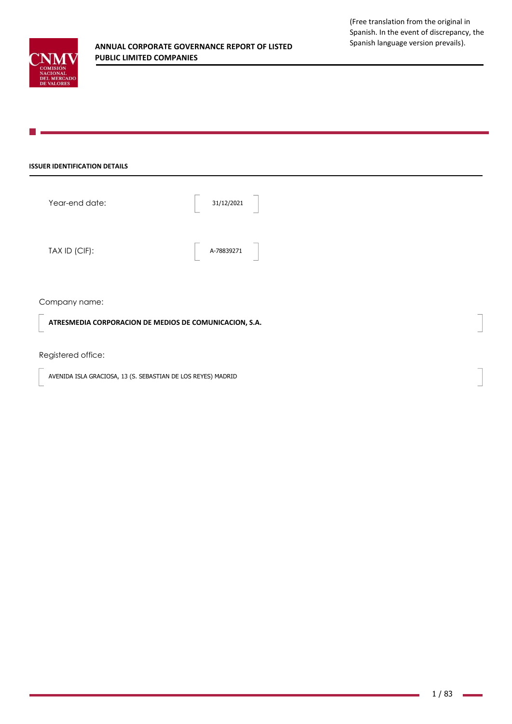

### **ISSUER IDENTIFICATION DETAILS**

| Year-end date: | 31/12/2021 |  |
|----------------|------------|--|
| TAX ID (CIF):  | A-78839271 |  |

Company name:

**ATRESMEDIA CORPORACION DE MEDIOS DE COMUNICACION, S.A.**

Registered office:

AVENIDA ISLA GRACIOSA, 13 (S. SEBASTIAN DE LOS REYES) MADRID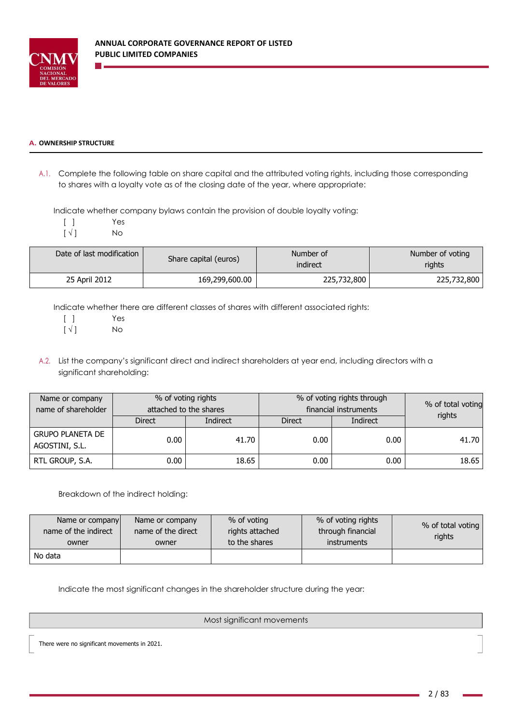

### **A. OWNERSHIP STRUCTURE**

A.1. Complete the following table on share capital and the attributed voting rights, including those corresponding to shares with a loyalty vote as of the closing date of the year, where appropriate:

Indicate whether company bylaws contain the provision of double loyalty voting:

[ ] Yes

 $\lceil \sqrt{ } \rceil$  No

| Date of last modification | Share capital (euros) | Number of<br>indirect | Number of voting<br>rights |
|---------------------------|-----------------------|-----------------------|----------------------------|
| 25 April 2012             | 169,299,600.00        | 225,732,800           | 225,732,800                |

Indicate whether there are different classes of shares with different associated rights:

[ ] Yes

 $[\sqrt{]}$  No

A.2. List the company's significant direct and indirect shareholders at year end, including directors with a significant shareholding:

| Name or company<br>name of shareholder    | % of voting rights<br>attached to the shares |                 |                                  | % of voting rights through<br>financial instruments | % of total voting |
|-------------------------------------------|----------------------------------------------|-----------------|----------------------------------|-----------------------------------------------------|-------------------|
|                                           | <b>Direct</b>                                | <b>Indirect</b> | <b>Indirect</b><br><b>Direct</b> |                                                     | rights            |
| <b>GRUPO PLANETA DE</b><br>AGOSTINI, S.L. | 0.00                                         | 41.70           | 0.00                             | 0.00                                                | 41.70             |
| RTL GROUP, S.A.                           | 0.00                                         | 18.65           | 0.00                             | 0.00                                                | 18.65             |

Breakdown of the indirect holding:

| Name or company<br>name of the indirect<br>owner | Name or company<br>name of the direct<br>owner | % of voting<br>rights attached<br>to the shares | % of voting rights<br>through financial<br><i>instruments</i> | % of total voting<br>rights |
|--------------------------------------------------|------------------------------------------------|-------------------------------------------------|---------------------------------------------------------------|-----------------------------|
| No data                                          |                                                |                                                 |                                                               |                             |

Indicate the most significant changes in the shareholder structure during the year:

### Most significant movements

There were no significant movements in 2021.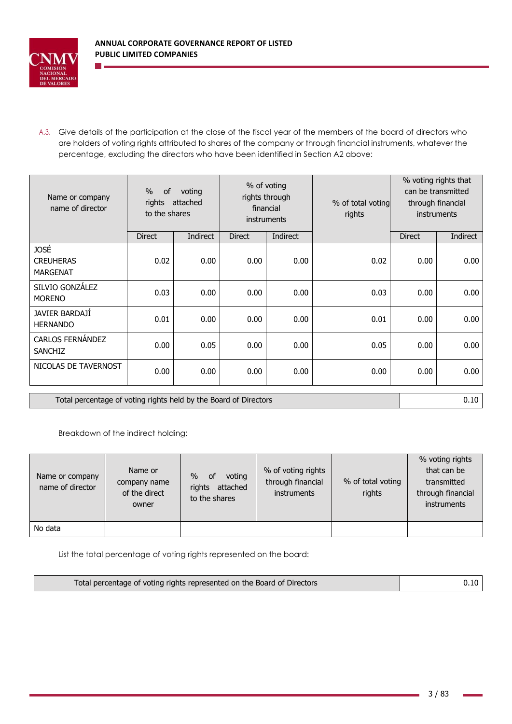

A.3. Give details of the participation at the close of the fiscal year of the members of the board of directors who are holders of voting rights attributed to shares of the company or through financial instruments, whatever the percentage, excluding the directors who have been identified in Section A2 above:

| Name or company<br>name of director                              | $\frac{0}{0}$<br><b>of</b><br>rights<br>to the shares | voting<br>attached |               | % of voting<br>rights through<br>financial<br>instruments | % of total voting<br>rights |               | % voting rights that<br>can be transmitted<br>through financial<br><b>instruments</b> |
|------------------------------------------------------------------|-------------------------------------------------------|--------------------|---------------|-----------------------------------------------------------|-----------------------------|---------------|---------------------------------------------------------------------------------------|
|                                                                  | <b>Direct</b>                                         | Indirect           | <b>Direct</b> | <b>Indirect</b>                                           |                             | <b>Direct</b> | Indirect                                                                              |
| JOSÉ<br><b>CREUHERAS</b><br><b>MARGENAT</b>                      | 0.02                                                  | 0.00               | 0.00          | 0.00                                                      | 0.02                        | 0.00          | 0.00                                                                                  |
| SILVIO GONZALEZ<br><b>MORENO</b>                                 | 0.03                                                  | 0.00               | 0.00          | 0.00                                                      | 0.03                        | 0.00          | 0.00                                                                                  |
| JAVIER BARDAJI<br><b>HERNANDO</b>                                | 0.01                                                  | 0.00               | 0.00          | 0.00                                                      | 0.01                        | 0.00          | 0.00                                                                                  |
| <b>CARLOS FERNÁNDEZ</b><br><b>SANCHIZ</b>                        | 0.00                                                  | 0.05               | 0.00          | 0.00                                                      | 0.05                        | 0.00          | 0.00                                                                                  |
| NICOLAS DE TAVERNOST                                             | 0.00                                                  | 0.00               | 0.00          | 0.00                                                      | 0.00                        | 0.00          | 0.00                                                                                  |
| Total percentage of voting rights held by the Board of Directors |                                                       |                    |               |                                                           |                             | 0.10          |                                                                                       |

Breakdown of the indirect holding:

| Name or company<br>name of director | Name or<br>company name<br>of the direct<br>owner | $\%$<br><b>of</b><br>voting<br>rights<br>attached<br>to the shares | % of voting rights<br>through financial<br><i>instruments</i> | % of total voting<br>rights | % voting rights<br>that can be<br>transmitted<br>through financial<br>instruments |
|-------------------------------------|---------------------------------------------------|--------------------------------------------------------------------|---------------------------------------------------------------|-----------------------------|-----------------------------------------------------------------------------------|
| No data                             |                                                   |                                                                    |                                                               |                             |                                                                                   |

List the total percentage of voting rights represented on the board:

| Total percentage of voting rights represented on the Board of Directors | 0.10 |
|-------------------------------------------------------------------------|------|
|-------------------------------------------------------------------------|------|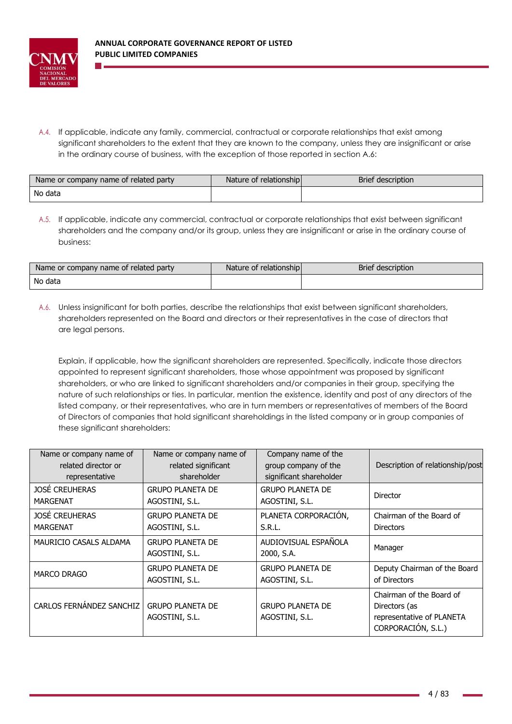

A.4. If applicable, indicate any family, commercial, contractual or corporate relationships that exist among significant shareholders to the extent that they are known to the company, unless they are insignificant or arise in the ordinary course of business, with the exception of those reported in section A.6:

| Name or company name of related party | Nature of relationship | Brief description |
|---------------------------------------|------------------------|-------------------|
| No data                               |                        |                   |

A.5. If applicable, indicate any commercial, contractual or corporate relationships that exist between significant shareholders and the company and/or its group, unless they are insignificant or arise in the ordinary course of business:

| Name or company name of related party | Nature of relationship | <b>Brief description</b> |
|---------------------------------------|------------------------|--------------------------|
| No data                               |                        |                          |

A.6. Unless insignificant for both parties, describe the relationships that exist between significant shareholders, shareholders represented on the Board and directors or their representatives in the case of directors that are legal persons.

Explain, if applicable, how the significant shareholders are represented. Specifically, indicate those directors appointed to represent significant shareholders, those whose appointment was proposed by significant shareholders, or who are linked to significant shareholders and/or companies in their group, specifying the nature of such relationships or ties. In particular, mention the existence, identity and post of any directors of the listed company, or their representatives, who are in turn members or representatives of members of the Board of Directors of companies that hold significant shareholdings in the listed company or in group companies of these significant shareholders:

| Name or company name of         | Name or company name of                   | Company name of the                       | Description of relationship/post                                                             |
|---------------------------------|-------------------------------------------|-------------------------------------------|----------------------------------------------------------------------------------------------|
| related director or             | related significant                       | group company of the                      |                                                                                              |
| representative                  | shareholder                               | significant shareholder                   |                                                                                              |
| <b>JOSÉ CREUHERAS</b>           | <b>GRUPO PLANETA DE</b>                   | <b>GRUPO PLANETA DE</b>                   | Director                                                                                     |
| MARGENAT                        | AGOSTINI, S.L.                            | AGOSTINI, S.L.                            |                                                                                              |
| <b>JOSÉ CREUHERAS</b>           | <b>GRUPO PLANETA DE</b>                   | PLANETA CORPORACION,                      | Chairman of the Board of                                                                     |
| <b>MARGENAT</b>                 | AGOSTINI, S.L.                            | S.R.L.                                    | Directors                                                                                    |
| MAURICIO CASALS ALDAMA          | <b>GRUPO PLANETA DE</b><br>AGOSTINI, S.L. | AUDIOVISUAL ESPAÑOLA<br>2000, S.A.        | Manager                                                                                      |
| <b>MARCO DRAGO</b>              | <b>GRUPO PLANETA DE</b>                   | <b>GRUPO PLANETA DE</b>                   | Deputy Chairman of the Board                                                                 |
|                                 | AGOSTINI, S.L.                            | AGOSTINI, S.L.                            | of Directors                                                                                 |
| <b>CARLOS FERNANDEZ SANCHIZ</b> | <b>GRUPO PLANETA DE</b><br>AGOSTINI, S.L. | <b>GRUPO PLANETA DE</b><br>AGOSTINI, S.L. | Chairman of the Board of<br>Directors (as<br>representative of PLANETA<br>CORPORACIÓN, S.L.) |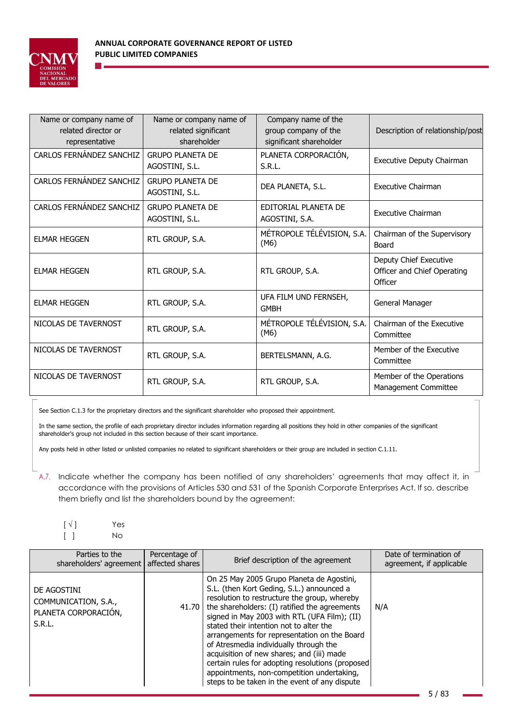

| Name or company name of<br>related director or<br>representative | Name or company name of<br>related significant<br>shareholder | Company name of the<br>group company of the<br>significant shareholder | Description of relationship/post                                 |
|------------------------------------------------------------------|---------------------------------------------------------------|------------------------------------------------------------------------|------------------------------------------------------------------|
| CARLOS FERNÁNDEZ SANCHIZ                                         | <b>GRUPO PLANETA DE</b><br>AGOSTINI, S.L.                     | PLANETA CORPORACIÓN,<br>S.R.L.                                         | Executive Deputy Chairman                                        |
| CARLOS FERNÁNDEZ SANCHIZ                                         | <b>GRUPO PLANETA DE</b><br>AGOSTINI, S.L.                     | DEA PLANETA, S.L.                                                      | Executive Chairman                                               |
| CARLOS FERNÁNDEZ SANCHIZ                                         | <b>GRUPO PLANETA DE</b><br>AGOSTINI, S.L.                     | EDITORIAL PLANETA DE<br>AGOSTINI, S.A.                                 | <b>Executive Chairman</b>                                        |
| <b>ELMAR HEGGEN</b>                                              | RTL GROUP, S.A.                                               | MÉTROPOLE TÉLÉVISION, S.A.<br>(M6)                                     | Chairman of the Supervisory<br>Board                             |
| <b>ELMAR HEGGEN</b>                                              | RTL GROUP, S.A.                                               | RTL GROUP, S.A.                                                        | Deputy Chief Executive<br>Officer and Chief Operating<br>Officer |
| <b>ELMAR HEGGEN</b>                                              | RTL GROUP, S.A.                                               | UFA FILM UND FERNSEH,<br><b>GMBH</b>                                   | General Manager                                                  |
| NICOLAS DE TAVERNOST                                             | RTL GROUP, S.A.                                               | MÉTROPOLE TÉLÉVISION, S.A.<br>(M6)                                     | Chairman of the Executive<br>Committee                           |
| NICOLAS DE TAVERNOST                                             | RTL GROUP, S.A.                                               | BERTELSMANN, A.G.                                                      | Member of the Executive<br>Committee                             |
| NICOLAS DE TAVERNOST                                             | RTL GROUP, S.A.                                               | RTL GROUP, S.A.                                                        | Member of the Operations<br>Management Committee                 |

See Section C.1.3 for the proprietary directors and the significant shareholder who proposed their appointment.

In the same section, the profile of each proprietary director includes information regarding all positions they hold in other companies of the significant shareholder's group not included in this section because of their scant importance.

Any posts held in other listed or unlisted companies no related to significant shareholders or their group are included in section C.1.11.

A.7. Indicate whether the company has been notified of any shareholders' agreements that may affect it, in accordance with the provisions of Articles 530 and 531 of the Spanish Corporate Enterprises Act. If so, describe them briefly and list the shareholders bound by the agreement:

| $[\sqrt{ } ]$ | Yes |
|---------------|-----|
| $[\quad]$     | No. |

| Parties to the<br>shareholders' agreement affected shares             | Percentage of | Brief description of the agreement                                                                                                                                                                                                                                                                                                                                                                                                                                                                                                                                                     | Date of termination of<br>agreement, if applicable |
|-----------------------------------------------------------------------|---------------|----------------------------------------------------------------------------------------------------------------------------------------------------------------------------------------------------------------------------------------------------------------------------------------------------------------------------------------------------------------------------------------------------------------------------------------------------------------------------------------------------------------------------------------------------------------------------------------|----------------------------------------------------|
| DE AGOSTINI<br>COMMUNICATION, S.A.,<br>PLANETA CORPORACIÓN,<br>S.R.L. |               | On 25 May 2005 Grupo Planeta de Agostini,<br>S.L. (then Kort Geding, S.L.) announced a<br>resolution to restructure the group, whereby<br>41.70   the shareholders: $(I)$ ratified the agreements<br>signed in May 2003 with RTL (UFA Film); (II)<br>stated their intention not to alter the<br>arrangements for representation on the Board<br>of Atresmedia individually through the<br>acquisition of new shares; and (iii) made<br>certain rules for adopting resolutions (proposed<br>appointments, non-competition undertaking,<br>steps to be taken in the event of any dispute | N/A                                                |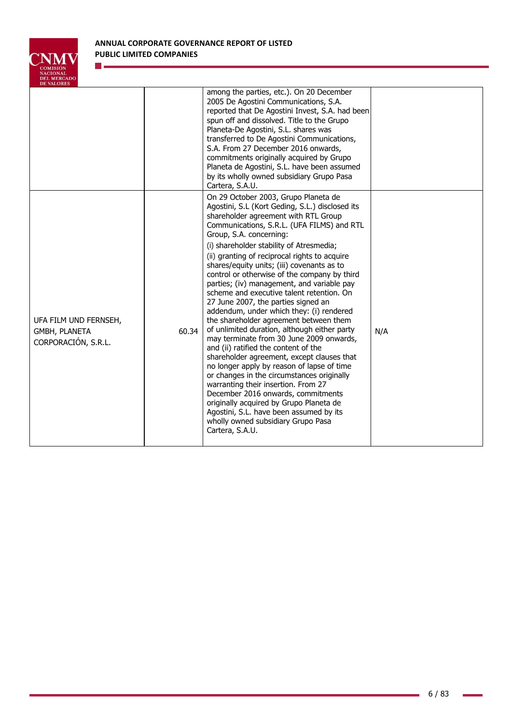

n.

| DE VALVAL.                                                    |       |                                                                                                                                                                                                                                                                                                                                                                                                                                                                                                                                                                                                                                                                                                                                                                                                                                                                                                                                                                                                                                                                                                                                       |     |
|---------------------------------------------------------------|-------|---------------------------------------------------------------------------------------------------------------------------------------------------------------------------------------------------------------------------------------------------------------------------------------------------------------------------------------------------------------------------------------------------------------------------------------------------------------------------------------------------------------------------------------------------------------------------------------------------------------------------------------------------------------------------------------------------------------------------------------------------------------------------------------------------------------------------------------------------------------------------------------------------------------------------------------------------------------------------------------------------------------------------------------------------------------------------------------------------------------------------------------|-----|
|                                                               |       | among the parties, etc.). On 20 December<br>2005 De Agostini Communications, S.A.<br>reported that De Agostini Invest, S.A. had been<br>spun off and dissolved. Title to the Grupo<br>Planeta-De Agostini, S.L. shares was<br>transferred to De Agostini Communications,<br>S.A. From 27 December 2016 onwards,<br>commitments originally acquired by Grupo<br>Planeta de Agostini, S.L. have been assumed<br>by its wholly owned subsidiary Grupo Pasa<br>Cartera, S.A.U.                                                                                                                                                                                                                                                                                                                                                                                                                                                                                                                                                                                                                                                            |     |
| UFA FILM UND FERNSEH,<br>GMBH, PLANETA<br>CORPORACIÓN, S.R.L. | 60.34 | On 29 October 2003, Grupo Planeta de<br>Agostini, S.L (Kort Geding, S.L.) disclosed its<br>shareholder agreement with RTL Group<br>Communications, S.R.L. (UFA FILMS) and RTL<br>Group, S.A. concerning:<br>(i) shareholder stability of Atresmedia;<br>(ii) granting of reciprocal rights to acquire<br>shares/equity units; (iii) covenants as to<br>control or otherwise of the company by third<br>parties; (iv) management, and variable pay<br>scheme and executive talent retention. On<br>27 June 2007, the parties signed an<br>addendum, under which they: (i) rendered<br>the shareholder agreement between them<br>of unlimited duration, although either party<br>may terminate from 30 June 2009 onwards,<br>and (ii) ratified the content of the<br>shareholder agreement, except clauses that<br>no longer apply by reason of lapse of time<br>or changes in the circumstances originally<br>warranting their insertion. From 27<br>December 2016 onwards, commitments<br>originally acquired by Grupo Planeta de<br>Agostini, S.L. have been assumed by its<br>wholly owned subsidiary Grupo Pasa<br>Cartera, S.A.U. | N/A |

 $\overline{\phantom{a}}$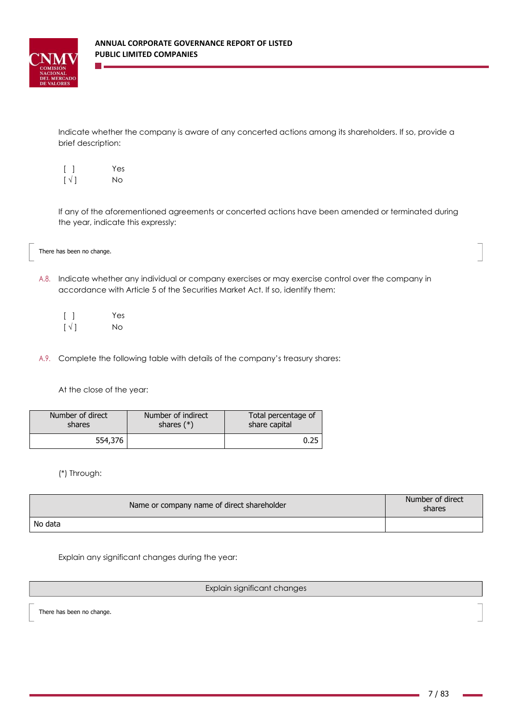

Indicate whether the company is aware of any concerted actions among its shareholders. If so, provide a brief description:

| $\lceil$ $\rceil$        | Yes |
|--------------------------|-----|
| $\lceil \sqrt{ } \rceil$ | No. |

If any of the aforementioned agreements or concerted actions have been amended or terminated during the year, indicate this expressly:

There has been no change.

A.8. Indicate whether any individual or company exercises or may exercise control over the company in accordance with Article 5 of the Securities Market Act. If so, identify them:

|                               | Yes |
|-------------------------------|-----|
| $\lceil \sqrt{\rceil} \rceil$ | No. |

A.9. Complete the following table with details of the company's treasury shares:

At the close of the year:

| Number of direct | Number of indirect | Total percentage of |
|------------------|--------------------|---------------------|
| shares           | shares $(*)$       | share capital       |
| 554,376          |                    | 0.25                |

(\*) Through:

| Name or company name of direct shareholder | Number of direct<br>shares |
|--------------------------------------------|----------------------------|
| No data                                    |                            |

Explain any significant changes during the year:

## Explain significant changes

There has been no change.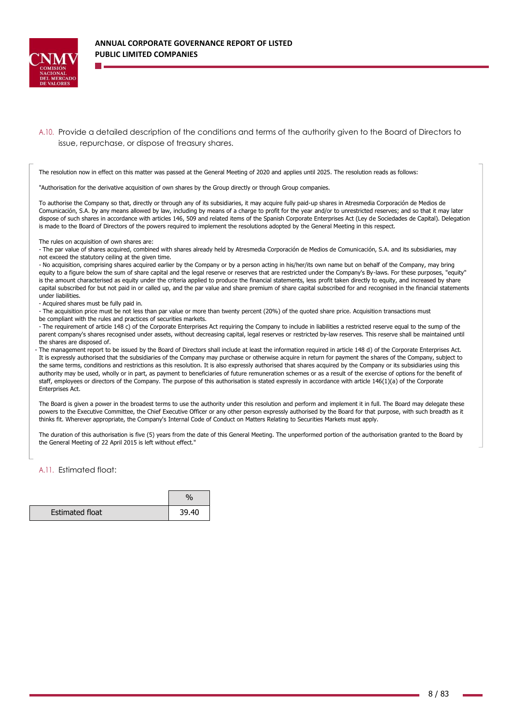

A.10. Provide a detailed description of the conditions and terms of the authority given to the Board of Directors to issue, repurchase, or dispose of treasury shares.

The resolution now in effect on this matter was passed at the General Meeting of 2020 and applies until 2025. The resolution reads as follows:

"Authorisation for the derivative acquisition of own shares by the Group directly or through Group companies.

To authorise the Company so that, directly or through any of its subsidiaries, it may acquire fully paid-up shares in Atresmedia Corporación de Medios de Comunicación, S.A. by any means allowed by law, including by means of a charge to profit for the year and/or to unrestricted reserves; and so that it may later dispose of such shares in accordance with articles 146, 509 and related items of the Spanish Corporate Enterprises Act (Ley de Sociedades de Capital). Delegation is made to the Board of Directors of the powers required to implement the resolutions adopted by the General Meeting in this respect.

The rules on acquisition of own shares are:

- The par value of shares acquired, combined with shares already held by Atresmedia Corporación de Medios de Comunicación, S.A. and its subsidiaries, may not exceed the statutory ceiling at the given time.

- No acquisition, comprising shares acquired earlier by the Company or by a person acting in his/her/its own name but on behalf of the Company, may bring equity to a figure below the sum of share capital and the legal reserve or reserves that are restricted under the Company's By-laws. For these purposes, "equity" is the amount characterised as equity under the criteria applied to produce the financial statements, less profit taken directly to equity, and increased by share capital subscribed for but not paid in or called up, and the par value and share premium of share capital subscribed for and recognised in the financial statements under liabilities.

- Acquired shares must be fully paid in.

- The acquisition price must be not less than par value or more than twenty percent (20%) of the quoted share price. Acquisition transactions must be compliant with the rules and practices of securities markets.

- The requirement of article 148 c) of the Corporate Enterprises Act requiring the Company to include in liabilities a restricted reserve equal to the sump of the parent company's shares recognised under assets, without decreasing capital, legal reserves or restricted by-law reserves. This reserve shall be maintained until the shares are disposed of.

- The management report to be issued by the Board of Directors shall include at least the information required in article 148 d) of the Corporate Enterprises Act. It is expressly authorised that the subsidiaries of the Company may purchase or otherwise acquire in return for payment the shares of the Company, subject to the same terms, conditions and restrictions as this resolution. It is also expressly authorised that shares acquired by the Company or its subsidiaries using this authority may be used, wholly or in part, as payment to beneficiaries of future remuneration schemes or as a result of the exercise of options for the benefit of staff, employees or directors of the Company. The purpose of this authorisation is stated expressly in accordance with article 146(1)(a) of the Corporate Enterprises Act.

The Board is given a power in the broadest terms to use the authority under this resolution and perform and implement it in full. The Board may delegate these powers to the Executive Committee, the Chief Executive Officer or any other person expressly authorised by the Board for that purpose, with such breadth as it thinks fit. Wherever appropriate, the Company's Internal Code of Conduct on Matters Relating to Securities Markets must apply.

The duration of this authorisation is five (5) years from the date of this General Meeting. The unperformed portion of the authorisation granted to the Board by the General Meeting of 22 April 2015 is left without effect."

A.11. Estimated float:

| <b>Estimated float</b> | 39.40 |
|------------------------|-------|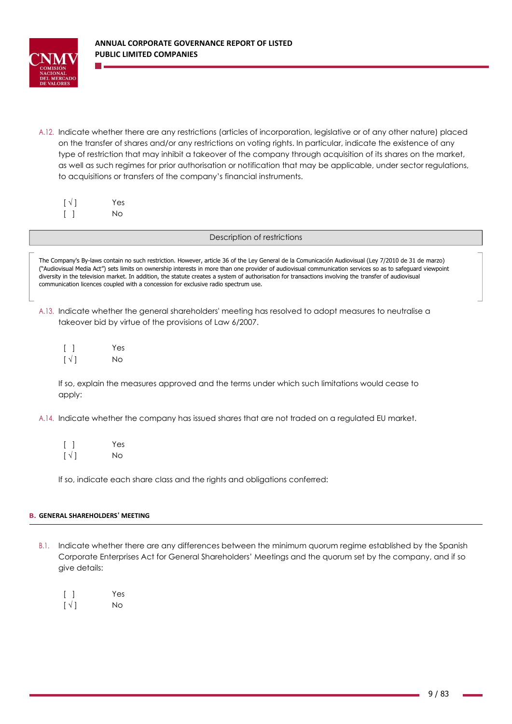

A.12. Indicate whether there are any restrictions (articles of incorporation, legislative or of any other nature) placed on the transfer of shares and/or any restrictions on voting rights. In particular, indicate the existence of any type of restriction that may inhibit a takeover of the company through acquisition of its shares on the market, as well as such regimes for prior authorisation or notification that may be applicable, under sector regulations, to acquisitions or transfers of the company's financial instruments.

| $\lceil \sqrt{ } \rceil$ | Yes |
|--------------------------|-----|
|                          | No. |

## Description of restrictions

The Company's By-laws contain no such restriction. However, article 36 of the Ley General de la Comunicación Audiovisual (Ley 7/2010 de 31 de marzo) ("Audiovisual Media Act") sets limits on ownership interests in more than one provider of audiovisual communication services so as to safeguard viewpoint diversity in the television market. In addition, the statute creates a system of authorisation for transactions involving the transfer of audiovisual communication licences coupled with a concession for exclusive radio spectrum use.

- A.13. Indicate whether the general shareholders' meeting has resolved to adopt measures to neutralise a takeover bid by virtue of the provisions of Law 6/2007.
	- [ ] Yes  $\lceil \sqrt{} \rceil$  No

If so, explain the measures approved and the terms under which such limitations would cease to apply:

- A.14. Indicate whether the company has issued shares that are not traded on a regulated EU market.
	- [ ] Yes  $[\sqrt{]}$  No

If so, indicate each share class and the rights and obligations conferred:

## **B. GENERAL SHAREHOLDERS' MEETING**

- B.1. Indicate whether there are any differences between the minimum quorum regime established by the Spanish Corporate Enterprises Act for General Shareholders' Meetings and the quorum set by the company, and if so give details:
	- [ ] Yes  $\lceil \sqrt{|} \rceil$  No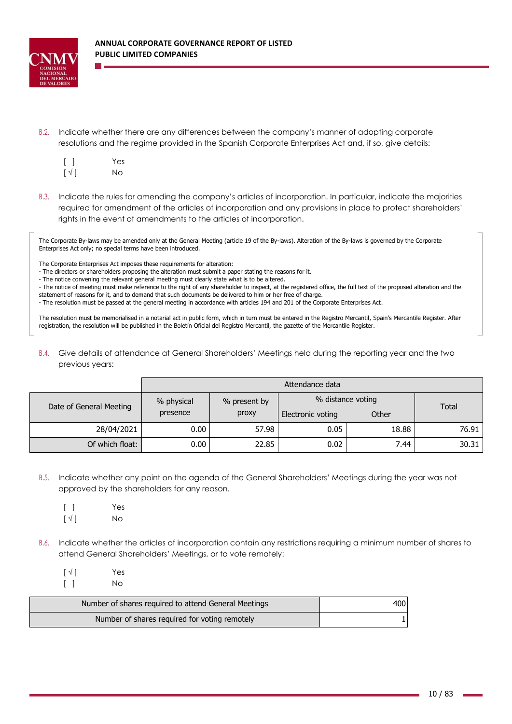

B.2. Indicate whether there are any differences between the company's manner of adopting corporate resolutions and the regime provided in the Spanish Corporate Enterprises Act and, if so, give details:

| $[\ ]$                   | Yes       |
|--------------------------|-----------|
| $\lceil \sqrt{ } \rceil$ | <b>No</b> |

B.3. Indicate the rules for amending the company's articles of incorporation. In particular, indicate the majorities required for amendment of the articles of incorporation and any provisions in place to protect shareholders' rights in the event of amendments to the articles of incorporation.

The Corporate By-laws may be amended only at the General Meeting (article 19 of the By-laws). Alteration of the By-laws is governed by the Corporate Enterprises Act only; no special terms have been introduced.

The Corporate Enterprises Act imposes these requirements for alteration:

- The directors or shareholders proposing the alteration must submit a paper stating the reasons for it.

- The notice convening the relevant general meeting must clearly state what is to be altered.

- The notice of meeting must make reference to the right of any shareholder to inspect, at the registered office, the full text of the proposed alteration and the statement of reasons for it, and to demand that such documents be delivered to him or her free of charge.

- The resolution must be passed at the general meeting in accordance with articles 194 and 201 of the Corporate Enterprises Act.

The resolution must be memorialised in a notarial act in public form, which in turn must be entered in the Registro Mercantil, Spain's Mercantile Register. After registration, the resolution will be published in the Boletín Oficial del Registro Mercantil, the gazette of the Mercantile Register.

B.4. Give details of attendance at General Shareholders' Meetings held during the reporting year and the two previous years:

|                         | Attendance data |              |                   |                   |              |
|-------------------------|-----------------|--------------|-------------------|-------------------|--------------|
| Date of General Meeting | % physical      | % present by |                   | % distance voting | <b>Total</b> |
|                         | presence        | proxy        | Electronic voting | Other             |              |
| 28/04/2021              | 0.00            | 57.98        | 0.05              | 18.88             | 76.91        |
| Of which float:         | 0.00            | 22.85        | 0.02              | 7.44              | 30.31        |

- B.5. Indicate whether any point on the agenda of the General Shareholders' Meetings during the year was not approved by the shareholders for any reason.
	- [ ] Yes  $\lceil \sqrt{|} \rceil$  No
- B.6. Indicate whether the articles of incorporation contain any restrictions requiring a minimum number of shares to attend General Shareholders' Meetings, or to vote remotely:

 $\lceil \sqrt{ } \rceil$  Yes [ ] No

| Number of shares required to attend General Meetings | 400 |
|------------------------------------------------------|-----|
| Number of shares required for voting remotely        |     |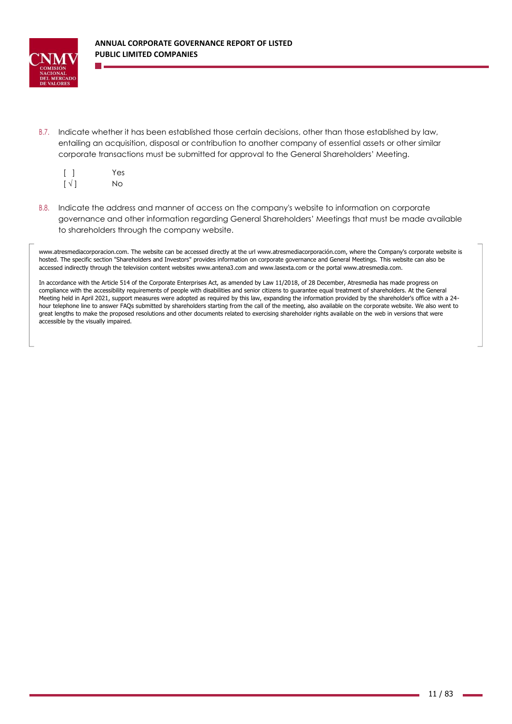

B.7. Indicate whether it has been established those certain decisions, other than those established by law, entailing an acquisition, disposal or contribution to another company of essential assets or other similar corporate transactions must be submitted for approval to the General Shareholders' Meeting.

| $\lceil$ $\rceil$        | Yes |
|--------------------------|-----|
| $\lceil \sqrt{ } \rceil$ | No  |

B.8. Indicate the address and manner of access on the company's website to information on corporate governance and other information regarding General Shareholders' Meetings that must be made available to shareholders through the company website.

[www.atresmediacorporacion.com. T](http://www.atresmediacorporacion.com/)he website can be accessed directly at the ur[l www.atresmediacorporación.com, w](http://www.atresmediacorporación.com/)here the Company's corporate website is hosted. The specific section "Shareholders and Investors" provides information on corporate governance and General Meetings. This website can also be accessed indirectly through the television content websites [www.antena3.com and www.lasexta.com o](http://www.antena3.com/)r the porta[l www.atresmedia.com.](http://www.atresmedia.com/)

In accordance with the Article 514 of the Corporate Enterprises Act, as amended by Law 11/2018, of 28 December, Atresmedia has made progress on compliance with the accessibility requirements of people with disabilities and senior citizens to guarantee equal treatment of shareholders. At the General Meeting held in April 2021, support measures were adopted as required by this law, expanding the information provided by the shareholder's office with a 24 hour telephone line to answer FAQs submitted by shareholders starting from the call of the meeting, also available on the corporate website. We also went to great lengths to make the proposed resolutions and other documents related to exercising shareholder rights available on the web in versions that were accessible by the visually impaired.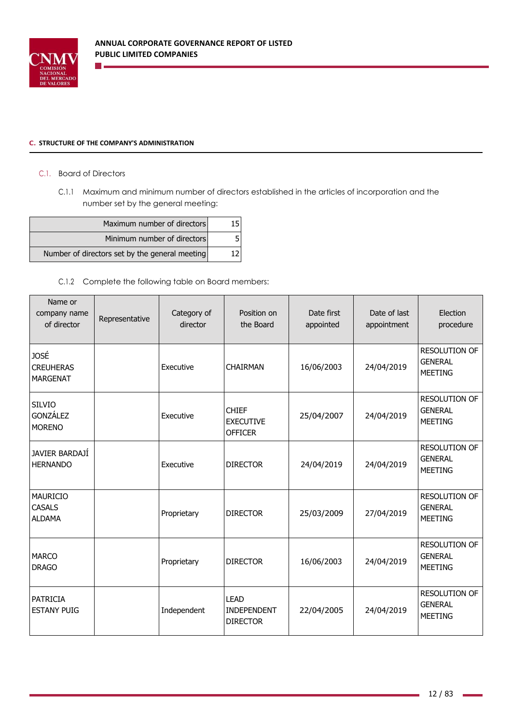

## **C. STRUCTURE OF THE COMPANY'S ADMINISTRATION**

**College** 

# C.1. Board of Directors

C.1.1 Maximum and minimum number of directors established in the articles of incorporation and the number set by the general meeting:

| Maximum number of directors                    |  |
|------------------------------------------------|--|
| Minimum number of directors                    |  |
| Number of directors set by the general meeting |  |

# C.1.2 Complete the following table on Board members:

| Name or<br>company name<br>of director             | Representative | Category of<br>director | Position on<br>the Board                           | Date first<br>appointed | Date of last<br>appointment | Election<br>procedure                                    |
|----------------------------------------------------|----------------|-------------------------|----------------------------------------------------|-------------------------|-----------------------------|----------------------------------------------------------|
| <b>JOSÉ</b><br><b>CREUHERAS</b><br><b>MARGENAT</b> |                | Executive               | <b>CHAIRMAN</b>                                    | 16/06/2003              | 24/04/2019                  | <b>RESOLUTION OF</b><br><b>GENERAL</b><br>MEETING        |
| <b>SILVIO</b><br>GONZÁLEZ<br><b>MORENO</b>         |                | Executive               | <b>CHIEF</b><br><b>EXECUTIVE</b><br><b>OFFICER</b> | 25/04/2007              | 24/04/2019                  | <b>RESOLUTION OF</b><br><b>GENERAL</b><br><b>MEETING</b> |
| JAVIER BARDAJI<br><b>HERNANDO</b>                  |                | Executive               | <b>DIRECTOR</b>                                    | 24/04/2019              | 24/04/2019                  | <b>RESOLUTION OF</b><br><b>GENERAL</b><br><b>MEETING</b> |
| <b>MAURICIO</b><br><b>CASALS</b><br><b>ALDAMA</b>  |                | Proprietary             | <b>DIRECTOR</b>                                    | 25/03/2009              | 27/04/2019                  | <b>RESOLUTION OF</b><br><b>GENERAL</b><br><b>MEETING</b> |
| <b>MARCO</b><br><b>DRAGO</b>                       |                | Proprietary             | <b>DIRECTOR</b>                                    | 16/06/2003              | 24/04/2019                  | <b>RESOLUTION OF</b><br><b>GENERAL</b><br><b>MEETING</b> |
| <b>PATRICIA</b><br><b>ESTANY PUIG</b>              |                | Independent             | <b>LEAD</b><br>INDEPENDENT<br><b>DIRECTOR</b>      | 22/04/2005              | 24/04/2019                  | <b>RESOLUTION OF</b><br><b>GENERAL</b><br><b>MEETING</b> |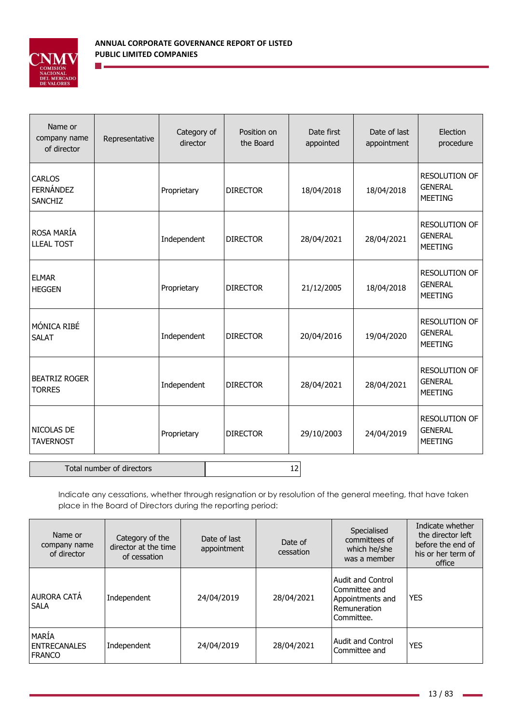

 $\mathcal{O}(\mathbb{R}^d)$ 

| Name or<br>company name<br>of director              | Representative            | Category of<br>director | Position on<br>the Board | Date first<br>appointed | Date of last<br>appointment | Election<br>procedure                                    |
|-----------------------------------------------------|---------------------------|-------------------------|--------------------------|-------------------------|-----------------------------|----------------------------------------------------------|
| <b>CARLOS</b><br><b>FERNÁNDEZ</b><br><b>SANCHIZ</b> |                           | Proprietary             | <b>DIRECTOR</b>          | 18/04/2018              | 18/04/2018                  | <b>RESOLUTION OF</b><br><b>GENERAL</b><br><b>MEETING</b> |
| ROSA MARÍA<br><b>LLEAL TOST</b>                     |                           | Independent             | <b>DIRECTOR</b>          | 28/04/2021              | 28/04/2021                  | <b>RESOLUTION OF</b><br><b>GENERAL</b><br><b>MEETING</b> |
| <b>ELMAR</b><br><b>HEGGEN</b>                       |                           | Proprietary             | <b>DIRECTOR</b>          | 21/12/2005              | 18/04/2018                  | <b>RESOLUTION OF</b><br><b>GENERAL</b><br><b>MEETING</b> |
| MÓNICA RIBÉ<br><b>SALAT</b>                         |                           | Independent             | <b>DIRECTOR</b>          | 20/04/2016              | 19/04/2020                  | <b>RESOLUTION OF</b><br><b>GENERAL</b><br><b>MEETING</b> |
| <b>BEATRIZ ROGER</b><br><b>TORRES</b>               |                           | Independent             | <b>DIRECTOR</b>          | 28/04/2021              | 28/04/2021                  | <b>RESOLUTION OF</b><br><b>GENERAL</b><br><b>MEETING</b> |
| NICOLAS DE<br><b>TAVERNOST</b>                      |                           | Proprietary             | <b>DIRECTOR</b>          | 29/10/2003              | 24/04/2019                  | RESOLUTION OF<br><b>GENERAL</b><br><b>MEETING</b>        |
|                                                     | Total number of directors |                         |                          | 12                      |                             |                                                          |

Indicate any cessations, whether through resignation or by resolution of the general meeting, that have taken place in the Board of Directors during the reporting period:

| Name or<br>company name<br>of director                 | Category of the<br>director at the time<br>of cessation | Date of last<br>appointment | Date of<br>cessation | Specialised<br>committees of<br>which he/she<br>was a member                                | Indicate whether<br>the director left<br>before the end of<br>his or her term of<br>office |
|--------------------------------------------------------|---------------------------------------------------------|-----------------------------|----------------------|---------------------------------------------------------------------------------------------|--------------------------------------------------------------------------------------------|
| <b>AURORA CATÁ</b><br><b>SALA</b>                      | Independent                                             | 24/04/2019                  | 28/04/2021           | <b>Audit and Control</b><br>Committee and<br>Appointments and<br>Remuneration<br>Committee. | <b>YES</b>                                                                                 |
| <b>MARIA</b><br><b>I ENTRECANALES</b><br><b>FRANCO</b> | Independent                                             | 24/04/2019                  | 28/04/2021           | <b>Audit and Control</b><br>Committee and                                                   | <b>YES</b>                                                                                 |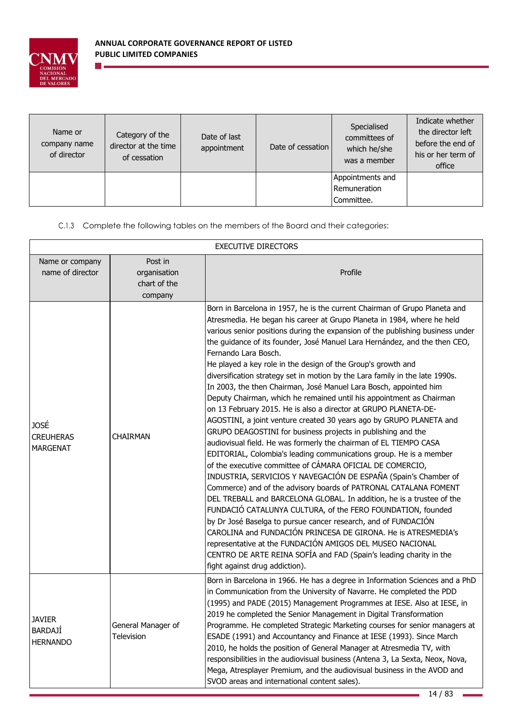

 $\sim$ 

| Name or<br>company name<br>of director | Category of the<br>director at the time<br>of cessation | Date of last<br>appointment | Date of cessation | Specialised<br>committees of<br>which he/she<br>was a member | Indicate whether<br>the director left<br>before the end of<br>his or her term of<br>office |
|----------------------------------------|---------------------------------------------------------|-----------------------------|-------------------|--------------------------------------------------------------|--------------------------------------------------------------------------------------------|
|                                        |                                                         |                             |                   | Appointments and                                             |                                                                                            |
|                                        |                                                         |                             |                   | Remuneration                                                 |                                                                                            |
|                                        |                                                         |                             |                   | Committee.                                                   |                                                                                            |

C.1.3 Complete the following tables on the members of the Board and their categories:

| <b>EXECUTIVE DIRECTORS</b>                         |                                                    |                                                                                                                                                                                                                                                                                                                                                                                                                                                                                                                                                                                                                                                                                                                                                                                                                                                                                                                                                                                                                                                                                                                                                                                                                                                                                                                                                                                                                                                                                                                                                                                                                                                     |  |
|----------------------------------------------------|----------------------------------------------------|-----------------------------------------------------------------------------------------------------------------------------------------------------------------------------------------------------------------------------------------------------------------------------------------------------------------------------------------------------------------------------------------------------------------------------------------------------------------------------------------------------------------------------------------------------------------------------------------------------------------------------------------------------------------------------------------------------------------------------------------------------------------------------------------------------------------------------------------------------------------------------------------------------------------------------------------------------------------------------------------------------------------------------------------------------------------------------------------------------------------------------------------------------------------------------------------------------------------------------------------------------------------------------------------------------------------------------------------------------------------------------------------------------------------------------------------------------------------------------------------------------------------------------------------------------------------------------------------------------------------------------------------------------|--|
| Name or company<br>name of director                | Post in<br>organisation<br>chart of the<br>company | Profile                                                                                                                                                                                                                                                                                                                                                                                                                                                                                                                                                                                                                                                                                                                                                                                                                                                                                                                                                                                                                                                                                                                                                                                                                                                                                                                                                                                                                                                                                                                                                                                                                                             |  |
| JOSÉ<br><b>CREUHERAS</b><br><b>MARGENAT</b>        | <b>CHAIRMAN</b>                                    | Born in Barcelona in 1957, he is the current Chairman of Grupo Planeta and<br>Atresmedia. He began his career at Grupo Planeta in 1984, where he held<br>various senior positions during the expansion of the publishing business under<br>the guidance of its founder, José Manuel Lara Hernández, and the then CEO,<br>Fernando Lara Bosch.<br>He played a key role in the design of the Group's growth and<br>diversification strategy set in motion by the Lara family in the late 1990s.<br>In 2003, the then Chairman, José Manuel Lara Bosch, appointed him<br>Deputy Chairman, which he remained until his appointment as Chairman<br>on 13 February 2015. He is also a director at GRUPO PLANETA-DE-<br>AGOSTINI, a joint venture created 30 years ago by GRUPO PLANETA and<br>GRUPO DEAGOSTINI for business projects in publishing and the<br>audiovisual field. He was formerly the chairman of EL TIEMPO CASA<br>EDITORIAL, Colombia's leading communications group. He is a member<br>of the executive committee of CÁMARA OFICIAL DE COMERCIO,<br>INDUSTRIA, SERVICIOS Y NAVEGACIÓN DE ESPAÑA (Spain's Chamber of<br>Commerce) and of the advisory boards of PATRONAL CATALANA FOMENT<br>DEL TREBALL and BARCELONA GLOBAL. In addition, he is a trustee of the<br>FUNDACIÓ CATALUNYA CULTURA, of the FERO FOUNDATION, founded<br>by Dr José Baselga to pursue cancer research, and of FUNDACIÓN<br>CAROLINA and FUNDACIÓN PRINCESA DE GIRONA. He is ATRESMEDIA's<br>representative at the FUNDACIÓN AMIGOS DEL MUSEO NACIONAL<br>CENTRO DE ARTE REINA SOFÍA and FAD (Spain's leading charity in the<br>fight against drug addiction). |  |
| <b>JAVIER</b><br><b>BARDAJÍ</b><br><b>HERNANDO</b> | General Manager of<br><b>Television</b>            | Born in Barcelona in 1966. He has a degree in Information Sciences and a PhD<br>in Communication from the University of Navarre. He completed the PDD<br>(1995) and PADE (2015) Management Programmes at IESE. Also at IESE, in<br>2019 he completed the Senior Management in Digital Transformation<br>Programme. He completed Strategic Marketing courses for senior managers at<br>ESADE (1991) and Accountancy and Finance at IESE (1993). Since March<br>2010, he holds the position of General Manager at Atresmedia TV, with<br>responsibilities in the audiovisual business (Antena 3, La Sexta, Neox, Nova,<br>Mega, Atresplayer Premium, and the audiovisual business in the AVOD and<br>SVOD areas and international content sales).                                                                                                                                                                                                                                                                                                                                                                                                                                                                                                                                                                                                                                                                                                                                                                                                                                                                                                     |  |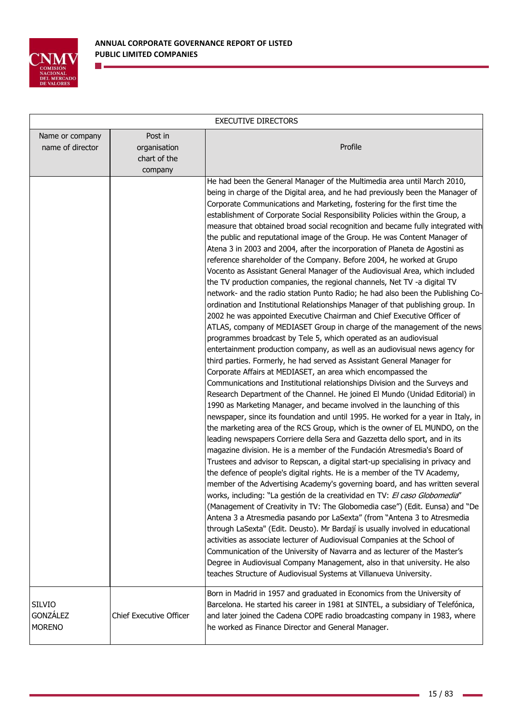

n e

| <b>EXECUTIVE DIRECTORS</b>                        |                                                    |                                                                                                                                                                                                                                                                                                                                                                                                                                                                                                                                                                                                                                                                                                                                                                                                                                                                                                                                                                                                                                                                                                                                                                                                                                                                                                                                                                                                                                                                                                                                                                                                                                                                                                                                                                                                                                                                                                                                                                                                                                                                                                                                                                                                                                                                                                                                                                                                                                                                                                                                                                                                                                                                                                                                                                                                                                                                                                             |  |
|---------------------------------------------------|----------------------------------------------------|-------------------------------------------------------------------------------------------------------------------------------------------------------------------------------------------------------------------------------------------------------------------------------------------------------------------------------------------------------------------------------------------------------------------------------------------------------------------------------------------------------------------------------------------------------------------------------------------------------------------------------------------------------------------------------------------------------------------------------------------------------------------------------------------------------------------------------------------------------------------------------------------------------------------------------------------------------------------------------------------------------------------------------------------------------------------------------------------------------------------------------------------------------------------------------------------------------------------------------------------------------------------------------------------------------------------------------------------------------------------------------------------------------------------------------------------------------------------------------------------------------------------------------------------------------------------------------------------------------------------------------------------------------------------------------------------------------------------------------------------------------------------------------------------------------------------------------------------------------------------------------------------------------------------------------------------------------------------------------------------------------------------------------------------------------------------------------------------------------------------------------------------------------------------------------------------------------------------------------------------------------------------------------------------------------------------------------------------------------------------------------------------------------------------------------------------------------------------------------------------------------------------------------------------------------------------------------------------------------------------------------------------------------------------------------------------------------------------------------------------------------------------------------------------------------------------------------------------------------------------------------------------------------------|--|
| Name or company<br>name of director               | Post in<br>organisation<br>chart of the<br>company | Profile                                                                                                                                                                                                                                                                                                                                                                                                                                                                                                                                                                                                                                                                                                                                                                                                                                                                                                                                                                                                                                                                                                                                                                                                                                                                                                                                                                                                                                                                                                                                                                                                                                                                                                                                                                                                                                                                                                                                                                                                                                                                                                                                                                                                                                                                                                                                                                                                                                                                                                                                                                                                                                                                                                                                                                                                                                                                                                     |  |
|                                                   |                                                    | He had been the General Manager of the Multimedia area until March 2010,<br>being in charge of the Digital area, and he had previously been the Manager of<br>Corporate Communications and Marketing, fostering for the first time the<br>establishment of Corporate Social Responsibility Policies within the Group, a<br>measure that obtained broad social recognition and became fully integrated with<br>the public and reputational image of the Group. He was Content Manager of<br>Atena 3 in 2003 and 2004, after the incorporation of Planeta de Agostini as<br>reference shareholder of the Company. Before 2004, he worked at Grupo<br>Vocento as Assistant General Manager of the Audiovisual Area, which included<br>the TV production companies, the regional channels, Net TV -a digital TV<br>network- and the radio station Punto Radio; he had also been the Publishing Co-<br>ordination and Institutional Relationships Manager of that publishing group. In<br>2002 he was appointed Executive Chairman and Chief Executive Officer of<br>ATLAS, company of MEDIASET Group in charge of the management of the news<br>programmes broadcast by Tele 5, which operated as an audiovisual<br>entertainment production company, as well as an audiovisual news agency for<br>third parties. Formerly, he had served as Assistant General Manager for<br>Corporate Affairs at MEDIASET, an area which encompassed the<br>Communications and Institutional relationships Division and the Surveys and<br>Research Department of the Channel. He joined El Mundo (Unidad Editorial) in<br>1990 as Marketing Manager, and became involved in the launching of this<br>newspaper, since its foundation and until 1995. He worked for a year in Italy, in<br>the marketing area of the RCS Group, which is the owner of EL MUNDO, on the<br>leading newspapers Corriere della Sera and Gazzetta dello sport, and in its<br>magazine division. He is a member of the Fundación Atresmedia's Board of<br>Trustees and advisor to Repscan, a digital start-up specialising in privacy and<br>the defence of people's digital rights. He is a member of the TV Academy,<br>member of the Advertising Academy's governing board, and has written several<br>works, including: "La gestión de la creatividad en TV: El caso Globomedia"<br>(Management of Creativity in TV: The Globomedia case") (Edit. Eunsa) and "De<br>Antena 3 a Atresmedia pasando por LaSexta" (from "Antena 3 to Atresmedia<br>through LaSexta" (Edit. Deusto). Mr Bardají is usually involved in educational<br>activities as associate lecturer of Audiovisual Companies at the School of<br>Communication of the University of Navarra and as lecturer of the Master's<br>Degree in Audiovisual Company Management, also in that university. He also<br>teaches Structure of Audiovisual Systems at Villanueva University. |  |
| <b>SILVIO</b><br><b>GONZÁLEZ</b><br><b>MORENO</b> | <b>Chief Executive Officer</b>                     | Born in Madrid in 1957 and graduated in Economics from the University of<br>Barcelona. He started his career in 1981 at SINTEL, a subsidiary of Telefónica,<br>and later joined the Cadena COPE radio broadcasting company in 1983, where<br>he worked as Finance Director and General Manager.                                                                                                                                                                                                                                                                                                                                                                                                                                                                                                                                                                                                                                                                                                                                                                                                                                                                                                                                                                                                                                                                                                                                                                                                                                                                                                                                                                                                                                                                                                                                                                                                                                                                                                                                                                                                                                                                                                                                                                                                                                                                                                                                                                                                                                                                                                                                                                                                                                                                                                                                                                                                             |  |

í.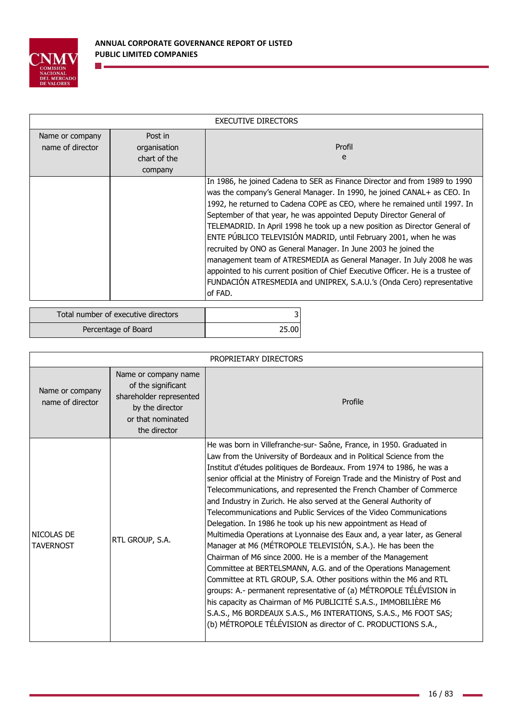

n l

|                                     | <b>EXECUTIVE DIRECTORS</b>                         |                                                                                                                                                                                                                                                                                                                                                                                                                                                                                                                                                                                                                                                                                                                                                                                 |  |  |
|-------------------------------------|----------------------------------------------------|---------------------------------------------------------------------------------------------------------------------------------------------------------------------------------------------------------------------------------------------------------------------------------------------------------------------------------------------------------------------------------------------------------------------------------------------------------------------------------------------------------------------------------------------------------------------------------------------------------------------------------------------------------------------------------------------------------------------------------------------------------------------------------|--|--|
| Name or company<br>name of director | Post in<br>organisation<br>chart of the<br>company | Profil<br>e                                                                                                                                                                                                                                                                                                                                                                                                                                                                                                                                                                                                                                                                                                                                                                     |  |  |
|                                     |                                                    | In 1986, he joined Cadena to SER as Finance Director and from 1989 to 1990<br>was the company's General Manager. In 1990, he joined CANAL+ as CEO. In<br>1992, he returned to Cadena COPE as CEO, where he remained until 1997. In<br>September of that year, he was appointed Deputy Director General of<br>TELEMADRID. In April 1998 he took up a new position as Director General of<br>ENTE PÚBLICO TELEVISIÓN MADRID, until February 2001, when he was<br>recruited by ONO as General Manager. In June 2003 he joined the<br>management team of ATRESMEDIA as General Manager. In July 2008 he was<br>appointed to his current position of Chief Executive Officer. He is a trustee of<br>FUNDACIÓN ATRESMEDIA and UNIPREX, S.A.U.'s (Onda Cero) representative<br>of FAD. |  |  |

| Total number of executive directors | ∽     |
|-------------------------------------|-------|
| Percentage of Board                 | 25.00 |

|                                     | PROPRIETARY DIRECTORS                                                                                                         |                                                                                                                                                                                                                                                                                                                                                                                                                                                                                                                                                                                                                                                                                                                                                                                                                                                                                                                                                                                                                                                                                                                                                                                                                               |  |  |
|-------------------------------------|-------------------------------------------------------------------------------------------------------------------------------|-------------------------------------------------------------------------------------------------------------------------------------------------------------------------------------------------------------------------------------------------------------------------------------------------------------------------------------------------------------------------------------------------------------------------------------------------------------------------------------------------------------------------------------------------------------------------------------------------------------------------------------------------------------------------------------------------------------------------------------------------------------------------------------------------------------------------------------------------------------------------------------------------------------------------------------------------------------------------------------------------------------------------------------------------------------------------------------------------------------------------------------------------------------------------------------------------------------------------------|--|--|
| Name or company<br>name of director | Name or company name<br>of the significant<br>shareholder represented<br>by the director<br>or that nominated<br>the director | Profile                                                                                                                                                                                                                                                                                                                                                                                                                                                                                                                                                                                                                                                                                                                                                                                                                                                                                                                                                                                                                                                                                                                                                                                                                       |  |  |
| NICOLAS DE<br><b>TAVERNOST</b>      | RTL GROUP, S.A.                                                                                                               | He was born in Villefranche-sur- Saône, France, in 1950. Graduated in<br>Law from the University of Bordeaux and in Political Science from the<br>Institut d'études politiques de Bordeaux. From 1974 to 1986, he was a<br>senior official at the Ministry of Foreign Trade and the Ministry of Post and<br>Telecommunications, and represented the French Chamber of Commerce<br>and Industry in Zurich. He also served at the General Authority of<br>Telecommunications and Public Services of the Video Communications<br>Delegation. In 1986 he took up his new appointment as Head of<br>Multimedia Operations at Lyonnaise des Eaux and, a year later, as General<br>Manager at M6 (MÉTROPOLE TELEVISIÓN, S.A.). He has been the<br>Chairman of M6 since 2000. He is a member of the Management<br>Committee at BERTELSMANN, A.G. and of the Operations Management<br>Committee at RTL GROUP, S.A. Other positions within the M6 and RTL<br>groups: A.- permanent representative of (a) MÉTROPOLE TÉLÉVISION in<br>his capacity as Chairman of M6 PUBLICITÉ S.A.S., IMMOBILIÈRE M6<br>S.A.S., M6 BORDEAUX S.A.S., M6 INTERATIONS, S.A.S., M6 FOOT SAS;<br>(b) MÉTROPOLE TÉLÉVISION as director of C. PRODUCTIONS S.A., |  |  |

ä

۳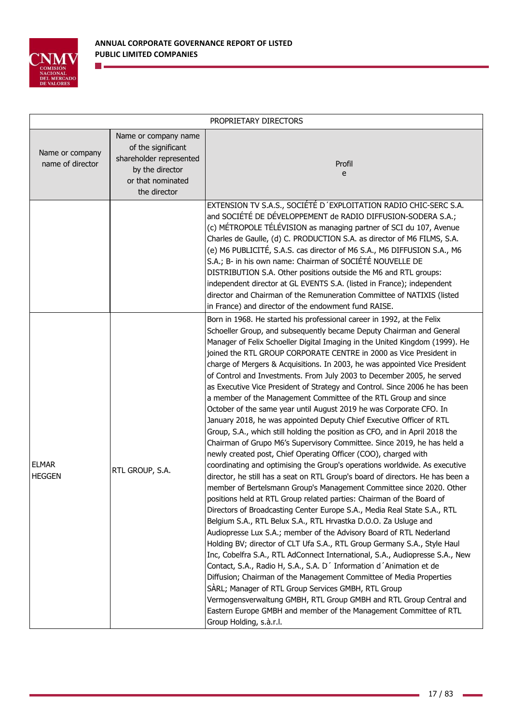

| PROPRIETARY DIRECTORS               |                                                                                                                               |                                                                                                                                                                                                                                                                                                                                                                                                                                                                                                                                                                                                                                                                                                                                                                                                                                                                                                                                                                                                                                                                                                                                                                                                                                                                                                                                                                                                                                                                                                                                                                                                                                                                                                                                                                                                                                                                                                                                                                                                                                                                         |  |
|-------------------------------------|-------------------------------------------------------------------------------------------------------------------------------|-------------------------------------------------------------------------------------------------------------------------------------------------------------------------------------------------------------------------------------------------------------------------------------------------------------------------------------------------------------------------------------------------------------------------------------------------------------------------------------------------------------------------------------------------------------------------------------------------------------------------------------------------------------------------------------------------------------------------------------------------------------------------------------------------------------------------------------------------------------------------------------------------------------------------------------------------------------------------------------------------------------------------------------------------------------------------------------------------------------------------------------------------------------------------------------------------------------------------------------------------------------------------------------------------------------------------------------------------------------------------------------------------------------------------------------------------------------------------------------------------------------------------------------------------------------------------------------------------------------------------------------------------------------------------------------------------------------------------------------------------------------------------------------------------------------------------------------------------------------------------------------------------------------------------------------------------------------------------------------------------------------------------------------------------------------------------|--|
| Name or company<br>name of director | Name or company name<br>of the significant<br>shareholder represented<br>by the director<br>or that nominated<br>the director | Profil<br>e                                                                                                                                                                                                                                                                                                                                                                                                                                                                                                                                                                                                                                                                                                                                                                                                                                                                                                                                                                                                                                                                                                                                                                                                                                                                                                                                                                                                                                                                                                                                                                                                                                                                                                                                                                                                                                                                                                                                                                                                                                                             |  |
|                                     |                                                                                                                               | EXTENSION TV S.A.S., SOCIÉTÉ D'EXPLOITATION RADIO CHIC-SERC S.A.<br>and SOCIÉTÉ DE DÉVELOPPEMENT de RADIO DIFFUSION-SODERA S.A.;<br>(c) MÉTROPOLE TÉLÉVISION as managing partner of SCI du 107, Avenue<br>Charles de Gaulle, (d) C. PRODUCTION S.A. as director of M6 FILMS, S.A.<br>(e) M6 PUBLICITÉ, S.A.S. cas director of M6 S.A., M6 DIFFUSION S.A., M6<br>S.A.; B- in his own name: Chairman of SOCIÉTÉ NOUVELLE DE<br>DISTRIBUTION S.A. Other positions outside the M6 and RTL groups:<br>independent director at GL EVENTS S.A. (listed in France); independent<br>director and Chairman of the Remuneration Committee of NATIXIS (listed<br>in France) and director of the endowment fund RAISE.                                                                                                                                                                                                                                                                                                                                                                                                                                                                                                                                                                                                                                                                                                                                                                                                                                                                                                                                                                                                                                                                                                                                                                                                                                                                                                                                                               |  |
| <b>ELMAR</b><br><b>HEGGEN</b>       | RTL GROUP, S.A.                                                                                                               | Born in 1968. He started his professional career in 1992, at the Felix<br>Schoeller Group, and subsequently became Deputy Chairman and General<br>Manager of Felix Schoeller Digital Imaging in the United Kingdom (1999). He<br>joined the RTL GROUP CORPORATE CENTRE in 2000 as Vice President in<br>charge of Mergers & Acquisitions. In 2003, he was appointed Vice President<br>of Control and Investments. From July 2003 to December 2005, he served<br>as Executive Vice President of Strategy and Control. Since 2006 he has been<br>a member of the Management Committee of the RTL Group and since<br>October of the same year until August 2019 he was Corporate CFO. In<br>January 2018, he was appointed Deputy Chief Executive Officer of RTL<br>Group, S.A., which still holding the position as CFO, and in April 2018 the<br>Chairman of Grupo M6's Supervisory Committee. Since 2019, he has held a<br>newly created post, Chief Operating Officer (COO), charged with<br>coordinating and optimising the Group's operations worldwide. As executive<br>director, he still has a seat on RTL Group's board of directors. He has been a<br>member of Bertelsmann Group's Management Committee since 2020. Other<br>positions held at RTL Group related parties: Chairman of the Board of<br>Directors of Broadcasting Center Europe S.A., Media Real State S.A., RTL<br>Belgium S.A., RTL Belux S.A., RTL Hrvastka D.O.O. Za Usluge and<br>Audiopresse Lux S.A.; member of the Advisory Board of RTL Nederland<br>Holding BV; director of CLT Ufa S.A., RTL Group Germany S.A., Style Haul<br>Inc, Cobelfra S.A., RTL AdConnect International, S.A., Audiopresse S.A., New<br>Contact, S.A., Radio H, S.A., S.A. D' Information d'Animation et de<br>Diffusion; Chairman of the Management Committee of Media Properties<br>SARL; Manager of RTL Group Services GMBH, RTL Group<br>Vermogensverwaltung GMBH, RTL Group GMBH and RTL Group Central and<br>Eastern Europe GMBH and member of the Management Committee of RTL<br>Group Holding, s.à.r.l. |  |

ä

÷,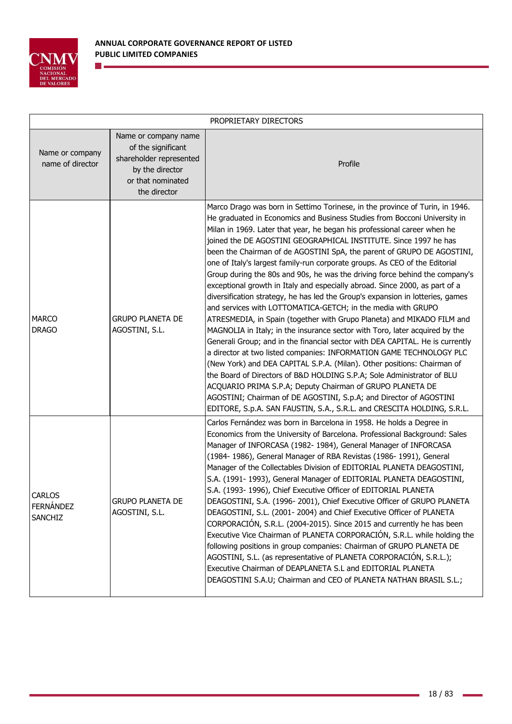

n e

| PROPRIETARY DIRECTORS                        |                                                                                                                               |                                                                                                                                                                                                                                                                                                                                                                                                                                                                                                                                                                                                                                                                                                                                                                                                                                                                                                                                                                                                                                                                                                                                                                                                                                                                                                                                                                                                                                                                       |  |
|----------------------------------------------|-------------------------------------------------------------------------------------------------------------------------------|-----------------------------------------------------------------------------------------------------------------------------------------------------------------------------------------------------------------------------------------------------------------------------------------------------------------------------------------------------------------------------------------------------------------------------------------------------------------------------------------------------------------------------------------------------------------------------------------------------------------------------------------------------------------------------------------------------------------------------------------------------------------------------------------------------------------------------------------------------------------------------------------------------------------------------------------------------------------------------------------------------------------------------------------------------------------------------------------------------------------------------------------------------------------------------------------------------------------------------------------------------------------------------------------------------------------------------------------------------------------------------------------------------------------------------------------------------------------------|--|
| Name or company<br>name of director          | Name or company name<br>of the significant<br>shareholder represented<br>by the director<br>or that nominated<br>the director | Profile                                                                                                                                                                                                                                                                                                                                                                                                                                                                                                                                                                                                                                                                                                                                                                                                                                                                                                                                                                                                                                                                                                                                                                                                                                                                                                                                                                                                                                                               |  |
| <b>MARCO</b><br><b>DRAGO</b>                 | <b>GRUPO PLANETA DE</b><br>AGOSTINI, S.L.                                                                                     | Marco Drago was born in Settimo Torinese, in the province of Turin, in 1946.<br>He graduated in Economics and Business Studies from Bocconi University in<br>Milan in 1969. Later that year, he began his professional career when he<br>joined the DE AGOSTINI GEOGRAPHICAL INSTITUTE. Since 1997 he has<br>been the Chairman of de AGOSTINI SpA, the parent of GRUPO DE AGOSTINI,<br>one of Italy's largest family-run corporate groups. As CEO of the Editorial<br>Group during the 80s and 90s, he was the driving force behind the company's<br>exceptional growth in Italy and especially abroad. Since 2000, as part of a<br>diversification strategy, he has led the Group's expansion in lotteries, games<br>and services with LOTTOMATICA-GETCH; in the media with GRUPO<br>ATRESMEDIA, in Spain (together with Grupo Planeta) and MIKADO FILM and<br>MAGNOLIA in Italy; in the insurance sector with Toro, later acquired by the<br>Generali Group; and in the financial sector with DEA CAPITAL. He is currently<br>a director at two listed companies: INFORMATION GAME TECHNOLOGY PLC<br>(New York) and DEA CAPITAL S.P.A. (Milan). Other positions: Chairman of<br>the Board of Directors of B&D HOLDING S.P.A; Sole Administrator of BLU<br>ACQUARIO PRIMA S.P.A; Deputy Chairman of GRUPO PLANETA DE<br>AGOSTINI; Chairman of DE AGOSTINI, S.p.A; and Director of AGOSTINI<br>EDITORE, S.p.A. SAN FAUSTIN, S.A., S.R.L. and CRESCITA HOLDING, S.R.L. |  |
| <b>CARLOS</b><br><b>FERNÁNDEZ</b><br>SANCHIZ | <b>GRUPO PLANETA DE</b><br>AGOSTINI, S.L.                                                                                     | Carlos Fernández was born in Barcelona in 1958. He holds a Degree in<br>Economics from the University of Barcelona. Professional Background: Sales<br>Manager of INFORCASA (1982-1984), General Manager of INFORCASA<br>(1984-1986), General Manager of RBA Revistas (1986-1991), General<br>Manager of the Collectables Division of EDITORIAL PLANETA DEAGOSTINI,<br>S.A. (1991-1993), General Manager of EDITORIAL PLANETA DEAGOSTINI,<br>S.A. (1993-1996), Chief Executive Officer of EDITORIAL PLANETA<br>DEAGOSTINI, S.A. (1996-2001), Chief Executive Officer of GRUPO PLANETA<br>DEAGOSTINI, S.L. (2001-2004) and Chief Executive Officer of PLANETA<br>CORPORACIÓN, S.R.L. (2004-2015). Since 2015 and currently he has been<br>Executive Vice Chairman of PLANETA CORPORACIÓN, S.R.L. while holding the<br>following positions in group companies: Chairman of GRUPO PLANETA DE<br>AGOSTINI, S.L. (as representative of PLANETA CORPORACIÓN, S.R.L.);<br>Executive Chairman of DEAPLANETA S.L and EDITORIAL PLANETA<br>DEAGOSTINI S.A.U; Chairman and CEO of PLANETA NATHAN BRASIL S.L.;                                                                                                                                                                                                                                                                                                                                                                     |  |

i.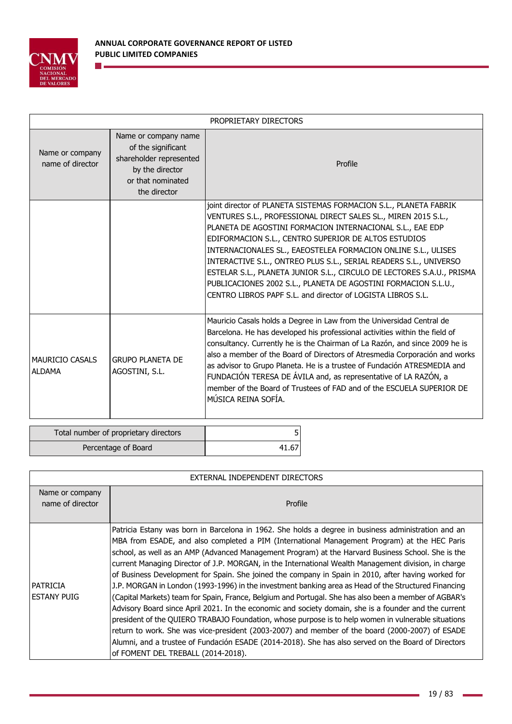

 $\mathcal{C}^{\mathcal{A}}$ 

Percentage of Board 41.67

|                                         | PROPRIETARY DIRECTORS                                                                                                         |                                                                                                                                                                                                                                                                                                                                                                                                                                                                                                                                                                                                          |  |  |  |
|-----------------------------------------|-------------------------------------------------------------------------------------------------------------------------------|----------------------------------------------------------------------------------------------------------------------------------------------------------------------------------------------------------------------------------------------------------------------------------------------------------------------------------------------------------------------------------------------------------------------------------------------------------------------------------------------------------------------------------------------------------------------------------------------------------|--|--|--|
| Name or company<br>name of director     | Name or company name<br>of the significant<br>shareholder represented<br>by the director<br>or that nominated<br>the director | Profile                                                                                                                                                                                                                                                                                                                                                                                                                                                                                                                                                                                                  |  |  |  |
|                                         |                                                                                                                               | joint director of PLANETA SISTEMAS FORMACION S.L., PLANETA FABRIK<br>VENTURES S.L., PROFESSIONAL DIRECT SALES SL., MIREN 2015 S.L.,<br>PLANETA DE AGOSTINI FORMACION INTERNACIONAL S.L., EAE EDP<br>EDIFORMACION S.L., CENTRO SUPERIOR DE ALTOS ESTUDIOS<br>INTERNACIONALES SL., EAEOSTELEA FORMACION ONLINE S.L., ULISES<br>INTERACTIVE S.L., ONTREO PLUS S.L., SERIAL READERS S.L., UNIVERSO<br>ESTELAR S.L., PLANETA JUNIOR S.L., CIRCULO DE LECTORES S.A.U., PRISMA<br>PUBLICACIONES 2002 S.L., PLANETA DE AGOSTINI FORMACION S.L.U.,<br>CENTRO LIBROS PAPF S.L. and director of LOGISTA LIBROS S.L. |  |  |  |
| <b>MAURICIO CASALS</b><br><b>ALDAMA</b> | <b>GRUPO PLANETA DE</b><br>AGOSTINI, S.L.                                                                                     | Mauricio Casals holds a Degree in Law from the Universidad Central de<br>Barcelona. He has developed his professional activities within the field of<br>consultancy. Currently he is the Chairman of La Razón, and since 2009 he is<br>also a member of the Board of Directors of Atresmedia Corporación and works<br>as advisor to Grupo Planeta. He is a trustee of Fundación ATRESMEDIA and<br>FUNDACIÓN TERESA DE ÁVILA and, as representative of LA RAZÓN, a<br>member of the Board of Trustees of FAD and of the ESCUELA SUPERIOR DE<br>MÚSICA REINA SOFÍA.                                        |  |  |  |
|                                         | Total number of proprietary directors                                                                                         | 51                                                                                                                                                                                                                                                                                                                                                                                                                                                                                                                                                                                                       |  |  |  |

|                                       | EXTERNAL INDEPENDENT DIRECTORS                                                                                                                                                                                                                                                                                                                                                                                                                                                                                                                                                                                                                                                                                                                                                                                                                                                                                                                                                                                                                                                                                                                                                                            |  |  |  |  |
|---------------------------------------|-----------------------------------------------------------------------------------------------------------------------------------------------------------------------------------------------------------------------------------------------------------------------------------------------------------------------------------------------------------------------------------------------------------------------------------------------------------------------------------------------------------------------------------------------------------------------------------------------------------------------------------------------------------------------------------------------------------------------------------------------------------------------------------------------------------------------------------------------------------------------------------------------------------------------------------------------------------------------------------------------------------------------------------------------------------------------------------------------------------------------------------------------------------------------------------------------------------|--|--|--|--|
| Name or company<br>name of director   | Profile                                                                                                                                                                                                                                                                                                                                                                                                                                                                                                                                                                                                                                                                                                                                                                                                                                                                                                                                                                                                                                                                                                                                                                                                   |  |  |  |  |
| <b>PATRICIA</b><br><b>ESTANY PUIG</b> | Patricia Estany was born in Barcelona in 1962. She holds a degree in business administration and an<br>MBA from ESADE, and also completed a PIM (International Management Program) at the HEC Paris<br>school, as well as an AMP (Advanced Management Program) at the Harvard Business School. She is the<br>current Managing Director of J.P. MORGAN, in the International Wealth Management division, in charge<br>of Business Development for Spain. She joined the company in Spain in 2010, after having worked for<br>J.P. MORGAN in London (1993-1996) in the investment banking area as Head of the Structured Financing<br>(Capital Markets) team for Spain, France, Belgium and Portugal. She has also been a member of AGBAR's<br>Advisory Board since April 2021. In the economic and society domain, she is a founder and the current<br>president of the QUIERO TRABAJO Foundation, whose purpose is to help women in vulnerable situations<br>return to work. She was vice-president (2003-2007) and member of the board (2000-2007) of ESADE<br>Alumni, and a trustee of Fundación ESADE (2014-2018). She has also served on the Board of Directors<br>of FOMENT DEL TREBALL (2014-2018). |  |  |  |  |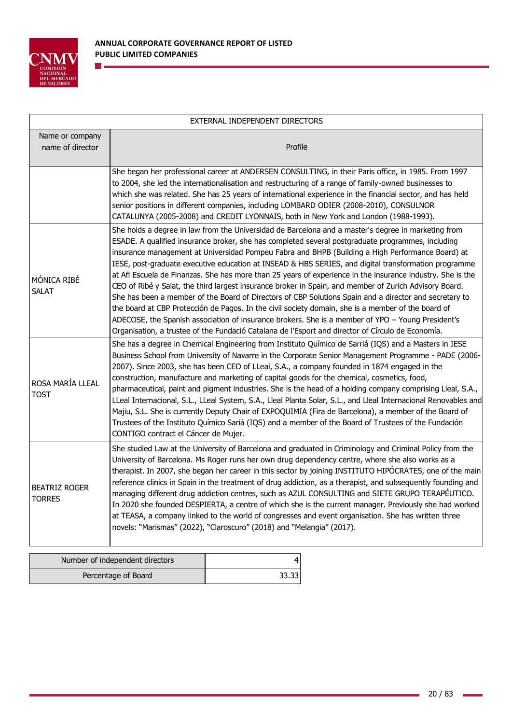

n e

| EXTERNAL INDEPENDENT DIRECTORS        |                                                                                                                                                                                                                                                                                                                                                                                                                                                                                                                                                                                                                                                                                                                                                                                                                                                                                                                                                                                                                                                                        |  |  |  |
|---------------------------------------|------------------------------------------------------------------------------------------------------------------------------------------------------------------------------------------------------------------------------------------------------------------------------------------------------------------------------------------------------------------------------------------------------------------------------------------------------------------------------------------------------------------------------------------------------------------------------------------------------------------------------------------------------------------------------------------------------------------------------------------------------------------------------------------------------------------------------------------------------------------------------------------------------------------------------------------------------------------------------------------------------------------------------------------------------------------------|--|--|--|
| Name or company<br>name of director   | Profile                                                                                                                                                                                                                                                                                                                                                                                                                                                                                                                                                                                                                                                                                                                                                                                                                                                                                                                                                                                                                                                                |  |  |  |
|                                       | She began her professional career at ANDERSEN CONSULTING, in their Paris office, in 1985. From 1997<br>to 2004, she led the internationalisation and restructuring of a range of family-owned businesses to<br>which she was related. She has 25 years of international experience in the financial sector, and has held<br>senior positions in different companies, including LOMBARD ODIER (2008-2010), CONSULNOR<br>CATALUNYA (2005-2008) and CREDIT LYONNAIS, both in New York and London (1988-1993).                                                                                                                                                                                                                                                                                                                                                                                                                                                                                                                                                             |  |  |  |
| MÓNICA RIBÉ<br><b>SALAT</b>           | She holds a degree in law from the Universidad de Barcelona and a master's degree in marketing from<br>ESADE. A qualified insurance broker, she has completed several postgraduate programmes, including<br>insurance management at Universidad Pompeu Fabra and BHPB (Building a High Performance Board) at<br>IESE, post-graduate executive education at INSEAD & HBS SERIES, and digital transformation programme<br>at Afi Escuela de Finanzas. She has more than 25 years of experience in the insurance industry. She is the<br>CEO of Ribé y Salat, the third largest insurance broker in Spain, and member of Zurich Advisory Board.<br>She has been a member of the Board of Directors of CBP Solutions Spain and a director and secretary to<br>the board at CBP Protección de Pagos. In the civil society domain, she is a member of the board of<br>ADECOSE, the Spanish association of insurance brokers. She is a member of YPO - Young President's<br>Organisation, a trustee of the Fundació Catalana de l'Esport and director of Círculo de Economía. |  |  |  |
| ROSA MARÍA LLEAL<br><b>TOST</b>       | She has a degree in Chemical Engineering from Instituto Químico de Sarriá (IQS) and a Masters in IESE<br>Business School from University of Navarre in the Corporate Senior Management Programme - PADE (2006-<br>2007). Since 2003, she has been CEO of LLeal, S.A., a company founded in 1874 engaged in the<br>construction, manufacture and marketing of capital goods for the chemical, cosmetics, food,<br>pharmaceutical, paint and pigment industries. She is the head of a holding company comprising Lleal, S.A.,<br>LLeal Internacional, S.L., LLeal System, S.A., Lleal Planta Solar, S.L., and Lleal Internacional Renovables and<br>Majiu, S.L. She is currently Deputy Chair of EXPOQUIMIA (Fira de Barcelona), a member of the Board of<br>Trustees of the Instituto Químico Sariá (IQS) and a member of the Board of Trustees of the Fundación<br>CONTIGO contract el Cáncer de Mujer.                                                                                                                                                                |  |  |  |
| <b>BEATRIZ ROGER</b><br><b>TORRES</b> | She studied Law at the University of Barcelona and graduated in Criminology and Criminal Policy from the<br>University of Barcelona. Ms Roger runs her own drug dependency centre, where she also works as a<br>therapist. In 2007, she began her career in this sector by joining INSTITUTO HIPÓCRATES, one of the main<br>reference clinics in Spain in the treatment of drug addiction, as a therapist, and subsequently founding and<br>managing different drug addiction centres, such as AZUL CONSULTING and SIETE GRUPO TERAPÉUTICO.<br>In 2020 she founded DESPIERTA, a centre of which she is the current manager. Previously she had worked<br>at TEASA, a company linked to the world of congresses and event organisation. She has written three<br>novels: "Marismas" (2022), "Claroscuro" (2018) and "Melangia" (2017).                                                                                                                                                                                                                                  |  |  |  |

| Number of independent directors |       |
|---------------------------------|-------|
| Percentage of Board             | 33.33 |

ä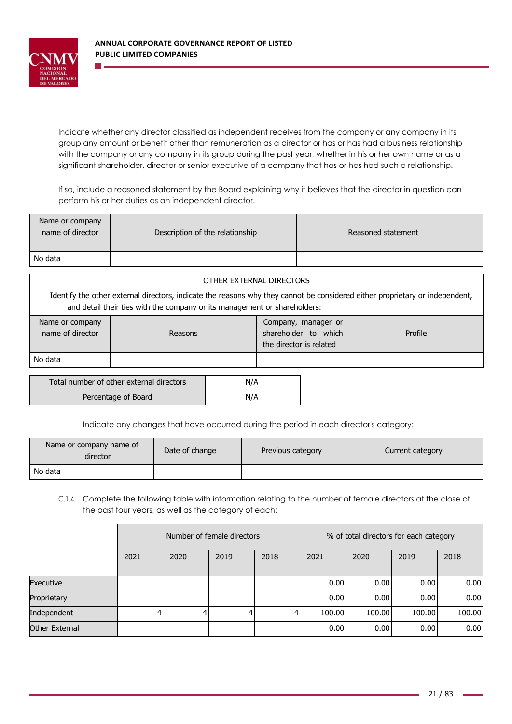

Indicate whether any director classified as independent receives from the company or any company in its group any amount or benefit other than remuneration as a director or has or has had a business relationship with the company or any company in its group during the past year, whether in his or her own name or as a significant shareholder, director or senior executive of a company that has or has had such a relationship.

If so, include a reasoned statement by the Board explaining why it believes that the director in question can perform his or her duties as an independent director.

| Name or company<br>name of director | Description of the relationship | Reasoned statement |
|-------------------------------------|---------------------------------|--------------------|
| No data                             |                                 |                    |

| OTHER EXTERNAL DIRECTORS                                                                                                                                                                                  |                                                                                              |  |  |  |  |
|-----------------------------------------------------------------------------------------------------------------------------------------------------------------------------------------------------------|----------------------------------------------------------------------------------------------|--|--|--|--|
| Identify the other external directors, indicate the reasons why they cannot be considered either proprietary or independent,<br>and detail their ties with the company or its management or shareholders: |                                                                                              |  |  |  |  |
| Name or company<br>name of director                                                                                                                                                                       | Company, manager or<br>shareholder to which<br>Profile<br>Reasons<br>the director is related |  |  |  |  |
| No data                                                                                                                                                                                                   |                                                                                              |  |  |  |  |

| Total number of other external directors | N/A |
|------------------------------------------|-----|
| Percentage of Board                      | N/A |

Indicate any changes that have occurred during the period in each director's category:

| Name or company name of<br>director | Date of change | Previous category | Current category |
|-------------------------------------|----------------|-------------------|------------------|
| No data                             |                |                   |                  |

C.1.4 Complete the following table with information relating to the number of female directors at the close of the past four years, as well as the category of each:

|                | Number of female directors |      |      | % of total directors for each category |        |        |        |        |
|----------------|----------------------------|------|------|----------------------------------------|--------|--------|--------|--------|
|                | 2021                       | 2020 | 2019 | 2018                                   | 2021   | 2020   | 2019   | 2018   |
| Executive      |                            |      |      |                                        | 0.00   | 0.00   | 0.00   | 0.00   |
| Proprietary    |                            |      |      |                                        | 0.00   | 0.00   | 0.00   | 0.00   |
| Independent    |                            |      | 4    | 4                                      | 100.00 | 100.00 | 100.00 | 100.00 |
| Other External |                            |      |      |                                        | 0.00   | 0.00   | 0.00   | 0.00   |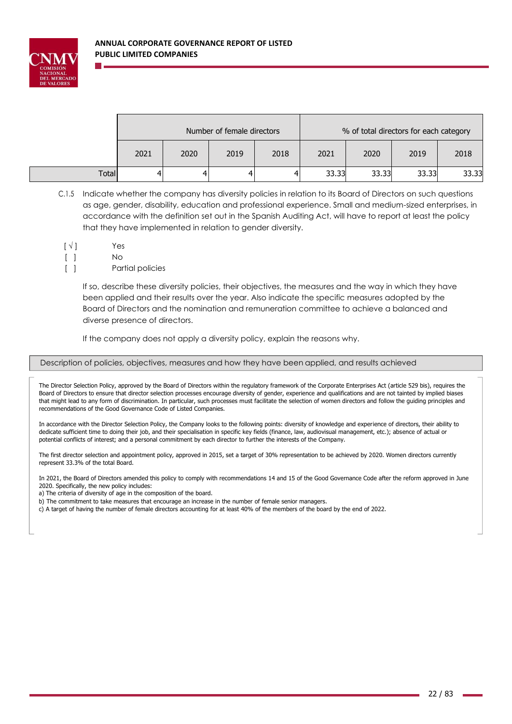

|              | Number of female directors |      |      |      |       | % of total directors for each category |       |       |
|--------------|----------------------------|------|------|------|-------|----------------------------------------|-------|-------|
|              | 2021                       | 2020 | 2019 | 2018 | 2021  | 2020                                   | 2019  | 2018  |
| <b>Total</b> |                            | 4    |      |      | 33.33 | 33.33                                  | 33.33 | 33.33 |

- C.1.5 Indicate whether the company has diversity policies in relation to its Board of Directors on such questions as age, gender, disability, education and professional experience. Small and medium-sized enterprises, in accordance with the definition set out in the Spanish Auditing Act, will have to report at least the policy that they have implemented in relation to gender diversity.
- $\lceil \sqrt{l} \rceil$ Yes
- [ ]  $N<sub>0</sub>$
- $\lceil$   $\rceil$ Partial policies

If so, describe these diversity policies, their objectives, the measures and the way in which they have been applied and their results over the year. Also indicate the specific measures adopted by the Board of Directors and the nomination and remuneration committee to achieve a balanced and diverse presence of directors.

If the company does not apply a diversity policy, explain the reasons why.

## Description of policies, objectives, measures and how they have been applied, and results achieved

The Director Selection Policy, approved by the Board of Directors within the regulatory framework of the Corporate Enterprises Act (article 529 bis), requires the Board of Directors to ensure that director selection processes encourage diversity of gender, experience and qualifications and are not tainted by implied biases that might lead to any form of discrimination. In particular, such processes must facilitate the selection of women directors and follow the guiding principles and recommendations of the Good Governance Code of Listed Companies.

In accordance with the Director Selection Policy, the Company looks to the following points: diversity of knowledge and experience of directors, their ability to dedicate sufficient time to doing their job, and their specialisation in specific key fields (finance, law, audiovisual management, etc.); absence of actual or potential conflicts of interest; and a personal commitment by each director to further the interests of the Company.

The first director selection and appointment policy, approved in 2015, set a target of 30% representation to be achieved by 2020. Women directors currently represent 33.3% of the total Board.

In 2021, the Board of Directors amended this policy to comply with recommendations 14 and 15 of the Good Governance Code after the reform approved in June 2020. Specifically, the new policy includes:

a) The criteria of diversity of age in the composition of the board.

b) The commitment to take measures that encourage an increase in the number of female senior managers.

c) A target of having the number of female directors accounting for at least 40% of the members of the board by the end of 2022.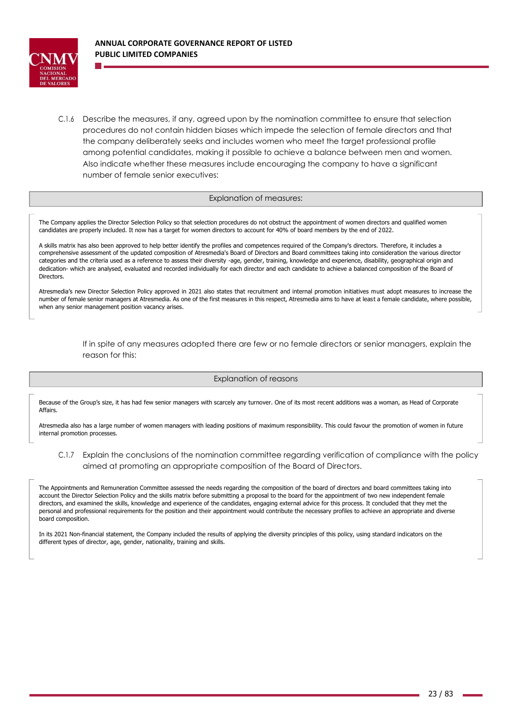

C.1.6 Describe the measures, if any, agreed upon by the nomination committee to ensure that selection procedures do not contain hidden biases which impede the selection of female directors and that the company deliberately seeks and includes women who meet the target professional profile among potential candidates, making it possible to achieve a balance between men and women. Also indicate whether these measures include encouraging the company to have a significant number of female senior executives:

#### Explanation of measures:

The Company applies the Director Selection Policy so that selection procedures do not obstruct the appointment of women directors and qualified women candidates are properly included. It now has a target for women directors to account for 40% of board members by the end of 2022.

A skills matrix has also been approved to help better identify the profiles and competences required of the Company's directors. Therefore, it includes a comprehensive assessment of the updated composition of Atresmedia's Board of Directors and Board committees taking into consideration the various director categories and the criteria used as a reference to assess their diversity -age, gender, training, knowledge and experience, disability, geographical origin and dedication- which are analysed, evaluated and recorded individually for each director and each candidate to achieve a balanced composition of the Board of **Directors** 

Atresmedia's new Director Selection Policy approved in 2021 also states that recruitment and internal promotion initiatives must adopt measures to increase the number of female senior managers at Atresmedia. As one of the first measures in this respect, Atresmedia aims to have at least a female candidate, where possible, when any senior management position vacancy arises.

> If in spite of any measures adopted there are few or no female directors or senior managers, explain the reason for this:

### Explanation of reasons

Because of the Group's size, it has had few senior managers with scarcely any turnover. One of its most recent additions was a woman, as Head of Corporate Affairs.

Atresmedia also has a large number of women managers with leading positions of maximum responsibility. This could favour the promotion of women in future internal promotion processes.

C.1.7 Explain the conclusions of the nomination committee regarding verification of compliance with the policy aimed at promoting an appropriate composition of the Board of Directors.

The Appointments and Remuneration Committee assessed the needs regarding the composition of the board of directors and board committees taking into account the Director Selection Policy and the skills matrix before submitting a proposal to the board for the appointment of two new independent female directors, and examined the skills, knowledge and experience of the candidates, engaging external advice for this process. It concluded that they met the personal and professional requirements for the position and their appointment would contribute the necessary profiles to achieve an appropriate and diverse board composition.

In its 2021 Non-financial statement, the Company included the results of applying the diversity principles of this policy, using standard indicators on the different types of director, age, gender, nationality, training and skills.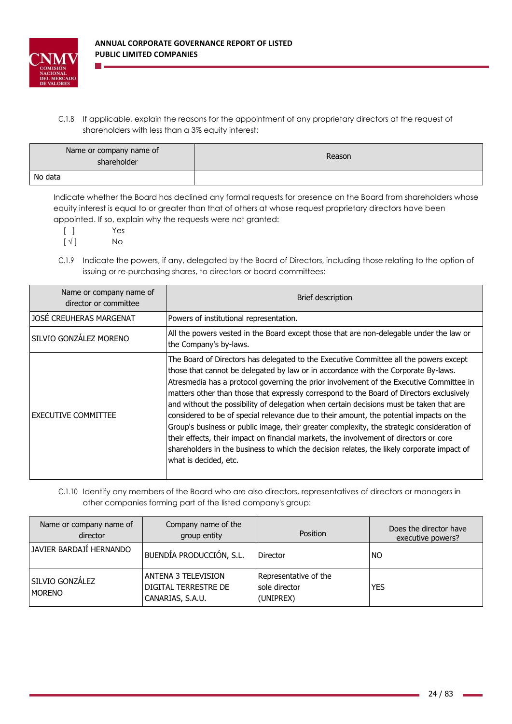

C.1.8 If applicable, explain the reasons for the appointment of any proprietary directors at the request of shareholders with less than a 3% equity interest:

| Name or company name of<br>shareholder | Reason |  |  |
|----------------------------------------|--------|--|--|
| No data                                |        |  |  |

Indicate whether the Board has declined any formal requests for presence on the Board from shareholders whose equity interest is equal to or greater than that of others at whose request proprietary directors have been appointed. If so, explain why the requests were not granted:

[ ] Yes

 $[\sqrt{}]$  No

C.1.9 Indicate the powers, if any, delegated by the Board of Directors, including those relating to the option of issuing or re-purchasing shares, to directors or board committees:

| Name or company name of<br>director or committee | Brief description                                                                                                                                                                                                                                                                                                                                                                                                                                                                                                                                                                                                                                                                                                                                                                                                                                                       |
|--------------------------------------------------|-------------------------------------------------------------------------------------------------------------------------------------------------------------------------------------------------------------------------------------------------------------------------------------------------------------------------------------------------------------------------------------------------------------------------------------------------------------------------------------------------------------------------------------------------------------------------------------------------------------------------------------------------------------------------------------------------------------------------------------------------------------------------------------------------------------------------------------------------------------------------|
| JOSÉ CREUHERAS MARGENAT                          | Powers of institutional representation.                                                                                                                                                                                                                                                                                                                                                                                                                                                                                                                                                                                                                                                                                                                                                                                                                                 |
| SILVIO GONZÁLEZ MORENO                           | All the powers vested in the Board except those that are non-delegable under the law or<br>the Company's by-laws.                                                                                                                                                                                                                                                                                                                                                                                                                                                                                                                                                                                                                                                                                                                                                       |
| <b>EXECUTIVE COMMITTEE</b>                       | The Board of Directors has delegated to the Executive Committee all the powers except<br>those that cannot be delegated by law or in accordance with the Corporate By-laws.<br>Atresmedia has a protocol governing the prior involvement of the Executive Committee in<br>matters other than those that expressly correspond to the Board of Directors exclusively<br>and without the possibility of delegation when certain decisions must be taken that are<br>considered to be of special relevance due to their amount, the potential impacts on the<br>Group's business or public image, their greater complexity, the strategic consideration of<br>their effects, their impact on financial markets, the involvement of directors or core<br>shareholders in the business to which the decision relates, the likely corporate impact of<br>what is decided, etc. |

C.1.10 Identify any members of the Board who are also directors, representatives of directors or managers in other companies forming part of the listed company's group:

| Name or company name of<br>director | Company name of the<br>group entity                             | Position                                            | Does the director have<br>executive powers? |
|-------------------------------------|-----------------------------------------------------------------|-----------------------------------------------------|---------------------------------------------|
| IJAVIER BARDAJI HERNANDO            | BUENDÍA PRODUCCIÓN, S.L.                                        | <b>Director</b>                                     | I NO                                        |
| SILVIO GONZALEZ<br><b>MORENO</b>    | ANTENA 3 TELEVISION<br>DIGITAL TERRESTRE DE<br>CANARIAS, S.A.U. | Representative of the<br>sole director<br>(UNIPREX) | <b>YES</b>                                  |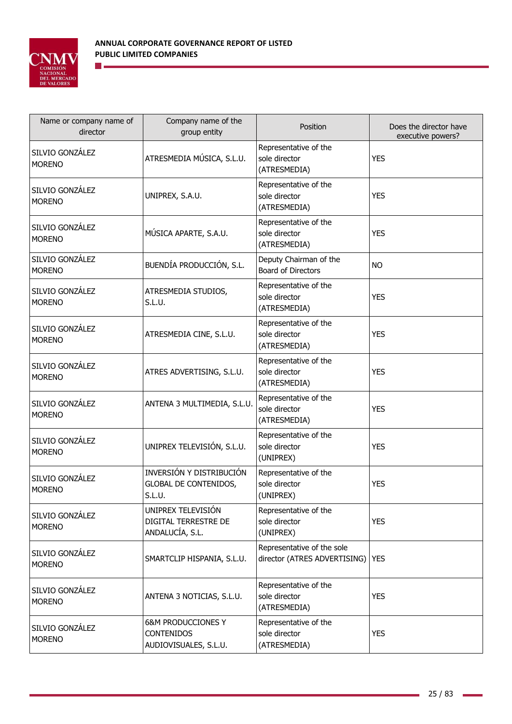

| Name or company name of<br>director | Company name of the<br>group entity                                         | Position                                                   | Does the director have<br>executive powers? |
|-------------------------------------|-----------------------------------------------------------------------------|------------------------------------------------------------|---------------------------------------------|
| SILVIO GONZÁLEZ<br><b>MORENO</b>    | ATRESMEDIA MÚSICA, S.L.U.                                                   | Representative of the<br>sole director<br>(ATRESMEDIA)     | <b>YES</b>                                  |
| SILVIO GONZÁLEZ<br><b>MORENO</b>    | UNIPREX, S.A.U.                                                             | Representative of the<br>sole director<br>(ATRESMEDIA)     | <b>YES</b>                                  |
| SILVIO GONZÁLEZ<br><b>MORENO</b>    | MÚSICA APARTE, S.A.U.                                                       | Representative of the<br>sole director<br>(ATRESMEDIA)     | <b>YES</b>                                  |
| SILVIO GONZÁLEZ<br><b>MORENO</b>    | BUENDÍA PRODUCCIÓN, S.L.                                                    | Deputy Chairman of the<br><b>Board of Directors</b>        | <b>NO</b>                                   |
| SILVIO GONZÁLEZ<br><b>MORENO</b>    | ATRESMEDIA STUDIOS,<br>S.L.U.                                               | Representative of the<br>sole director<br>(ATRESMEDIA)     | <b>YES</b>                                  |
| SILVIO GONZÁLEZ<br><b>MORENO</b>    | ATRESMEDIA CINE, S.L.U.                                                     | Representative of the<br>sole director<br>(ATRESMEDIA)     | <b>YES</b>                                  |
| SILVIO GONZÁLEZ<br><b>MORENO</b>    | ATRES ADVERTISING, S.L.U.                                                   | Representative of the<br>sole director<br>(ATRESMEDIA)     | <b>YES</b>                                  |
| SILVIO GONZÁLEZ<br><b>MORENO</b>    | ANTENA 3 MULTIMEDIA, S.L.U.                                                 | Representative of the<br>sole director<br>(ATRESMEDIA)     | <b>YES</b>                                  |
| SILVIO GONZÁLEZ<br><b>MORENO</b>    | UNIPREX TELEVISIÓN, S.L.U.                                                  | Representative of the<br>sole director<br>(UNIPREX)        | <b>YES</b>                                  |
| SILVIO GONZÁLEZ<br><b>MORENO</b>    | INVERSIÓN Y DISTRIBUCIÓN<br><b>GLOBAL DE CONTENIDOS,</b><br>S.L.U.          | Representative of the<br>sole director<br>(UNIPREX)        | <b>YES</b>                                  |
| SILVIO GONZÁLEZ<br><b>MORENO</b>    | UNIPREX TELEVISIÓN<br>DIGITAL TERRESTRE DE<br>ANDALUCÍA, S.L.               | Representative of the<br>sole director<br>(UNIPREX)        | <b>YES</b>                                  |
| SILVIO GONZÁLEZ<br><b>MORENO</b>    | SMARTCLIP HISPANIA, S.L.U.                                                  | Representative of the sole<br>director (ATRES ADVERTISING) | <b>YES</b>                                  |
| SILVIO GONZÁLEZ<br><b>MORENO</b>    | ANTENA 3 NOTICIAS, S.L.U.                                                   | Representative of the<br>sole director<br>(ATRESMEDIA)     | <b>YES</b>                                  |
| SILVIO GONZÁLEZ<br><b>MORENO</b>    | <b>6&amp;M PRODUCCIONES Y</b><br><b>CONTENIDOS</b><br>AUDIOVISUALES, S.L.U. | Representative of the<br>sole director<br>(ATRESMEDIA)     | <b>YES</b>                                  |

ä

ä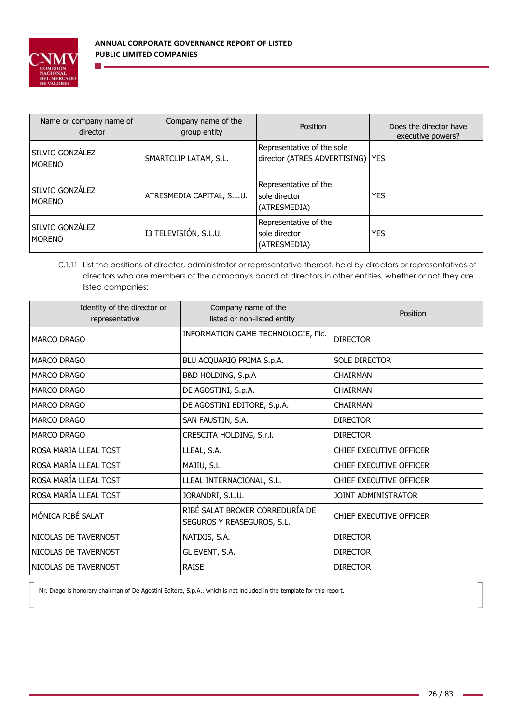

| Name or company name of<br>director | Company name of the<br>group entity | <b>Position</b>                                                  | Does the director have<br>executive powers? |
|-------------------------------------|-------------------------------------|------------------------------------------------------------------|---------------------------------------------|
| SILVIO GONZÁLEZ<br><b>MORENO</b>    | SMARTCLIP LATAM, S.L.               | Representative of the sole<br>director (ATRES ADVERTISING)   YES |                                             |
| SILVIO GONZÁLEZ<br><b>MORENO</b>    | ATRESMEDIA CAPITAL, S.L.U.          | Representative of the<br>sole director<br>(ATRESMEDIA)           | <b>YES</b>                                  |
| SILVIO GONZÁLEZ<br><b>MORENO</b>    | I3 TELEVISIÓN, S.L.U.               | Representative of the<br>sole director<br>(ATRESMEDIA)           | <b>YES</b>                                  |

C.1.11 List the positions of director, administrator or representative thereof, held by directors or representatives of directors who are members of the company's board of directors in other entities, whether or not they are listed companies:

| Identity of the director or<br>representative | Company name of the<br>listed or non-listed entity            | Position                |
|-----------------------------------------------|---------------------------------------------------------------|-------------------------|
| <b>MARCO DRAGO</b>                            | INFORMATION GAME TECHNOLOGIE, Plc.                            | <b>DIRECTOR</b>         |
| <b>MARCO DRAGO</b>                            | BLU ACQUARIO PRIMA S.p.A.                                     | <b>SOLE DIRECTOR</b>    |
| <b>MARCO DRAGO</b>                            | B&D HOLDING, S.p.A                                            | <b>CHATRMAN</b>         |
| <b>MARCO DRAGO</b>                            | DE AGOSTINI, S.p.A.                                           | <b>CHAIRMAN</b>         |
| <b>MARCO DRAGO</b>                            | DE AGOSTINI EDITORE, S.p.A.                                   | <b>CHAIRMAN</b>         |
| <b>MARCO DRAGO</b>                            | SAN FAUSTIN, S.A.                                             | <b>DIRECTOR</b>         |
| <b>MARCO DRAGO</b>                            | CRESCITA HOLDING, S.r.I.                                      | <b>DIRECTOR</b>         |
| ROSA MARÍA LLEAL TOST                         | LLEAL, S.A.                                                   | CHIEF EXECUTIVE OFFICER |
| ROSA MARÍA LLEAL TOST                         | MAJIU, S.L.                                                   | CHIEF EXECUTIVE OFFICER |
| ROSA MARÍA LLEAL TOST                         | LLEAL INTERNACIONAL, S.L.                                     | CHIEF EXECUTIVE OFFICER |
| ROSA MARÍA LLEAL TOST                         | JORANDRI, S.L.U.                                              | JOINT ADMINISTRATOR     |
| MÓNICA RIBÉ SALAT                             | RIBÉ SALAT BROKER CORREDURÍA DE<br>SEGUROS Y REASEGUROS, S.L. | CHIEF EXECUTIVE OFFICER |
| NICOLAS DE TAVERNOST                          | NATIXIS, S.A.                                                 | <b>DIRECTOR</b>         |
| NICOLAS DE TAVERNOST                          | GL EVENT, S.A.                                                | <b>DIRECTOR</b>         |
| INICOLAS DE TAVERNOST                         | <b>RAISE</b>                                                  | <b>DIRECTOR</b>         |

Mr. Drago is honorary chairman of De Agostini Editore, S.p.A., which is not included in the template for this report.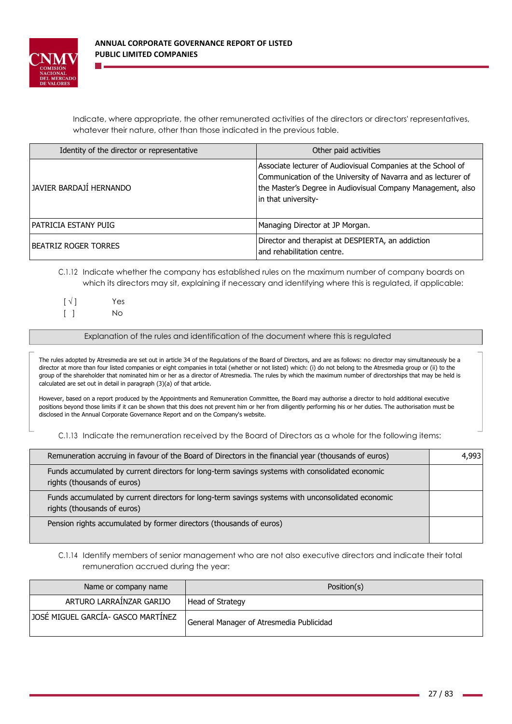

Indicate, where appropriate, the other remunerated activities of the directors or directors' representatives, whatever their nature, other than those indicated in the previous table.

| Identity of the director or representative | Other paid activities                                                                                                                                                                                               |
|--------------------------------------------|---------------------------------------------------------------------------------------------------------------------------------------------------------------------------------------------------------------------|
| JAVIER BARDAJI HERNANDO                    | Associate lecturer of Audiovisual Companies at the School of<br>Communication of the University of Navarra and as lecturer of<br>the Master's Degree in Audiovisual Company Management, also<br>in that university- |
| IPATRICIA ESTANY PUIG                      | Managing Director at JP Morgan.                                                                                                                                                                                     |
| <b>IBEATRIZ ROGER TORRES</b>               | Director and therapist at DESPIERTA, an addiction<br>and rehabilitation centre.                                                                                                                                     |

# C.1.12 Indicate whether the company has established rules on the maximum number of company boards on which its directors may sit, explaining if necessary and identifying where this is regulated, if applicable:

| $\lceil \sqrt{ } \rceil$        | Yes |
|---------------------------------|-----|
| $\begin{bmatrix} \end{bmatrix}$ | No. |

Explanation of the rules and identification of the document where this is regulated

The rules adopted by Atresmedia are set out in article 34 of the Regulations of the Board of Directors, and are as follows: no director may simultaneously be a director at more than four listed companies or eight companies in total (whether or not listed) which: (i) do not belong to the Atresmedia group or (ii) to the group of the shareholder that nominated him or her as a director of Atresmedia. The rules by which the maximum number of directorships that may be held is calculated are set out in detail in paragraph (3)(a) of that article.

However, based on a report produced by the Appointments and Remuneration Committee, the Board may authorise a director to hold additional executive positions beyond those limits if it can be shown that this does not prevent him or her from diligently performing his or her duties. The authorisation must be disclosed in the Annual Corporate Governance Report and on the Company's website.

C.1.13 Indicate the remuneration received by the Board of Directors as a whole for the following items:

| Remuneration accruing in favour of the Board of Directors in the financial year (thousands of euros)                             | 4.993 |
|----------------------------------------------------------------------------------------------------------------------------------|-------|
| Funds accumulated by current directors for long-term savings systems with consolidated economic<br>rights (thousands of euros)   |       |
| Funds accumulated by current directors for long-term savings systems with unconsolidated economic<br>rights (thousands of euros) |       |
| Pension rights accumulated by former directors (thousands of euros)                                                              |       |

C.1.14 Identify members of senior management who are not also executive directors and indicate their total remuneration accrued during the year:

| Name or company name               | Position(s)                              |
|------------------------------------|------------------------------------------|
| ARTURO LARRAINZAR GARIJO           | Head of Strategy                         |
| JOSE MIGUEL GARCIA- GASCO MARTINEZ | General Manager of Atresmedia Publicidad |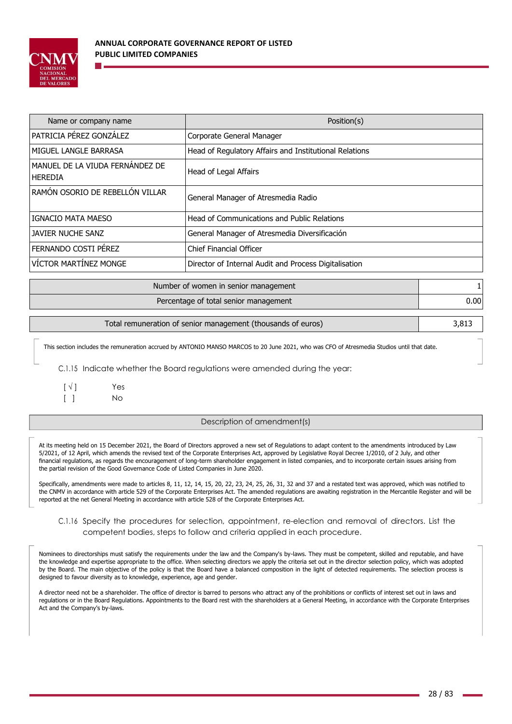

| Name or company name                         | Position(s)                                            |
|----------------------------------------------|--------------------------------------------------------|
| <b>PATRICIA PÉREZ GONZÁLEZ</b>               | Corporate General Manager                              |
| IMIGUEL LANGLE BARRASA                       | Head of Regulatory Affairs and Institutional Relations |
| MANUEL DE LA VIUDA FERNANDEZ DE<br>l HEREDIA | Head of Legal Affairs                                  |
| IRAMÓN OSORIO DE REBELLÓN VILLAR             | General Manager of Atresmedia Radio                    |
| IGNACIO MATA MAESO                           | Head of Communications and Public Relations            |
| JAVIER NUCHE SANZ                            | General Manager of Atresmedia Diversificación          |
| FERNANDO COSTI PEREZ                         | <b>Chief Financial Officer</b>                         |
| <b>VÍCTOR MARTÍNEZ MONGE</b>                 | Director of Internal Audit and Process Digitalisation  |

| Number of women in senior management  |          |
|---------------------------------------|----------|
| Percentage of total senior management | $0.00\,$ |
|                                       |          |

| Total remuneration of senior management (thousands of euros) |
|--------------------------------------------------------------|
|--------------------------------------------------------------|

This section includes the remuneration accrued by ANTONIO MANSO MARCOS to 20 June 2021, who was CFO of Atresmedia Studios until that date.

C.1.15 Indicate whether the Board regulations were amended during the year:

| $\lbrack \vee \rbrack$          | Yes |
|---------------------------------|-----|
| $\begin{bmatrix} \end{bmatrix}$ | No. |

Description of amendment(s)

At its meeting held on 15 December 2021, the Board of Directors approved a new set of Regulations to adapt content to the amendments introduced by Law 5/2021, of 12 April, which amends the revised text of the Corporate Enterprises Act, approved by Legislative Royal Decree 1/2010, of 2 July, and other financial regulations, as regards the encouragement of long-term shareholder engagement in listed companies, and to incorporate certain issues arising from the partial revision of the Good Governance Code of Listed Companies in June 2020.

Specifically, amendments were made to articles 8, 11, 12, 14, 15, 20, 22, 23, 24, 25, 26, 31, 32 and 37 and a restated text was approved, which was notified to the CNMV in accordance with article 529 of the Corporate Enterprises Act. The amended regulations are awaiting registration in the Mercantile Register and will be reported at the net General Meeting in accordance with article 528 of the Corporate Enterprises Act.

C.1.16 Specify the procedures for selection, appointment, re-election and removal of directors. List the competent bodies, steps to follow and criteria applied in each procedure.

Nominees to directorships must satisfy the requirements under the law and the Company's by-laws. They must be competent, skilled and reputable, and have the knowledge and expertise appropriate to the office. When selecting directors we apply the criteria set out in the director selection policy, which was adopted by the Board. The main objective of the policy is that the Board have a balanced composition in the light of detected requirements. The selection process is designed to favour diversity as to knowledge, experience, age and gender.

A director need not be a shareholder. The office of director is barred to persons who attract any of the prohibitions or conflicts of interest set out in laws and regulations or in the Board Regulations. Appointments to the Board rest with the shareholders at a General Meeting, in accordance with the Corporate Enterprises Act and the Company's by-laws.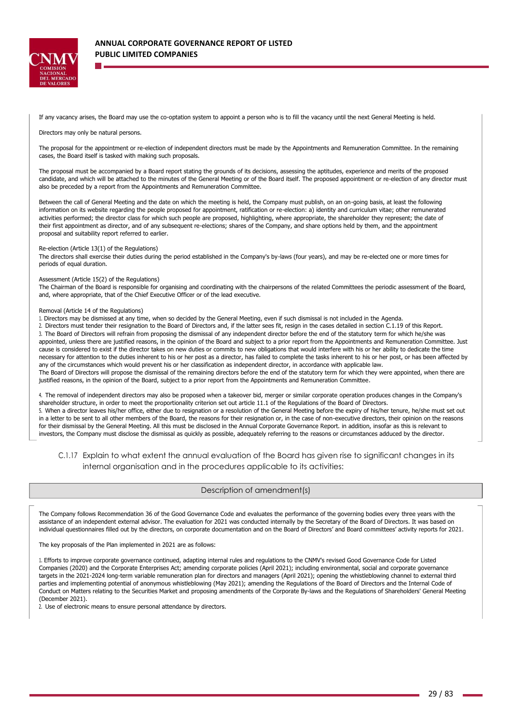

If any vacancy arises, the Board may use the co-optation system to appoint a person who is to fill the vacancy until the next General Meeting is held.

Directors may only be natural persons.

The proposal for the appointment or re-election of independent directors must be made by the Appointments and Remuneration Committee. In the remaining cases, the Board itself is tasked with making such proposals.

The proposal must be accompanied by a Board report stating the grounds of its decisions, assessing the aptitudes, experience and merits of the proposed candidate, and which will be attached to the minutes of the General Meeting or of the Board itself. The proposed appointment or re-election of any director must also be preceded by a report from the Appointments and Remuneration Committee.

Between the call of General Meeting and the date on which the meeting is held, the Company must publish, on an on-going basis, at least the following information on its website regarding the people proposed for appointment, ratification or re-election: a) identity and curriculum vitae; other remunerated activities performed; the director class for which such people are proposed, highlighting, where appropriate, the shareholder they represent; the date of their first appointment as director, and of any subsequent re-elections; shares of the Company, and share options held by them, and the appointment proposal and suitability report referred to earlier.

#### Re-election (Article 13(1) of the Regulations)

The directors shall exercise their duties during the period established in the Company's by-laws (four years), and may be re-elected one or more times for periods of equal duration.

#### Assessment (Article 15(2) of the Regulations)

The Chairman of the Board is responsible for organising and coordinating with the chairpersons of the related Committees the periodic assessment of the Board, and, where appropriate, that of the Chief Executive Officer or of the lead executive.

#### Removal (Article 14 of the Regulations)

1. Directors may be dismissed at any time, when so decided by the General Meeting, even if such dismissal is not included in the Agenda.

2. Directors must tender their resignation to the Board of Directors and, if the latter sees fit, resign in the cases detailed in section C.1.19 of this Report. 3. The Board of Directors will refrain from proposing the dismissal of any independent director before the end of the statutory term for which he/she was appointed, unless there are justified reasons, in the opinion of the Board and subject to a prior report from the Appointments and Remuneration Committee. Just cause is considered to exist if the director takes on new duties or commits to new obligations that would interfere with his or her ability to dedicate the time necessary for attention to the duties inherent to his or her post as a director, has failed to complete the tasks inherent to his or her post, or has been affected by

any of the circumstances which would prevent his or her classification as independent director, in accordance with applicable law. The Board of Directors will propose the dismissal of the remaining directors before the end of the statutory term for which they were appointed, when there are justified reasons, in the opinion of the Board, subject to a prior report from the Appointments and Remuneration Committee.

4. The removal of independent directors may also be proposed when a takeover bid, merger or similar corporate operation produces changes in the Company's shareholder structure, in order to meet the proportionality criterion set out article 11.1 of the Regulations of the Board of Directors.

5. When a director leaves his/her office, either due to resignation or a resolution of the General Meeting before the expiry of his/her tenure, he/she must set out in a letter to be sent to all other members of the Board, the reasons for their resignation or, in the case of non-executive directors, their opinion on the reasons for their dismissal by the General Meeting. All this must be disclosed in the Annual Corporate Governance Report. in addition, insofar as this is relevant to investors, the Company must disclose the dismissal as quickly as possible, adequately referring to the reasons or circumstances adduced by the director.

## C.1.17 Explain to what extent the annual evaluation of the Board has given rise to significant changes in its internal organisation and in the procedures applicable to its activities:

## Description of amendment(s)

The Company follows Recommendation 36 of the Good Governance Code and evaluates the performance of the governing bodies every three years with the assistance of an independent external advisor. The evaluation for 2021 was conducted internally by the Secretary of the Board of Directors. It was based on individual questionnaires filled out by the directors, on corporate documentation and on the Board of Directors' and Board committees' activity reports for 2021.

The key proposals of the Plan implemented in 2021 are as follows:

1. Efforts to improve corporate governance continued, adapting internal rules and regulations to the CNMV's revised Good Governance Code for Listed Companies (2020) and the Corporate Enterprises Act; amending corporate policies (April 2021); including environmental, social and corporate governance targets in the 2021-2024 long-term variable remuneration plan for directors and managers (April 2021); opening the whistleblowing channel to external third parties and implementing potential of anonymous whistleblowing (May 2021); amending the Regulations of the Board of Directors and the Internal Code of Conduct on Matters relating to the Securities Market and proposing amendments of the Corporate By-laws and the Regulations of Shareholders' General Meeting (December 2021).

2. Use of electronic means to ensure personal attendance by directors.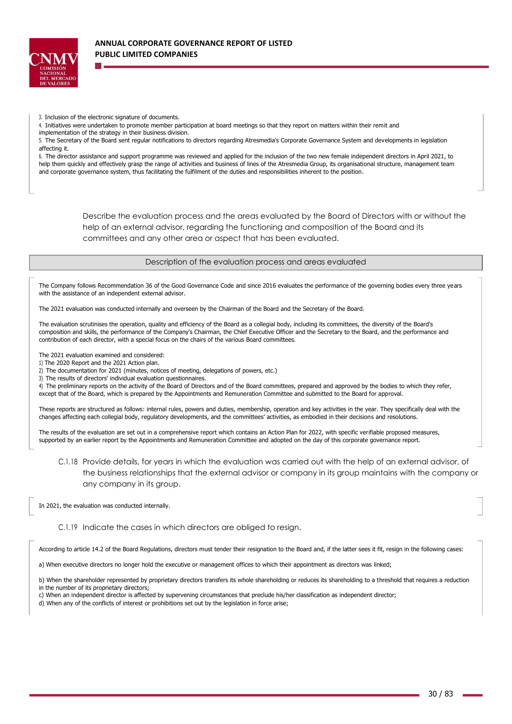

- 3. Inclusion of the electronic signature of documents.
- 4. Initiatives were undertaken to promote member participation at board meetings so that they report on matters within their remit and
- implementation of the strategy in their business division.

5. The Secretary of the Board sent regular notifications to directors regarding Atresmedia's Corporate Governance System and developments in legislation affecting it.

6. The director assistance and support programme was reviewed and applied for the inclusion of the two new female independent directors in April 2021, to help them quickly and effectively grasp the range of activities and business of lines of the Atresmedia Group, its organisational structure, management team and corporate governance system, thus facilitating the fulfilment of the duties and responsibilities inherent to the position.

> Describe the evaluation process and the areas evaluated by the Board of Directors with or without the help of an external advisor, regarding the functioning and composition of the Board and its committees and any other area or aspect that has been evaluated.

> > Description of the evaluation process and areas evaluated

The Company follows Recommendation 36 of the Good Governance Code and since 2016 evaluates the performance of the governing bodies every three years with the assistance of an independent external advisor.

The 2021 evaluation was conducted internally and overseen by the Chairman of the Board and the Secretary of the Board.

The evaluation scrutinises the operation, quality and efficiency of the Board as a collegial body, including its committees, the diversity of the Board's composition and skills, the performance of the Company's Chairman, the Chief Executive Officer and the Secretary to the Board, and the performance and contribution of each director, with a special focus on the chairs of the various Board committees.

The 2021 evaluation examined and considered:

- 1) The 2020 Report and the 2021 Action plan.
- 2) The documentation for 2021 (minutes, notices of meeting, delegations of powers, etc.)
- 3) The results of directors' individual evaluation questionnaires.

4) The preliminary reports on the activity of the Board of Directors and of the Board committees, prepared and approved by the bodies to which they refer, except that of the Board, which is prepared by the Appointments and Remuneration Committee and submitted to the Board for approval.

These reports are structured as follows: internal rules, powers and duties, membership, operation and key activities in the year. They specifically deal with the changes affecting each collegial body, regulatory developments, and the committees' activities, as embodied in their decisions and resolutions.

The results of the evaluation are set out in a comprehensive report which contains an Action Plan for 2022, with specific verifiable proposed measures, supported by an earlier report by the Appointments and Remuneration Committee and adopted on the day of this corporate governance report.

C.1.18 Provide details, for years in which the evaluation was carried out with the help of an external advisor, of the business relationships that the external advisor or company in its group maintains with the company or any company in its group.

In 2021, the evaluation was conducted internally.

C.1.19 Indicate the cases in which directors are obliged to resign.

According to article 14.2 of the Board Regulations, directors must tender their resignation to the Board and, if the latter sees it fit, resign in the following cases:

a) When executive directors no longer hold the executive or management offices to which their appointment as directors was linked;

b) When the shareholder represented by proprietary directors transfers its whole shareholding or reduces its shareholding to a threshold that requires a reduction

- in the number of its proprietary directors;
- c) When an independent director is affected by supervening circumstances that preclude his/her classification as independent director;

d) When any of the conflicts of interest or prohibitions set out by the legislation in force arise;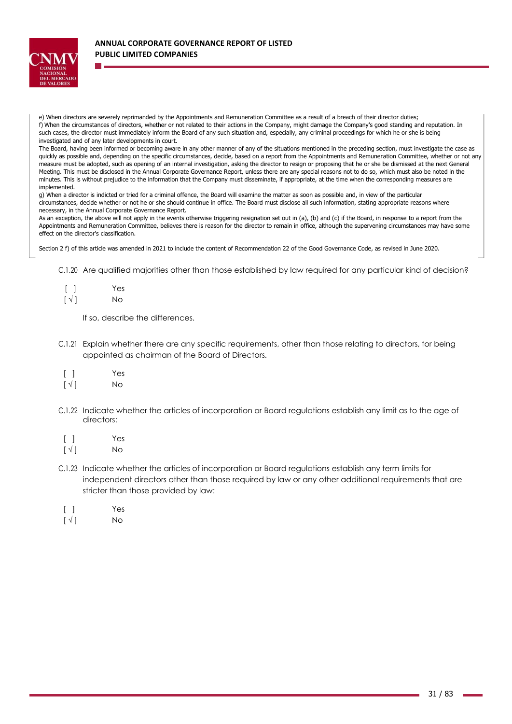

e) When directors are severely reprimanded by the Appointments and Remuneration Committee as a result of a breach of their director duties; f) When the circumstances of directors, whether or not related to their actions in the Company, might damage the Company's good standing and reputation. In such cases, the director must immediately inform the Board of any such situation and, especially, any criminal proceedings for which he or she is being investigated and of any later developments in court.

The Board, having been informed or becoming aware in any other manner of any of the situations mentioned in the preceding section, must investigate the case as quickly as possible and, depending on the specific circumstances, decide, based on a report from the Appointments and Remuneration Committee, whether or not any measure must be adopted, such as opening of an internal investigation, asking the director to resign or proposing that he or she be dismissed at the next General Meeting. This must be disclosed in the Annual Corporate Governance Report, unless there are any special reasons not to do so, which must also be noted in the minutes. This is without prejudice to the information that the Company must disseminate, if appropriate, at the time when the corresponding measures are implemented.

g) When a director is indicted or tried for a criminal offence, the Board will examine the matter as soon as possible and, in view of the particular circumstances, decide whether or not he or she should continue in office. The Board must disclose all such information, stating appropriate reasons where necessary, in the Annual Corporate Governance Report.

As an exception, the above will not apply in the events otherwise triggering resignation set out in (a), (b) and (c) if the Board, in response to a report from the Appointments and Remuneration Committee, believes there is reason for the director to remain in office, although the supervening circumstances may have some effect on the director's classification.

Section 2 f) of this article was amended in 2021 to include the content of Recommendation 22 of the Good Governance Code, as revised in June 2020.

C.1.20 Are qualified majorities other than those established by law required for any particular kind of decision?

|                          | Yes |
|--------------------------|-----|
| $\lceil \sqrt{l} \rceil$ | Νo  |

If so, describe the differences.

- C.1.21 Explain whether there are any specific requirements, other than those relating to directors, for being appointed as chairman of the Board of Directors.
- [ ] Yes

 $\lceil \sqrt{1} \rceil$  No

- C.1.22 Indicate whether the articles of incorporation or Board regulations establish any limit as to the age of directors:
- [ ] Yes
- $\lceil \sqrt{1} \rceil$  No
- C.1.23 Indicate whether the articles of incorporation or Board regulations establish any term limits for independent directors other than those required by law or any other additional requirements that are stricter than those provided by law:
- [ ] Yes
- $\lceil \sqrt{} \rceil$  No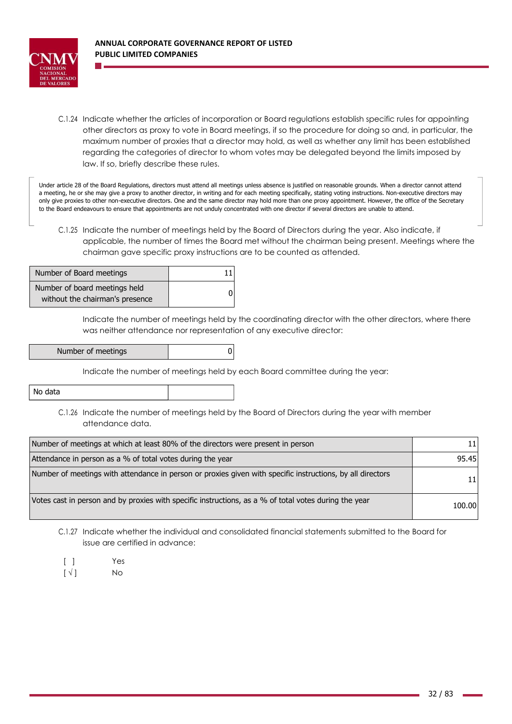

C.1.24 Indicate whether the articles of incorporation or Board regulations establish specific rules for appointing other directors as proxy to vote in Board meetings, if so the procedure for doing so and, in particular, the maximum number of proxies that a director may hold, as well as whether any limit has been established regarding the categories of director to whom votes may be delegated beyond the limits imposed by law. If so, briefly describe these rules.

Under article 28 of the Board Regulations, directors must attend all meetings unless absence is justified on reasonable grounds. When a director cannot attend a meeting, he or she may give a proxy to another director, in writing and for each meeting specifically, stating voting instructions. Non-executive directors may only give proxies to other non-executive directors. One and the same director may hold more than one proxy appointment. However, the office of the Secretary to the Board endeavours to ensure that appointments are not unduly concentrated with one director if several directors are unable to attend.

C.1.25 Indicate the number of meetings held by the Board of Directors during the year. Also indicate, if applicable, the number of times the Board met without the chairman being present. Meetings where the chairman gave specific proxy instructions are to be counted as attended.

| Number of Board meetings                                         |  |
|------------------------------------------------------------------|--|
| Number of board meetings held<br>without the chairman's presence |  |

Indicate the number of meetings held by the coordinating director with the other directors, where there was neither attendance nor representation of any executive director:

| Number of meetings |  |  |
|--------------------|--|--|
|--------------------|--|--|

Indicate the number of meetings held by each Board committee during the year:

| No data |  |
|---------|--|
|---------|--|

C.1.26 Indicate the number of meetings held by the Board of Directors during the year with member attendance data.

| Number of meetings at which at least 80% of the directors were present in person                           |        |
|------------------------------------------------------------------------------------------------------------|--------|
| Attendance in person as a % of total votes during the year                                                 | 95.45  |
| Number of meetings with attendance in person or proxies given with specific instructions, by all directors | 11     |
| Votes cast in person and by proxies with specific instructions, as a % of total votes during the year      | 100.00 |

- C.1.27 Indicate whether the individual and consolidated financial statements submitted to the Board for issue are certified in advance:
	- [ ] Yes
	- $\lceil \sqrt{|} \rceil$  No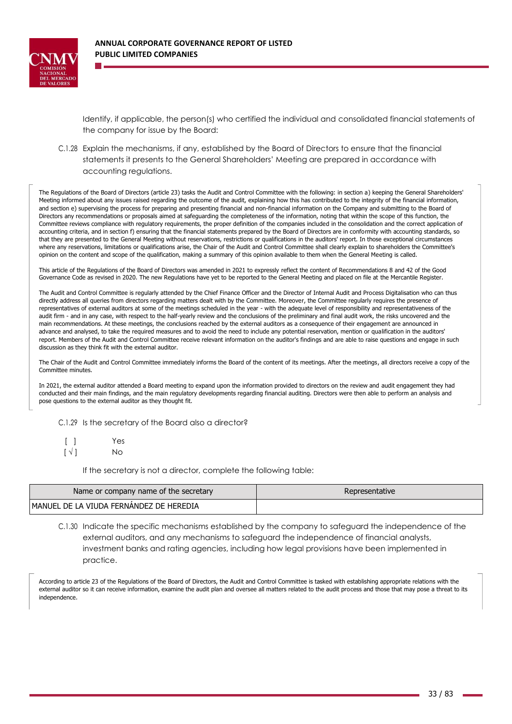

Identify, if applicable, the person(s) who certified the individual and consolidated financial statements of the company for issue by the Board:

C.1.28 Explain the mechanisms, if any, established by the Board of Directors to ensure that the financial statements it presents to the General Shareholders' Meeting are prepared in accordance with accounting regulations.

The Regulations of the Board of Directors (article 23) tasks the Audit and Control Committee with the following: in section a) keeping the General Shareholders' Meeting informed about any issues raised regarding the outcome of the audit, explaining how this has contributed to the integrity of the financial information, and section e) supervising the process for preparing and presenting financial and non-financial information on the Company and submitting to the Board of Directors any recommendations or proposals aimed at safeguarding the completeness of the information, noting that within the scope of this function, the Committee reviews compliance with regulatory requirements, the proper definition of the companies included in the consolidation and the correct application of accounting criteria, and in section f) ensuring that the financial statements prepared by the Board of Directors are in conformity with accounting standards, so that they are presented to the General Meeting without reservations, restrictions or qualifications in the auditors' report. In those exceptional circumstances where any reservations, limitations or qualifications arise, the Chair of the Audit and Control Committee shall clearly explain to shareholders the Committee's opinion on the content and scope of the qualification, making a summary of this opinion available to them when the General Meeting is called.

This article of the Regulations of the Board of Directors was amended in 2021 to expressly reflect the content of Recommendations 8 and 42 of the Good Governance Code as revised in 2020. The new Regulations have yet to be reported to the General Meeting and placed on file at the Mercantile Register.

The Audit and Control Committee is regularly attended by the Chief Finance Officer and the Director of Internal Audit and Process Digitalisation who can thus directly address all queries from directors regarding matters dealt with by the Committee. Moreover, the Committee regularly requires the presence of representatives of external auditors at some of the meetings scheduled in the year - with the adequate level of responsibility and representativeness of the audit firm - and in any case, with respect to the half-yearly review and the conclusions of the preliminary and final audit work, the risks uncovered and the main recommendations. At these meetings, the conclusions reached by the external auditors as a consequence of their engagement are announced in advance and analysed, to take the required measures and to avoid the need to include any potential reservation, mention or qualification in the auditors' report. Members of the Audit and Control Committee receive relevant information on the auditor's findings and are able to raise questions and engage in such discussion as they think fit with the external auditor.

The Chair of the Audit and Control Committee immediately informs the Board of the content of its meetings. After the meetings, all directors receive a copy of the Committee minutes.

In 2021, the external auditor attended a Board meeting to expand upon the information provided to directors on the review and audit engagement they had conducted and their main findings, and the main regulatory developments regarding financial auditing. Directors were then able to perform an analysis and pose questions to the external auditor as they thought fit.

C.1.29 Is the secretary of the Board also a director?

 $\lceil$   $\rceil$  $\lceil \sqrt{l} \rceil$ Yes No

If the secretary is not a director, complete the following table:

| Name or company name of the secretary    | Representative |
|------------------------------------------|----------------|
| IMANUEL DE LA VIUDA FERNANDEZ DE HEREDIA |                |

C.1.30 Indicate the specific mechanisms established by the company to safeguard the independence of the external auditors, and any mechanisms to safeguard the independence of financial analysts, investment banks and rating agencies, including how legal provisions have been implemented in practice.

According to article 23 of the Regulations of the Board of Directors, the Audit and Control Committee is tasked with establishing appropriate relations with the external auditor so it can receive information, examine the audit plan and oversee all matters related to the audit process and those that may pose a threat to its independence.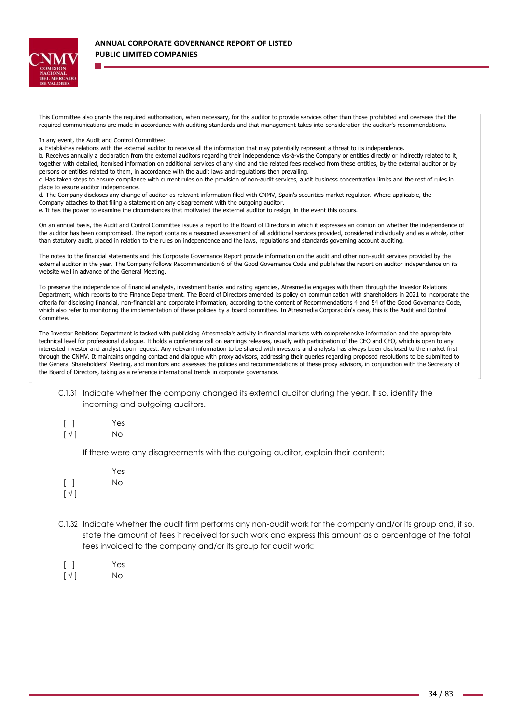

This Committee also grants the required authorisation, when necessary, for the auditor to provide services other than those prohibited and oversees that the required communications are made in accordance with auditing standards and that management takes into consideration the auditor's recommendations.

In any event, the Audit and Control Committee:

a. Establishes relations with the external auditor to receive all the information that may potentially represent a threat to its independence.

b. Receives annually a declaration from the external auditors regarding their independence vis-à-vis the Company or entities directly or indirectly related to it, together with detailed, itemised information on additional services of any kind and the related fees received from these entities, by the external auditor or by persons or entities related to them, in accordance with the audit laws and regulations then prevailing.

c. Has taken steps to ensure compliance with current rules on the provision of non-audit services, audit business concentration limits and the rest of rules in place to assure auditor independence.

d. The Company discloses any change of auditor as relevant information filed with CNMV, Spain's securities market regulator. Where applicable, the Company attaches to that filing a statement on any disagreement with the outgoing auditor.

e. It has the power to examine the circumstances that motivated the external auditor to resign, in the event this occurs.

On an annual basis, the Audit and Control Committee issues a report to the Board of Directors in which it expresses an opinion on whether the independence of the auditor has been compromised. The report contains a reasoned assessment of all additional services provided, considered individually and as a whole, other than statutory audit, placed in relation to the rules on independence and the laws, regulations and standards governing account auditing.

The notes to the financial statements and this Corporate Governance Report provide information on the audit and other non-audit services provided by the external auditor in the year. The Company follows Recommendation 6 of the Good Governance Code and publishes the report on auditor independence on its website well in advance of the General Meeting.

To preserve the independence of financial analysts, investment banks and rating agencies, Atresmedia engages with them through the Investor Relations Department, which reports to the Finance Department. The Board of Directors amended its policy on communication with shareholders in 2021 to incorporate the criteria for disclosing financial, non-financial and corporate information, according to the content of Recommendations 4 and 54 of the Good Governance Code, which also refer to monitoring the implementation of these policies by a board committee. In Atresmedia Corporación's case, this is the Audit and Control Committee.

The Investor Relations Department is tasked with publicising Atresmedia's activity in financial markets with comprehensive information and the appropriate technical level for professional dialogue. It holds a conference call on earnings releases, usually with participation of the CEO and CFO, which is open to any interested investor and analyst upon request. Any relevant information to be shared with investors and analysts has always been disclosed to the market first through the CNMV. It maintains ongoing contact and dialogue with proxy advisors, addressing their queries regarding proposed resolutions to be submitted to the General Shareholders' Meeting, and monitors and assesses the policies and recommendations of these proxy advisors, in conjunction with the Secretary of the Board of Directors, taking as a reference international trends in corporate governance.

- C.1.31 Indicate whether the company changed its external auditor during the year. If so, identify the incoming and outgoing auditors.
- $\lceil$   $\rceil$ Yes
- $\lceil \sqrt{l} \rceil$ No

If there were any disagreements with the outgoing auditor, explain their content:

- $\lceil$   $\rceil$  $\lceil \sqrt{l} \rceil$ Yes  $N<sub>0</sub>$
- C.1.32 Indicate whether the audit firm performs any non-audit work for the company and/or its group and, if so, state the amount of fees it received for such work and express this amount as a percentage of the total fees invoiced to the company and/or its group for audit work:
- [ ] Yes
- $\lceil \sqrt{ } \rceil$  No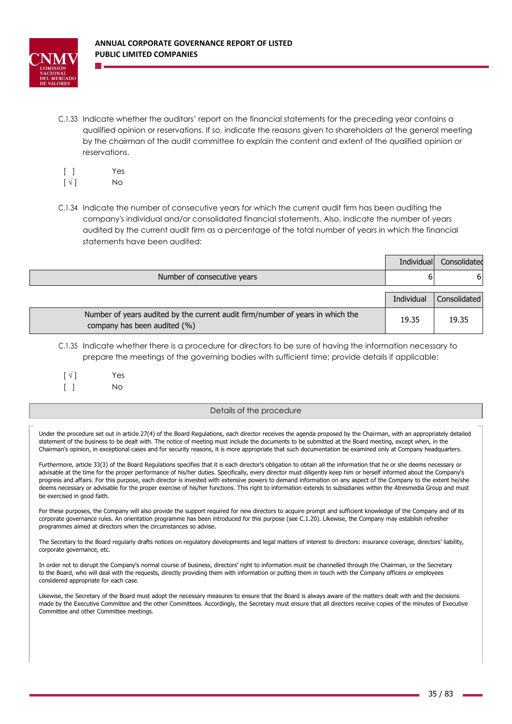

C.1.33 Indicate whether the auditors' report on the financial statements for the preceding year contains a qualified opinion or reservations. If so, indicate the reasons given to shareholders at the general meeting by the chairman of the audit committee to explain the content and extent of the qualified opinion or reservations.

| $\lceil$ $\rceil$        | Yes |
|--------------------------|-----|
| $\lceil \sqrt{ } \rceil$ | No. |

C.1.34 Indicate the number of consecutive years for which the current audit firm has been auditing the company's individual and/or consolidated financial statements. Also, indicate the number of years audited by the current audit firm as a percentage of the total number of years in which the financial statements have been audited:

|                                                                                                                | Individual | Consolidated |
|----------------------------------------------------------------------------------------------------------------|------------|--------------|
| Number of consecutive years                                                                                    |            | 6            |
|                                                                                                                | Individual | Consolidated |
|                                                                                                                |            |              |
| Number of years audited by the current audit firm/number of years in which the<br>company has been audited (%) | 19.35      | 19.35        |

C.1.35 Indicate whether there is a procedure for directors to be sure of having the information necessary to prepare the meetings of the governing bodies with sufficient time; provide details if applicable:

 $\lceil \sqrt{ } \rceil$  Yes

[ ] No

## Details of the procedure

Under the procedure set out in article 27(4) of the Board Regulations, each director receives the agenda proposed by the Chairman, with an appropriately detailed statement of the business to be dealt with. The notice of meeting must include the documents to be submitted at the Board meeting, except when, in the Chairman's opinion, in exceptional cases and for security reasons, it is more appropriate that such documentation be examined only at Company headquarters.

Furthermore, article 33(3) of the Board Regulations specifies that it is each director's obligation to obtain all the information that he or she deems necessary or advisable at the time for the proper performance of his/her duties. Specifically, every director must diligently keep him or herself informed about the Company's progress and affairs. For this purpose, each director is invested with extensive powers to demand information on any aspect of the Company to the extent he/she deems necessary or advisable for the proper exercise of his/her functions. This right to information extends to subsidiaries within the Atresmedia Group and must be exercised in good faith.

For these purposes, the Company will also provide the support required for new directors to acquire prompt and sufficient knowledge of the Company and of its corporate governance rules. An orientation programme has been introduced for this purpose (see C.1.20). Likewise, the Company may establish refresher programmes aimed at directors when the circumstances so advise.

The Secretary to the Board regularly drafts notices on regulatory developments and legal matters of interest to directors: insurance coverage, directors' liability, corporate governance, etc.

In order not to disrupt the Company's normal course of business, directors' right to information must be channelled through the Chairman, or the Secretary to the Board, who will deal with the requests, directly providing them with information or putting them in touch with the Company officers or employees considered appropriate for each case.

Likewise, the Secretary of the Board must adopt the necessary measures to ensure that the Board is always aware of the matters dealt with and the decisions made by the Executive Committee and the other Committees. Accordingly, the Secretary must ensure that all directors receive copies of the minutes of Executive Committee and other Committee meetings.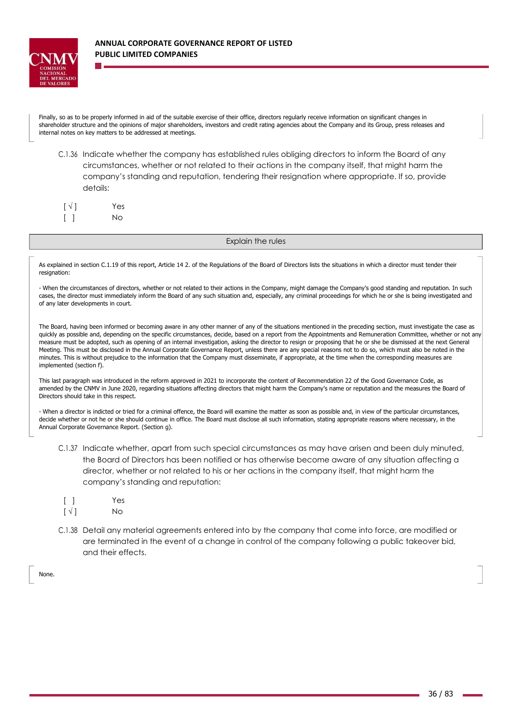

Finally, so as to be properly informed in aid of the suitable exercise of their office, directors regularly receive information on significant changes in shareholder structure and the opinions of major shareholders, investors and credit rating agencies about the Company and its Group, press releases and internal notes on key matters to be addressed at meetings.

C.1.36 Indicate whether the company has established rules obliging directors to inform the Board of any circumstances, whether or not related to their actions in the company itself, that might harm the company's standing and reputation, tendering their resignation where appropriate. If so, provide details:

| $\lceil \sqrt{ } \rceil$ | Yes |
|--------------------------|-----|
|                          | No. |

### Explain the rules

As explained in section C.1.19 of this report, Article 14 2. of the Regulations of the Board of Directors lists the situations in which a director must tender their resignation:

- When the circumstances of directors, whether or not related to their actions in the Company, might damage the Company's good standing and reputation. In such cases, the director must immediately inform the Board of any such situation and, especially, any criminal proceedings for which he or she is being investigated and of any later developments in court.

The Board, having been informed or becoming aware in any other manner of any of the situations mentioned in the preceding section, must investigate the case as quickly as possible and, depending on the specific circumstances, decide, based on a report from the Appointments and Remuneration Committee, whether or not any measure must be adopted, such as opening of an internal investigation, asking the director to resign or proposing that he or she be dismissed at the next General Meeting. This must be disclosed in the Annual Corporate Governance Report, unless there are any special reasons not to do so, which must also be noted in the minutes. This is without prejudice to the information that the Company must disseminate, if appropriate, at the time when the corresponding measures are implemented (section f).

This last paragraph was introduced in the reform approved in 2021 to incorporate the content of Recommendation 22 of the Good Governance Code, as amended by the CNMV in June 2020, regarding situations affecting directors that might harm the Company's name or reputation and the measures the Board of Directors should take in this respect.

- When a director is indicted or tried for a criminal offence, the Board will examine the matter as soon as possible and, in view of the particular circumstances, decide whether or not he or she should continue in office. The Board must disclose all such information, stating appropriate reasons where necessary, in the Annual Corporate Governance Report. (Section g).

- C.1.37 Indicate whether, apart from such special circumstances as may have arisen and been duly minuted, the Board of Directors has been notified or has otherwise become aware of any situation affecting a director, whether or not related to his or her actions in the company itself, that might harm the company's standing and reputation:
- [ ] Yes
- $\lceil \sqrt{|} \rceil$  No
- C.1.38 Detail any material agreements entered into by the company that come into force, are modified or are terminated in the event of a change in control of the company following a public takeover bid, and their effects.

None.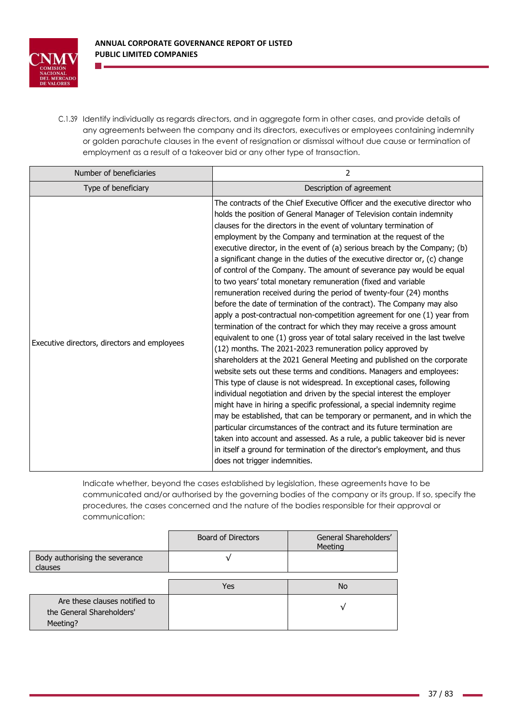

C.1.39 Identify individually as regards directors, and in aggregate form in other cases, and provide details of any agreements between the company and its directors, executives or employees containing indemnity or golden parachute clauses in the event of resignation or dismissal without due cause or termination of employment as a result of a takeover bid or any other type of transaction.

| Number of beneficiaries                      | 2                                                                                                                                                                                                                                                                                                                                                                                                                                                                                                                                                                                                                                                                                                                                                                                                                                                                                                                                                                                                                                                                                                                                                                                                                                                                                                                                                                                                                                                                                                                                                                                                                                                                                                                                                                                            |
|----------------------------------------------|----------------------------------------------------------------------------------------------------------------------------------------------------------------------------------------------------------------------------------------------------------------------------------------------------------------------------------------------------------------------------------------------------------------------------------------------------------------------------------------------------------------------------------------------------------------------------------------------------------------------------------------------------------------------------------------------------------------------------------------------------------------------------------------------------------------------------------------------------------------------------------------------------------------------------------------------------------------------------------------------------------------------------------------------------------------------------------------------------------------------------------------------------------------------------------------------------------------------------------------------------------------------------------------------------------------------------------------------------------------------------------------------------------------------------------------------------------------------------------------------------------------------------------------------------------------------------------------------------------------------------------------------------------------------------------------------------------------------------------------------------------------------------------------------|
| Type of beneficiary                          | Description of agreement                                                                                                                                                                                                                                                                                                                                                                                                                                                                                                                                                                                                                                                                                                                                                                                                                                                                                                                                                                                                                                                                                                                                                                                                                                                                                                                                                                                                                                                                                                                                                                                                                                                                                                                                                                     |
| Executive directors, directors and employees | The contracts of the Chief Executive Officer and the executive director who<br>holds the position of General Manager of Television contain indemnity<br>clauses for the directors in the event of voluntary termination of<br>employment by the Company and termination at the request of the<br>executive director, in the event of (a) serious breach by the Company; (b)<br>a significant change in the duties of the executive director or, (c) change<br>of control of the Company. The amount of severance pay would be equal<br>to two years' total monetary remuneration (fixed and variable<br>remuneration received during the period of twenty-four (24) months<br>before the date of termination of the contract). The Company may also<br>apply a post-contractual non-competition agreement for one (1) year from<br>termination of the contract for which they may receive a gross amount<br>equivalent to one (1) gross year of total salary received in the last twelve<br>(12) months. The 2021-2023 remuneration policy approved by<br>shareholders at the 2021 General Meeting and published on the corporate<br>website sets out these terms and conditions. Managers and employees:<br>This type of clause is not widespread. In exceptional cases, following<br>individual negotiation and driven by the special interest the employer<br>might have in hiring a specific professional, a special indemnity regime<br>may be established, that can be temporary or permanent, and in which the<br>particular circumstances of the contract and its future termination are<br>taken into account and assessed. As a rule, a public takeover bid is never<br>in itself a ground for termination of the director's employment, and thus<br>does not trigger indemnities. |

Indicate whether, beyond the cases established by legislation, these agreements have to be communicated and/or authorised by the governing bodies of the company or its group. If so, specify the procedures, the cases concerned and the nature of the bodies responsible for their approval or communication:

|                                                                        | Board of Directors | General Shareholders'<br>Meeting |
|------------------------------------------------------------------------|--------------------|----------------------------------|
| Body authorising the severance<br>clauses                              |                    |                                  |
|                                                                        | Yes                | <b>No</b>                        |
| Are these clauses notified to<br>the General Shareholders'<br>Meeting? |                    |                                  |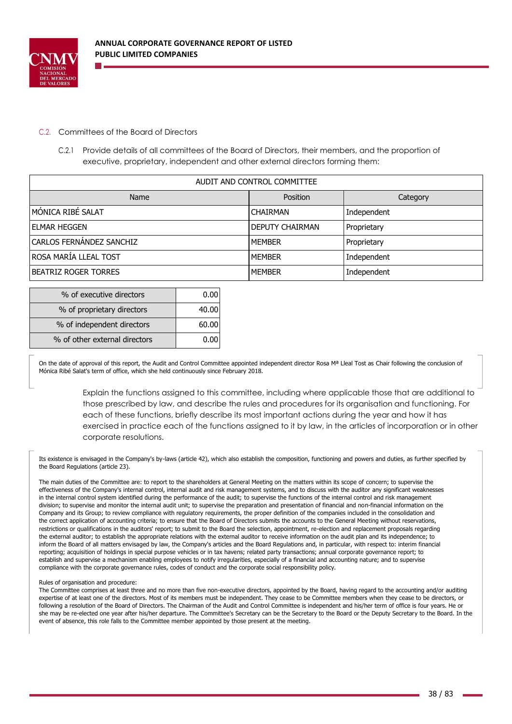

# C.2. Committees of the Board of Directors

C.2.1 Provide details of all committees of the Board of Directors, their members, and the proportion of executive, proprietary, independent and other external directors forming them:

| AUDIT AND CONTROL COMMITTEE |                        |             |  |  |  |  |
|-----------------------------|------------------------|-------------|--|--|--|--|
| <b>Name</b>                 | <b>Position</b>        | Category    |  |  |  |  |
| IMÓNICA RIBÉ SALAT          | <b>CHAIRMAN</b>        | Independent |  |  |  |  |
| lelmar heggen               | <b>DEPUTY CHAIRMAN</b> | Proprietary |  |  |  |  |
| CARLOS FERNÁNDEZ SANCHIZ    | <b>MEMBER</b>          | Proprietary |  |  |  |  |
| ROSA MARÍA LLEAL TOST       | l MEMBER               | Independent |  |  |  |  |
| IBEATRIZ ROGER TORRES       | <b>MEMBER</b>          | Independent |  |  |  |  |

| % of executive directors      |       |
|-------------------------------|-------|
| % of proprietary directors    | 40.00 |
| % of independent directors    | 60.00 |
| % of other external directors |       |

On the date of approval of this report, the Audit and Control Committee appointed independent director Rosa M<sup>a</sup> Lleal Tost as Chair following the conclusion of Mónica Ribé Salat's term of office, which she held continuously since February 2018.

> Explain the functions assigned to this committee, including where applicable those that are additional to those prescribed by law, and describe the rules and procedures for its organisation and functioning. For each of these functions, briefly describe its most important actions during the year and how it has exercised in practice each of the functions assigned to it by law, in the articles of incorporation or in other corporate resolutions.

Its existence is envisaged in the Company's by-laws (article 42), which also establish the composition, functioning and powers and duties, as further specified by the Board Regulations (article 23).

The main duties of the Committee are: to report to the shareholders at General Meeting on the matters within its scope of concern; to supervise the effectiveness of the Company's internal control, internal audit and risk management systems, and to discuss with the auditor any significant weaknesses in the internal control system identified during the performance of the audit; to supervise the functions of the internal control and risk management division; to supervise and monitor the internal audit unit; to supervise the preparation and presentation of financial and non-financial information on the Company and its Group; to review compliance with regulatory requirements, the proper definition of the companies included in the consolidation and the correct application of accounting criteria; to ensure that the Board of Directors submits the accounts to the General Meeting without reservations, restrictions or qualifications in the auditors' report; to submit to the Board the selection, appointment, re-election and replacement proposals regarding the external auditor; to establish the appropriate relations with the external auditor to receive information on the audit plan and its independence; to inform the Board of all matters envisaged by law, the Company's articles and the Board Regulations and, in particular, with respect to: interim financial reporting; acquisition of holdings in special purpose vehicles or in tax havens; related party transactions; annual corporate governance report; to establish and supervise a mechanism enabling employees to notify irregularities, especially of a financial and accounting nature; and to supervise compliance with the corporate governance rules, codes of conduct and the corporate social responsibility policy.

#### Rules of organisation and procedure:

The Committee comprises at least three and no more than five non-executive directors, appointed by the Board, having regard to the accounting and/or auditing expertise of at least one of the directors. Most of its members must be independent. They cease to be Committee members when they cease to be directors, or following a resolution of the Board of Directors. The Chairman of the Audit and Control Committee is independent and his/her term of office is four years. He or she may be re-elected one year after his/her departure. The Committee's Secretary can be the Secretary to the Board or the Deputy Secretary to the Board. In the event of absence, this role falls to the Committee member appointed by those present at the meeting.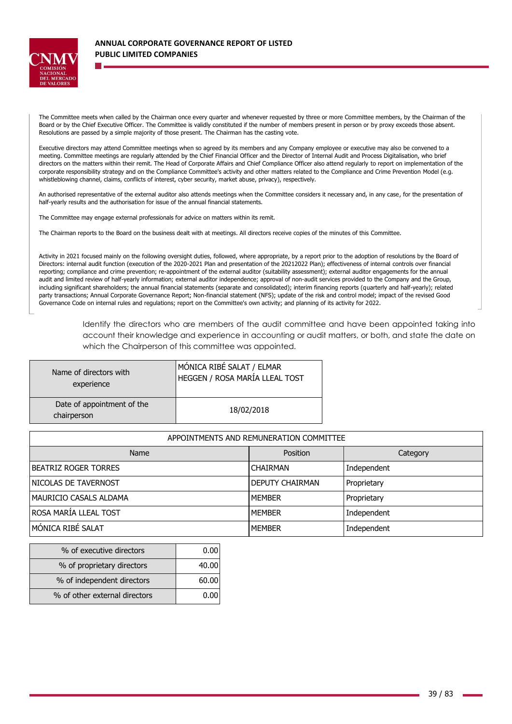

The Committee meets when called by the Chairman once every quarter and whenever requested by three or more Committee members, by the Chairman of the Board or by the Chief Executive Officer. The Committee is validly constituted if the number of members present in person or by proxy exceeds those absent. Resolutions are passed by a simple majority of those present. The Chairman has the casting vote.

Executive directors may attend Committee meetings when so agreed by its members and any Company employee or executive may also be convened to a meeting. Committee meetings are regularly attended by the Chief Financial Officer and the Director of Internal Audit and Process Digitalisation, who brief directors on the matters within their remit. The Head of Corporate Affairs and Chief Compliance Officer also attend regularly to report on implementation of the corporate responsibility strategy and on the Compliance Committee's activity and other matters related to the Compliance and Crime Prevention Model (e.g. whistleblowing channel, claims, conflicts of interest, cyber security, market abuse, privacy), respectively.

An authorised representative of the external auditor also attends meetings when the Committee considers it necessary and, in any case, for the presentation of half-yearly results and the authorisation for issue of the annual financial statements.

The Committee may engage external professionals for advice on matters within its remit.

The Chairman reports to the Board on the business dealt with at meetings. All directors receive copies of the minutes of this Committee.

Activity in 2021 focused mainly on the following oversight duties, followed, where appropriate, by a report prior to the adoption of resolutions by the Board of Directors: internal audit function (execution of the 2020-2021 Plan and presentation of the 20212022 Plan); effectiveness of internal controls over financial reporting; compliance and crime prevention; re-appointment of the external auditor (suitability assessment); external auditor engagements for the annual audit and limited review of half-yearly information; external auditor independence; approval of non-audit services provided to the Company and the Group, including significant shareholders; the annual financial statements (separate and consolidated); interim financing reports (quarterly and half-yearly); related party transactions; Annual Corporate Governance Report; Non-financial statement (NFS); update of the risk and control model; impact of the revised Good Governance Code on internal rules and regulations; report on the Committee's own activity; and planning of its activity for 2022.

> Identify the directors who are members of the audit committee and have been appointed taking into account their knowledge and experience in accounting or audit matters, or both, and state the date on which the Chairperson of this committee was appointed.

| Name of directors with                    | MÓNICA RIBÉ SALAT / ELMAR      |
|-------------------------------------------|--------------------------------|
| experience                                | HEGGEN / ROSA MARÍA LLEAL TOST |
| Date of appointment of the<br>chairperson | 18/02/2018                     |

| APPOINTMENTS AND REMUNERATION COMMITTEE |                        |             |  |  |  |  |
|-----------------------------------------|------------------------|-------------|--|--|--|--|
| Name<br>Position<br>Category            |                        |             |  |  |  |  |
| IBEATRIZ ROGER TORRES                   | <b>CHAIRMAN</b>        | Independent |  |  |  |  |
| INICOLAS DE TAVERNOST                   | <b>DEPUTY CHAIRMAN</b> | Proprietary |  |  |  |  |
| IMAURICIO CASALS ALDAMA                 | <b>MEMBER</b>          | Proprietary |  |  |  |  |
| ROSA MARÍA LLEAL TOST                   | <b>MEMBER</b>          | Independent |  |  |  |  |
| MÓNICA RIBÉ SALAT                       | <b>MEMBER</b>          | Independent |  |  |  |  |

| % of executive directors      |       |
|-------------------------------|-------|
| % of proprietary directors    | 40.00 |
| % of independent directors    | 60.00 |
| % of other external directors |       |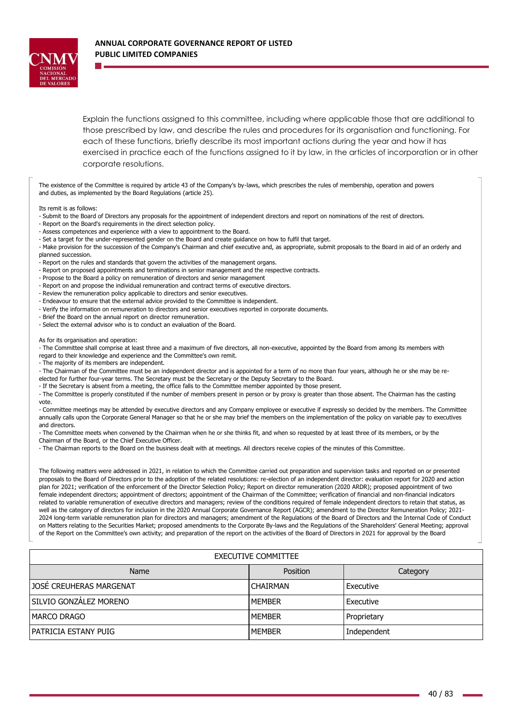

Explain the functions assigned to this committee, including where applicable those that are additional to those prescribed by law, and describe the rules and procedures for its organisation and functioning. For each of these functions, briefly describe its most important actions during the year and how it has exercised in practice each of the functions assigned to it by law, in the articles of incorporation or in other corporate resolutions.

The existence of the Committee is required by article 43 of the Company's by-laws, which prescribes the rules of membership, operation and powers and duties, as implemented by the Board Regulations (article 25).

Its remit is as follows:

- Submit to the Board of Directors any proposals for the appointment of independent directors and report on nominations of the rest of directors.
- Report on the Board's requirements in the direct selection policy.
- Assess competences and experience with a view to appointment to the Board.
- Set a target for the under-represented gender on the Board and create guidance on how to fulfil that target.

- Make provision for the succession of the Company's Chairman and chief executive and, as appropriate, submit proposals to the Board in aid of an orderly and planned succession.

- Report on the rules and standards that govern the activities of the management organs.
- Report on proposed appointments and terminations in senior management and the respective contracts.
- Propose to the Board a policy on remuneration of directors and senior management
- Report on and propose the individual remuneration and contract terms of executive directors.
- Review the remuneration policy applicable to directors and senior executives.
- Endeavour to ensure that the external advice provided to the Committee is independent.
- Verify the information on remuneration to directors and senior executives reported in corporate documents.
- Brief the Board on the annual report on director remuneration.
- Select the external advisor who is to conduct an evaluation of the Board.

As for its organisation and operation:

- The Committee shall comprise at least three and a maximum of five directors, all non-executive, appointed by the Board from among its members with regard to their knowledge and experience and the Committee's own remit.

- The majority of its members are independent.

- The Chairman of the Committee must be an independent director and is appointed for a term of no more than four years, although he or she may be re-

- elected for further four-year terms. The Secretary must be the Secretary or the Deputy Secretary to the Board.
- If the Secretary is absent from a meeting, the office falls to the Committee member appointed by those present.

- The Committee is properly constituted if the number of members present in person or by proxy is greater than those absent. The Chairman has the casting vote.

- Committee meetings may be attended by executive directors and any Company employee or executive if expressly so decided by the members. The Committee annually calls upon the Corporate General Manager so that he or she may brief the members on the implementation of the policy on variable pay to executives and directors.

- The Committee meets when convened by the Chairman when he or she thinks fit, and when so requested by at least three of its members, or by the Chairman of the Board, or the Chief Executive Officer.

- The Chairman reports to the Board on the business dealt with at meetings. All directors receive copies of the minutes of this Committee.

The following matters were addressed in 2021, in relation to which the Committee carried out preparation and supervision tasks and reported on or presented proposals to the Board of Directors prior to the adoption of the related resolutions: re-election of an independent director: evaluation report for 2020 and action plan for 2021; verification of the enforcement of the Director Selection Policy; Report on director remuneration (2020 ARDR); proposed appointment of two female independent directors; appointment of directors; appointment of the Chairman of the Committee; verification of financial and non-financial indicators related to variable remuneration of executive directors and managers; review of the conditions required of female independent directors to retain that status, as well as the category of directors for inclusion in the 2020 Annual Corporate Governance Report (AGCR); amendment to the Director Remuneration Policy; 2021- 2024 long-term variable remuneration plan for directors and managers; amendment of the Regulations of the Board of Directors and the Internal Code of Conduct on Matters relating to the Securities Market; proposed amendments to the Corporate By-laws and the Regulations of the Shareholders' General Meeting; approval of the Report on the Committee's own activity; and preparation of the report on the activities of the Board of Directors in 2021 for approval by the Board

### EXECUTIVE COMMITTEE

| Name                        | Position        | Category    |  |  |  |  |
|-----------------------------|-----------------|-------------|--|--|--|--|
| JOSE CREUHERAS MARGENAT     | <b>CHAIRMAN</b> | Executive   |  |  |  |  |
| SILVIO GONZÁLEZ MORENO      | <b>IMEMBER</b>  | Executive   |  |  |  |  |
| IMARCO DRAGO                | <b>IMEMBER</b>  | Proprietary |  |  |  |  |
| <b>PATRICIA ESTANY PUIG</b> | <b>IMEMBER</b>  | Independent |  |  |  |  |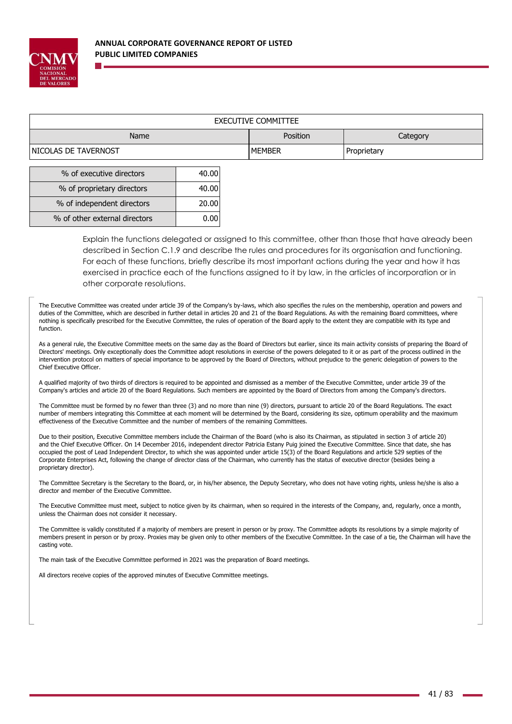

| <b>EXECUTIVE COMMITTEE</b>   |               |             |  |  |  |
|------------------------------|---------------|-------------|--|--|--|
| Position<br>Name<br>Category |               |             |  |  |  |
| INICOLAS DE TAVERNOST        | <b>MEMBER</b> | Proprietary |  |  |  |

| % of executive directors      | 40.00 |
|-------------------------------|-------|
| % of proprietary directors    | 40.00 |
| % of independent directors    | 20.00 |
| % of other external directors |       |

Explain the functions delegated or assigned to this committee, other than those that have already been described in Section C.1.9 and describe the rules and procedures for its organisation and functioning. For each of these functions, briefly describe its most important actions during the year and how it has exercised in practice each of the functions assigned to it by law, in the articles of incorporation or in other corporate resolutions.

The Executive Committee was created under article 39 of the Company's by-laws, which also specifies the rules on the membership, operation and powers and duties of the Committee, which are described in further detail in articles 20 and 21 of the Board Regulations. As with the remaining Board committees, where nothing is specifically prescribed for the Executive Committee, the rules of operation of the Board apply to the extent they are compatible with its type and function.

As a general rule, the Executive Committee meets on the same day as the Board of Directors but earlier, since its main activity consists of preparing the Board of Directors' meetings. Only exceptionally does the Committee adopt resolutions in exercise of the powers delegated to it or as part of the process outlined in the intervention protocol on matters of special importance to be approved by the Board of Directors, without prejudice to the generic delegation of powers to the Chief Executive Officer.

A qualified majority of two thirds of directors is required to be appointed and dismissed as a member of the Executive Committee, under article 39 of the Company's articles and article 20 of the Board Regulations. Such members are appointed by the Board of Directors from among the Company's directors.

The Committee must be formed by no fewer than three (3) and no more than nine (9) directors, pursuant to article 20 of the Board Regulations. The exact number of members integrating this Committee at each moment will be determined by the Board, considering its size, optimum operability and the maximum effectiveness of the Executive Committee and the number of members of the remaining Committees.

Due to their position, Executive Committee members include the Chairman of the Board (who is also its Chairman, as stipulated in section 3 of article 20) and the Chief Executive Officer. On 14 December 2016, independent director Patricia Estany Puig joined the Executive Committee. Since that date, she has occupied the post of Lead Independent Director, to which she was appointed under article 15(3) of the Board Regulations and article 529 septies of the Corporate Enterprises Act, following the change of director class of the Chairman, who currently has the status of executive director (besides being a proprietary director).

The Committee Secretary is the Secretary to the Board, or, in his/her absence, the Deputy Secretary, who does not have voting rights, unless he/she is also a director and member of the Executive Committee.

The Executive Committee must meet, subject to notice given by its chairman, when so required in the interests of the Company, and, regularly, once a month, unless the Chairman does not consider it necessary.

The Committee is validly constituted if a majority of members are present in person or by proxy. The Committee adopts its resolutions by a simple majority of members present in person or by proxy. Proxies may be given only to other members of the Executive Committee. In the case of a tie, the Chairman will have the casting vote.

The main task of the Executive Committee performed in 2021 was the preparation of Board meetings.

All directors receive copies of the approved minutes of Executive Committee meetings.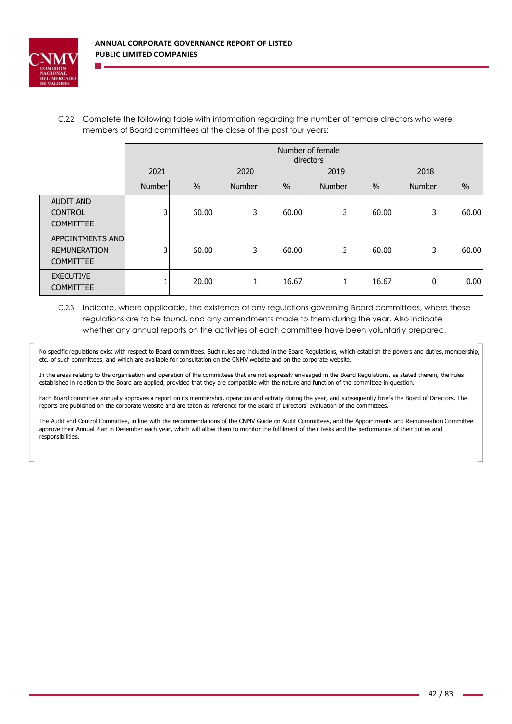

C.2.2 Complete the following table with information regarding the number of female directors who were members of Board committees at the close of the past four years:

|                                                             | Number of female<br>directors |               |         |       |                         |       |        |       |
|-------------------------------------------------------------|-------------------------------|---------------|---------|-------|-------------------------|-------|--------|-------|
|                                                             | 2021<br>2020<br>2019          |               |         |       |                         | 2018  |        |       |
|                                                             | Number                        | $\frac{0}{0}$ | Numberl | $\%$  | $\frac{0}{0}$<br>Number |       | Number | $\%$  |
| <b>AUDIT AND</b><br><b>CONTROL</b><br><b>COMMITTEE</b>      | 3                             | 60.00         | 3       | 60.00 | 3                       | 60.00 | 3      | 60.00 |
| APPOINTMENTS AND<br><b>REMUNERATION</b><br><b>COMMITTEE</b> | 3                             | 60.00         | 3       | 60.00 | 3                       | 60.00 | 3      | 60.00 |
| <b>EXECUTIVE</b><br><b>COMMITTEE</b>                        |                               | 20.00         |         | 16.67 |                         | 16.67 | 0      | 0.00  |

C.2.3 Indicate, where applicable, the existence of any regulations governing Board committees, where these regulations are to be found, and any amendments made to them during the year. Also indicate whether any annual reports on the activities of each committee have been voluntarily prepared.

No specific regulations exist with respect to Board committees. Such rules are included in the Board Regulations, which establish the powers and duties, membership, etc. of such committees, and which are available for consultation on the CNMV website and on the corporate website.

In the areas relating to the organisation and operation of the committees that are not expressly envisaged in the Board Regulations, as stated therein, the rules established in relation to the Board are applied, provided that they are compatible with the nature and function of the committee in question.

Each Board committee annually approves a report on its membership, operation and activity during the year, and subsequently briefs the Board of Directors. The reports are published on the corporate website and are taken as reference for the Board of Directors' evaluation of the committees.

The Audit and Control Committee, in line with the recommendations of the CNMV Guide on Audit Committees, and the Appointments and Remuneration Committee approve their Annual Plan in December each year, which will allow them to monitor the fulfilment of their tasks and the performance of their duties and responsibilities.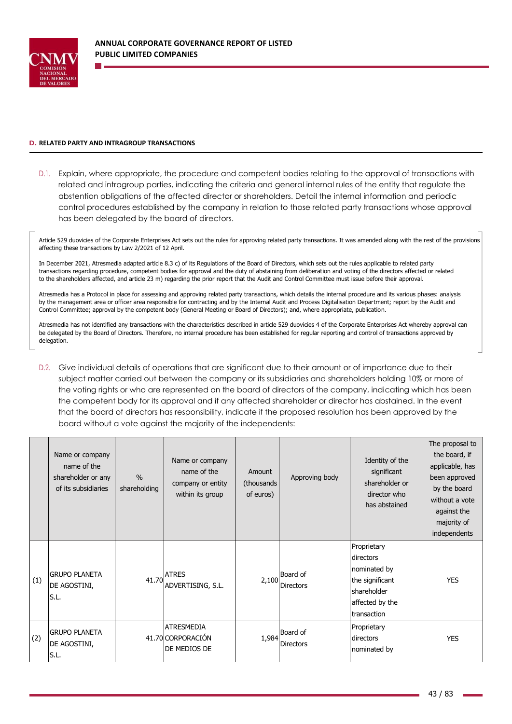

### **D. RELATED PARTY AND INTRAGROUP TRANSACTIONS**

D.1. Explain, where appropriate, the procedure and competent bodies relating to the approval of transactions with related and intragroup parties, indicating the criteria and general internal rules of the entity that regulate the abstention obligations of the affected director or shareholders. Detail the internal information and periodic control procedures established by the company in relation to those related party transactions whose approval has been delegated by the board of directors.

Article 529 duovicies of the Corporate Enterprises Act sets out the rules for approving related party transactions. It was amended along with the rest of the provisions affecting these transactions by Law 2/2021 of 12 April.

In December 2021, Atresmedia adapted article 8.3 c) of its Regulations of the Board of Directors, which sets out the rules applicable to related party transactions regarding procedure, competent bodies for approval and the duty of abstaining from deliberation and voting of the directors affected or related to the shareholders affected, and article 23 m) regarding the prior report that the Audit and Control Committee must issue before their approval.

Atresmedia has a Protocol in place for assessing and approving related party transactions, which details the internal procedure and its various phases: analysis by the management area or officer area responsible for contracting and by the Internal Audit and Process Digitalisation Department; report by the Audit and Control Committee; approval by the competent body (General Meeting or Board of Directors); and, where appropriate, publication.

Atresmedia has not identified any transactions with the characteristics described in article 529 duovicies 4 of the Corporate Enterprises Act whereby approval can be delegated by the Board of Directors. Therefore, no internal procedure has been established for regular reporting and control of transactions approved by delegation.

D.2. Give individual details of operations that are significant due to their amount or of importance due to their subject matter carried out between the company or its subsidiaries and shareholders holding 10% or more of the voting rights or who are represented on the board of directors of the company, indicating which has been the competent body for its approval and if any affected shareholder or director has abstained. In the event that the board of directors has responsibility, indicate if the proposed resolution has been approved by the board without a vote against the majority of the independents:

|     | Name or company<br>name of the<br>shareholder or any<br>of its subsidiaries | $\%$<br>shareholding | Name or company<br>name of the<br>company or entity<br>within its group | Amount<br>(thousands)<br>of euros) | Approving body               | Identity of the<br>significant<br>shareholder or<br>director who<br>has abstained                            | The proposal to<br>the board, if<br>applicable, has<br>been approved<br>by the board<br>without a vote<br>against the<br>majority of<br>independents |
|-----|-----------------------------------------------------------------------------|----------------------|-------------------------------------------------------------------------|------------------------------------|------------------------------|--------------------------------------------------------------------------------------------------------------|------------------------------------------------------------------------------------------------------------------------------------------------------|
| (1) | <b>GRUPO PLANETA</b><br>DE AGOSTINI,<br>S.L.                                | 41.70                | <b>ATRES</b><br>ADVERTISING, S.L.                                       | 2,100                              | Board of<br><b>Directors</b> | Proprietary<br>directors<br>nominated by<br>the significant<br>shareholder<br>affected by the<br>transaction | <b>YES</b>                                                                                                                                           |
| (2) | <b>GRUPO PLANETA</b><br>DE AGOSTINI,<br>S.L.                                |                      | <b>ATRESMEDIA</b><br>41.70 CORPORACIÓN<br>DE MEDIOS DE                  | 1,984                              | Board of<br><b>Directors</b> | Proprietary<br>directors<br>nominated by                                                                     | <b>YES</b>                                                                                                                                           |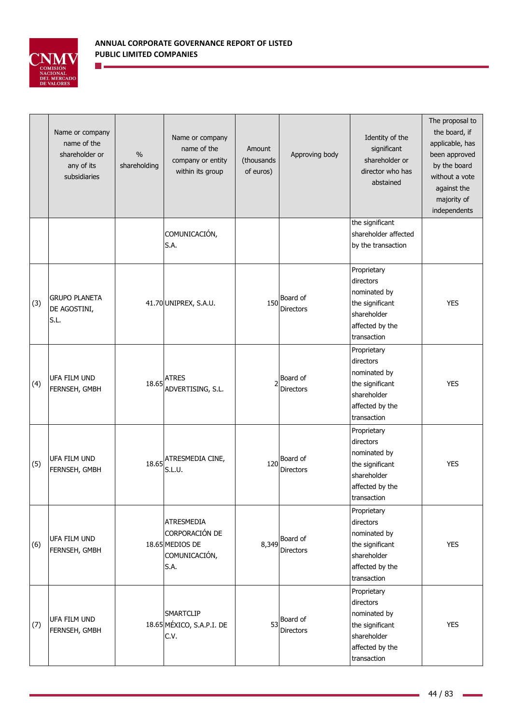

n e

|     | Name or company<br>name of the<br>shareholder or<br>any of its<br>subsidiaries | $\%$<br>shareholding | Name or company<br>name of the<br>company or entity<br>within its group  | Amount<br>(thousands<br>of euros) | Approving body               | Identity of the<br>significant<br>shareholder or<br>director who has<br>abstained                            | The proposal to<br>the board, if<br>applicable, has<br>been approved<br>by the board<br>without a vote<br>against the<br>majority of<br>independents |
|-----|--------------------------------------------------------------------------------|----------------------|--------------------------------------------------------------------------|-----------------------------------|------------------------------|--------------------------------------------------------------------------------------------------------------|------------------------------------------------------------------------------------------------------------------------------------------------------|
|     |                                                                                |                      | COMUNICACIÓN,<br>S.A.                                                    |                                   |                              | the significant<br>shareholder affected<br>by the transaction                                                |                                                                                                                                                      |
| (3) | <b>GRUPO PLANETA</b><br>DE AGOSTINI,<br>S.L.                                   |                      | 41.70 UNIPREX, S.A.U.                                                    | 150                               | Board of<br><b>Directors</b> | Proprietary<br>directors<br>nominated by<br>the significant<br>shareholder<br>affected by the<br>transaction | <b>YES</b>                                                                                                                                           |
| (4) | <b>UFA FILM UND</b><br>FERNSEH, GMBH                                           | 18.65                | <b>ATRES</b><br>ADVERTISING, S.L.                                        | 2                                 | Board of<br><b>Directors</b> | Proprietary<br>directors<br>nominated by<br>the significant<br>shareholder<br>affected by the<br>transaction | <b>YES</b>                                                                                                                                           |
| (5) | UFA FILM UND<br>FERNSEH, GMBH                                                  | 18.65                | ATRESMEDIA CINE,<br>S.L.U.                                               | 120                               | Board of<br><b>Directors</b> | Proprietary<br>directors<br>nominated by<br>the significant<br>shareholder<br>affected by the<br>transaction | <b>YES</b>                                                                                                                                           |
| (6) | UFA FILM UND<br>FERNSEH, GMBH                                                  |                      | ATRESMEDIA<br>CORPORACIÓN DE<br>18.65 MEDIOS DE<br>COMUNICACIÓN,<br>S.A. | 8,349                             | Board of<br><b>Directors</b> | Proprietary<br>directors<br>nominated by<br>the significant<br>shareholder<br>affected by the<br>transaction | <b>YES</b>                                                                                                                                           |
| (7) | UFA FILM UND<br>FERNSEH, GMBH                                                  |                      | SMARTCLIP<br>18.65 MÉXICO, S.A.P.I. DE<br>C.V.                           | 53                                | Board of<br><b>Directors</b> | Proprietary<br>directors<br>nominated by<br>the significant<br>shareholder<br>affected by the<br>transaction | <b>YES</b>                                                                                                                                           |

i.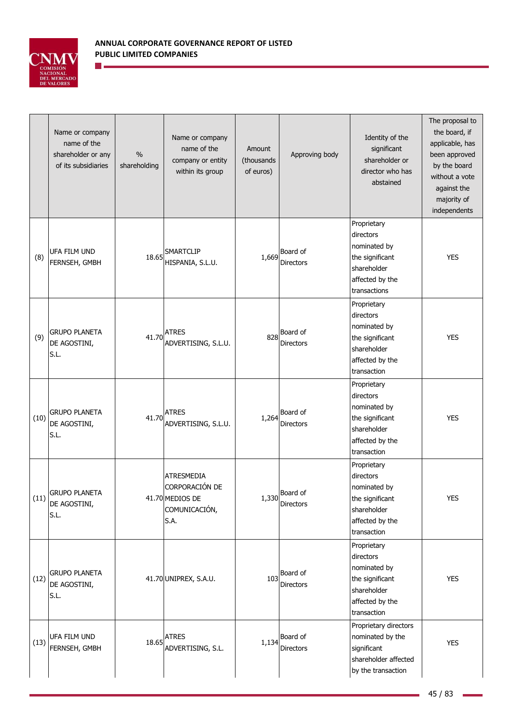

n e

|      | Name or company<br>name of the<br>shareholder or any<br>of its subsidiaries | $\%$<br>shareholding | Name or company<br>name of the<br>company or entity<br>within its group  | Amount<br>(thousands<br>of euros) | Approving body                       | Identity of the<br>significant<br>shareholder or<br>director who has<br>abstained                             | The proposal to<br>the board, if<br>applicable, has<br>been approved<br>by the board<br>without a vote<br>against the<br>majority of<br>independents |
|------|-----------------------------------------------------------------------------|----------------------|--------------------------------------------------------------------------|-----------------------------------|--------------------------------------|---------------------------------------------------------------------------------------------------------------|------------------------------------------------------------------------------------------------------------------------------------------------------|
| (8)  | UFA FILM UND<br>FERNSEH, GMBH                                               | 18.65                | SMARTCLIP<br>HISPANIA, S.L.U.                                            | 1,669                             | Board of<br><b>Directors</b>         | Proprietary<br>directors<br>nominated by<br>the significant<br>shareholder<br>affected by the<br>transactions | <b>YES</b>                                                                                                                                           |
| (9)  | <b>GRUPO PLANETA</b><br>DE AGOSTINI,<br>S.L.                                | 41.70                | <b>ATRES</b><br>ADVERTISING, S.L.U.                                      | 828                               | Board of<br><b>Directors</b>         | Proprietary<br>directors<br>nominated by<br>the significant<br>shareholder<br>affected by the<br>transaction  | <b>YES</b>                                                                                                                                           |
| (10) | <b>GRUPO PLANETA</b><br>DE AGOSTINI,<br>S.L.                                | 41.70                | <b>ATRES</b><br>ADVERTISING, S.L.U.                                      | 1,264                             | Board of<br><b>Directors</b>         | Proprietary<br>directors<br>nominated by<br>the significant<br>shareholder<br>affected by the<br>transaction  | <b>YES</b>                                                                                                                                           |
| (11) | <b>GRUPO PLANETA</b><br>DE AGOSTINI,<br>S.L.                                |                      | ATRESMEDIA<br>CORPORACIÓN DE<br>41.70 MEDIOS DE<br>COMUNICACIÓN,<br>S.A. |                                   | $1,330$ Board of<br><b>Directors</b> | Proprietary<br>directors<br>nominated by<br>the significant<br>shareholder<br>affected by the<br>transaction  | <b>YES</b>                                                                                                                                           |
| (12) | <b>GRUPO PLANETA</b><br>DE AGOSTINI,<br>S.L.                                |                      | 41.70 UNIPREX, S.A.U.                                                    | 103                               | Board of<br>Directors                | Proprietary<br>directors<br>nominated by<br>the significant<br>shareholder<br>affected by the<br>transaction  | <b>YES</b>                                                                                                                                           |
| (13) | UFA FILM UND<br>FERNSEH, GMBH                                               |                      | $18.65$ ATRES<br>ADVERTISING, S.L.                                       | 1,134                             | Board of<br>Directors                | Proprietary directors<br>nominated by the<br>significant<br>shareholder affected<br>by the transaction        | <b>YES</b>                                                                                                                                           |

i.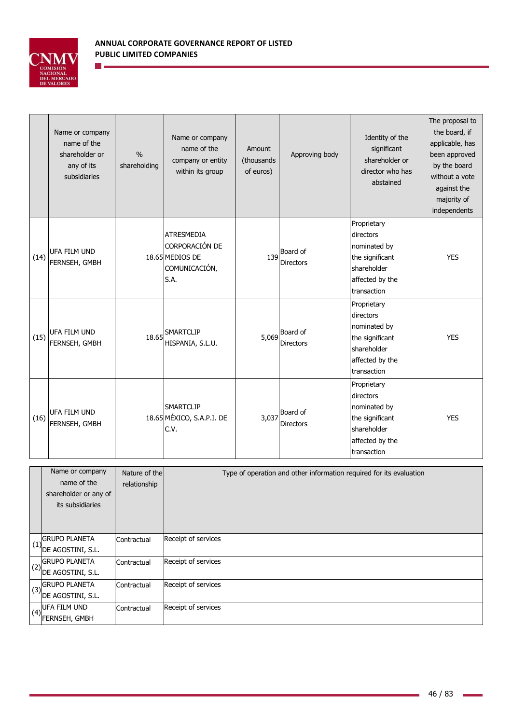

n e

|      | Name or company<br>name of the<br>shareholder or<br>any of its<br>subsidiaries | $\frac{0}{0}$<br>shareholding | Name or company<br>name of the<br>company or entity<br>within its group         | Amount<br>(thousands)<br>of euros) | Approving body               | Identity of the<br>significant<br>shareholder or<br>director who has<br>abstained                            | The proposal to<br>the board, if<br>applicable, has<br>been approved<br>by the board<br>without a vote<br>against the<br>majority of<br>independents |
|------|--------------------------------------------------------------------------------|-------------------------------|---------------------------------------------------------------------------------|------------------------------------|------------------------------|--------------------------------------------------------------------------------------------------------------|------------------------------------------------------------------------------------------------------------------------------------------------------|
| (14) | UFA FILM UND<br>FERNSEH, GMBH                                                  |                               | <b>ATRESMEDIA</b><br>CORPORACIÓN DE<br>18.65 MEDIOS DE<br>COMUNICACIÓN,<br>S.A. | 139                                | Board of<br><b>Directors</b> | Proprietary<br>directors<br>nominated by<br>the significant<br>shareholder<br>affected by the<br>transaction | <b>YES</b>                                                                                                                                           |
| (15) | UFA FILM UND<br>FERNSEH, GMBH                                                  | 18.65                         | SMARTCLIP<br>HISPANIA, S.L.U.                                                   | 5,069                              | Board of<br><b>Directors</b> | Proprietary<br>directors<br>nominated by<br>the significant<br>shareholder<br>affected by the<br>transaction | <b>YES</b>                                                                                                                                           |
| (16) | <b>UFA FILM UND</b><br>FERNSEH, GMBH                                           |                               | <b>SMARTCLIP</b><br>18.65 MÉXICO, S.A.P.I. DE<br>C.V.                           | 3,037                              | Board of<br><b>Directors</b> | Proprietary<br>directors<br>nominated by<br>the significant<br>shareholder<br>affected by the<br>transaction | <b>YES</b>                                                                                                                                           |

|     | Name or company<br>name of the<br>shareholder or any of<br>its subsidiaries                         | Nature of the<br>relationship | Type of operation and other information required for its evaluation |
|-----|-----------------------------------------------------------------------------------------------------|-------------------------------|---------------------------------------------------------------------|
| (1) | <b>GRUPO PLANETA</b><br>' DE AGOSTINI, S.L.                                                         | Contractual                   | Receipt of services                                                 |
|     | <b>GRUPO PLANETA</b><br>$(2)$ DE AGOSTINI, S.L.                                                     | Contractual                   | Receipt of services                                                 |
|     | $\left(\begin{array}{c} \text{GRUPO PLANETA} \\ \text{(3)} \end{array}\right)$<br>DE AGOSTINI, S.L. | Contractual                   | Receipt of services                                                 |
| (4) | <b>UFA FILM UND</b><br><b>FERNSEH, GMBH</b>                                                         | Contractual                   | Receipt of services                                                 |

i.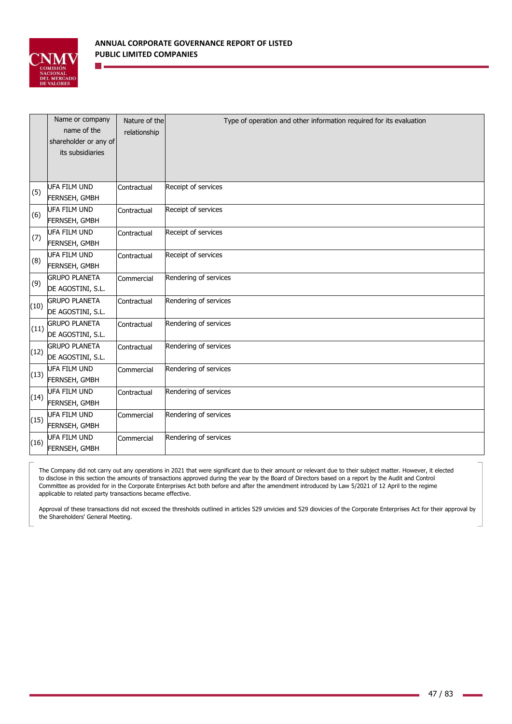

|      | Name or company<br>name of the<br>shareholder or any of<br>its subsidiaries | Nature of the<br>relationship | Type of operation and other information required for its evaluation |
|------|-----------------------------------------------------------------------------|-------------------------------|---------------------------------------------------------------------|
| (5)  | <b>UFA FILM UND</b><br>FERNSEH, GMBH                                        | Contractual                   | Receipt of services                                                 |
| (6)  | <b>UFA FILM UND</b><br>FERNSEH, GMBH                                        | Contractual                   | Receipt of services                                                 |
| (7)  | <b>UFA FILM UND</b><br>FERNSEH, GMBH                                        | Contractual                   | Receipt of services                                                 |
| (8)  | UFA FILM UND<br>FERNSEH, GMBH                                               | Contractual                   | Receipt of services                                                 |
| (9)  | <b>GRUPO PLANETA</b><br>DE AGOSTINI, S.L.                                   | Commercial                    | Rendering of services                                               |
| (10) | <b>GRUPO PLANETA</b><br>DE AGOSTINI, S.L.                                   | Contractual                   | Rendering of services                                               |
| (11) | <b>GRUPO PLANETA</b><br>DE AGOSTINI, S.L.                                   | Contractual                   | Rendering of services                                               |
| (12) | <b>GRUPO PLANETA</b><br>DE AGOSTINI, S.L.                                   | Contractual                   | Rendering of services                                               |
| (13) | UFA FILM UND<br>FERNSEH, GMBH                                               | Commercial                    | Rendering of services                                               |
| (14) | UFA FILM UND<br>FERNSEH, GMBH                                               | Contractual                   | Rendering of services                                               |
| (15) | UFA FILM UND<br>FERNSEH, GMBH                                               | Commercial                    | Rendering of services                                               |
| (16) | UFA FILM UND<br>FERNSEH, GMBH                                               | Commercial                    | Rendering of services                                               |

The Company did not carry out any operations in 2021 that were significant due to their amount or relevant due to their subject matter. However, it elected to disclose in this section the amounts of transactions approved during the year by the Board of Directors based on a report by the Audit and Control Committee as provided for in the Corporate Enterprises Act both before and after the amendment introduced by Law 5/2021 of 12 April to the regime applicable to related party transactions became effective.

Approval of these transactions did not exceed the thresholds outlined in articles 529 unvicies and 529 diovicies of the Corporate Enterprises Act for their approval by the Shareholders' General Meeting.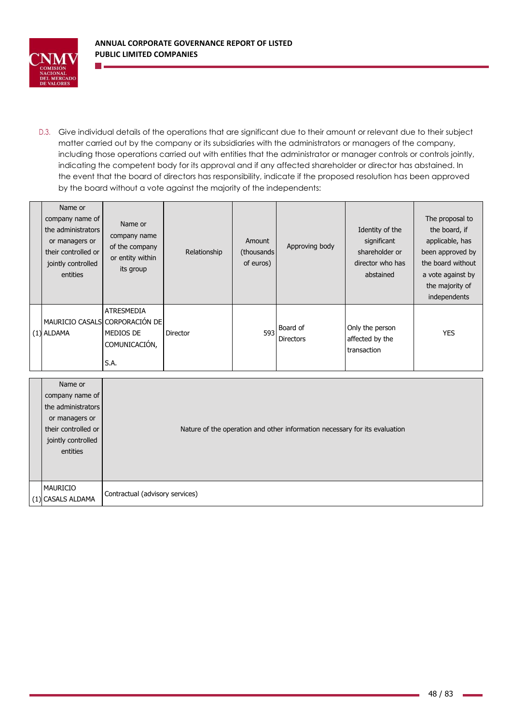

D.3. Give individual details of the operations that are significant due to their amount or relevant due to their subject matter carried out by the company or its subsidiaries with the administrators or managers of the company, including those operations carried out with entities that the administrator or manager controls or controls jointly, indicating the competent body for its approval and if any affected shareholder or director has abstained. In the event that the board of directors has responsibility, indicate if the proposed resolution has been approved by the board without a vote against the majority of the independents:

| Name or<br>company name of<br>the administrators<br>or managers or<br>their controlled or<br>jointly controlled<br>entities | Name or<br>company name<br>of the company<br>or entity within<br>its group         | Relationship | Amount<br>(thousands)<br>of euros) | Approving body                      | Identity of the<br>significant<br>shareholder or<br>director who has<br>abstained | The proposal to<br>the board, if<br>applicable, has<br>been approved by<br>the board without<br>a vote against by<br>the majority of<br>independents |
|-----------------------------------------------------------------------------------------------------------------------------|------------------------------------------------------------------------------------|--------------|------------------------------------|-------------------------------------|-----------------------------------------------------------------------------------|------------------------------------------------------------------------------------------------------------------------------------------------------|
| $(1)$ ALDAMA                                                                                                                | ATRESMEDIA<br>MAURICIO CASALS CORPORACIÓN DE<br>MEDIOS DE<br>COMUNICACIÓN,<br>S.A. | Director     | 593                                | <b>Board of</b><br><b>Directors</b> | Only the person<br>affected by the<br>transaction                                 | <b>YES</b>                                                                                                                                           |

| Name or<br>company name of<br>the administrators<br>or managers or<br>their controlled or<br>jointly controlled<br>entities | Nature of the operation and other information necessary for its evaluation |
|-----------------------------------------------------------------------------------------------------------------------------|----------------------------------------------------------------------------|
| <b>MAURICIO</b><br>(1) CASALS ALDAMA                                                                                        | Contractual (advisory services)                                            |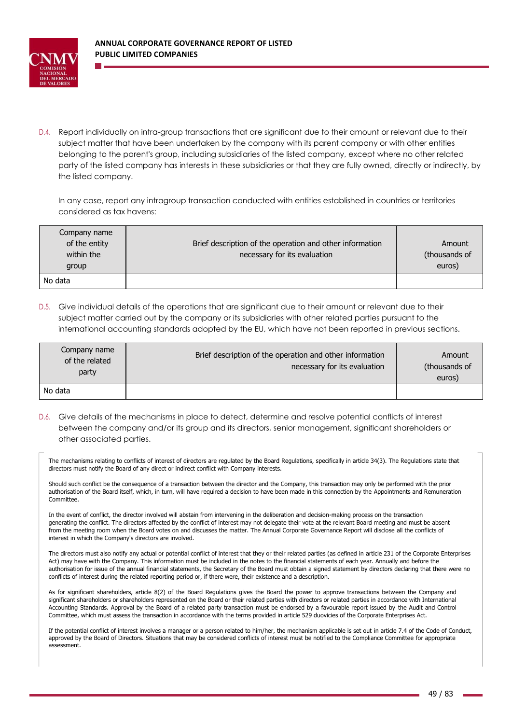

D.4. Report individually on intra-group transactions that are significant due to their amount or relevant due to their subject matter that have been undertaken by the company with its parent company or with other entities belonging to the parent's group, including subsidiaries of the listed company, except where no other related party of the listed company has interests in these subsidiaries or that they are fully owned, directly or indirectly, by the listed company.

In any case, report any intragroup transaction conducted with entities established in countries or territories considered as tax havens:

| of the entity<br>within the | Brief description of the operation and other information<br>necessary for its evaluation | Amount<br>(thousands of |
|-----------------------------|------------------------------------------------------------------------------------------|-------------------------|
| group                       |                                                                                          | euros)                  |
| No data                     |                                                                                          |                         |

D.5. Give individual details of the operations that are significant due to their amount or relevant due to their subject matter carried out by the company or its subsidiaries with other related parties pursuant to the international accounting standards adopted by the EU, which have not been reported in previous sections.

| Company name<br>of the related<br>party | Brief description of the operation and other information<br>necessary for its evaluation | Amount<br>(thousands of<br>euros) |
|-----------------------------------------|------------------------------------------------------------------------------------------|-----------------------------------|
| No data                                 |                                                                                          |                                   |

D.6. Give details of the mechanisms in place to detect, determine and resolve potential conflicts of interest between the company and/or its group and its directors, senior management, significant shareholders or other associated parties.

The mechanisms relating to conflicts of interest of directors are regulated by the Board Regulations, specifically in article 34(3). The Regulations state that directors must notify the Board of any direct or indirect conflict with Company interests.

Should such conflict be the consequence of a transaction between the director and the Company, this transaction may only be performed with the prior authorisation of the Board itself, which, in turn, will have required a decision to have been made in this connection by the Appointments and Remuneration Committee.

In the event of conflict, the director involved will abstain from intervening in the deliberation and decision-making process on the transaction generating the conflict. The directors affected by the conflict of interest may not delegate their vote at the relevant Board meeting and must be absent from the meeting room when the Board votes on and discusses the matter. The Annual Corporate Governance Report will disclose all the conflicts of interest in which the Company's directors are involved.

The directors must also notify any actual or potential conflict of interest that they or their related parties (as defined in article 231 of the Corporate Enterprises Act) may have with the Company. This information must be included in the notes to the financial statements of each year. Annually and before the authorisation for issue of the annual financial statements, the Secretary of the Board must obtain a signed statement by directors declaring that there were no conflicts of interest during the related reporting period or, if there were, their existence and a description.

As for significant shareholders, article 8(2) of the Board Regulations gives the Board the power to approve transactions between the Company and significant shareholders or shareholders represented on the Board or their related parties with directors or related parties in accordance with International Accounting Standards. Approval by the Board of a related party transaction must be endorsed by a favourable report issued by the Audit and Control Committee, which must assess the transaction in accordance with the terms provided in article 529 duovicies of the Corporate Enterprises Act.

If the potential conflict of interest involves a manager or a person related to him/her, the mechanism applicable is set out in article 7.4 of the Code of Conduct, approved by the Board of Directors. Situations that may be considered conflicts of interest must be notified to the Compliance Committee for appropriate assessment.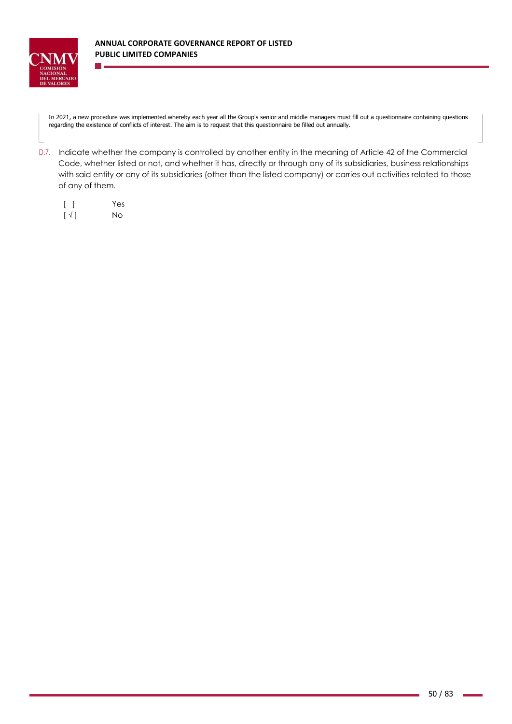

In 2021, a new procedure was implemented whereby each year all the Group's senior and middle managers must fill out a questionnaire containing questions regarding the existence of conflicts of interest. The aim is to request that this questionnaire be filled out annually.

D.7. Indicate whether the company is controlled by another entity in the meaning of Article 42 of the Commercial Code, whether listed or not, and whether it has, directly or through any of its subsidiaries, business relationships with said entity or any of its subsidiaries (other than the listed company) or carries out activities related to those of any of them.

|                          | Yes |
|--------------------------|-----|
| $\lceil \sqrt{ } \rceil$ | No  |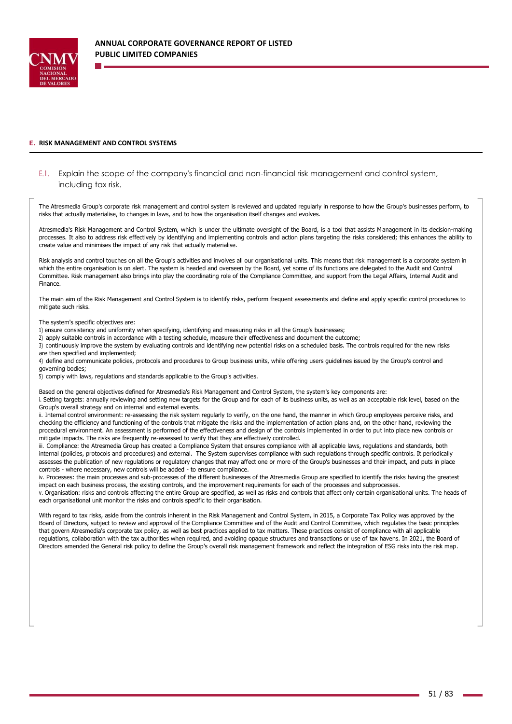

#### **E. RISK MANAGEMENT AND CONTROL SYSTEMS**

# E.1. Explain the scope of the company's financial and non-financial risk management and control system, including tax risk.

The Atresmedia Group's corporate risk management and control system is reviewed and updated regularly in response to how the Group's businesses perform, to risks that actually materialise, to changes in laws, and to how the organisation itself changes and evolves.

Atresmedia's Risk Management and Control System, which is under the ultimate oversight of the Board, is a tool that assists Management in its decision-making processes. It also to address risk effectively by identifying and implementing controls and action plans targeting the risks considered; this enhances the ability to create value and minimises the impact of any risk that actually materialise.

Risk analysis and control touches on all the Group's activities and involves all our organisational units. This means that risk management is a corporate system in which the entire organisation is on alert. The system is headed and overseen by the Board, yet some of its functions are delegated to the Audit and Control Committee. Risk management also brings into play the coordinating role of the Compliance Committee, and support from the Legal Affairs, Internal Audit and Finance.

The main aim of the Risk Management and Control System is to identify risks, perform frequent assessments and define and apply specific control procedures to mitigate such risks.

The system's specific objectives are:

1) ensure consistency and uniformity when specifying, identifying and measuring risks in all the Group's businesses;

2) apply suitable controls in accordance with a testing schedule, measure their effectiveness and document the outcome;

3) continuously improve the system by evaluating controls and identifying new potential risks on a scheduled basis. The controls required for the new risks are then specified and implemented;

4) define and communicate policies, protocols and procedures to Group business units, while offering users guidelines issued by the Group's control and governing bodies;

5) comply with laws, regulations and standards applicable to the Group's activities.

Based on the general objectives defined for Atresmedia's Risk Management and Control System, the system's key components are:

i. Setting targets: annually reviewing and setting new targets for the Group and for each of its business units, as well as an acceptable risk level, based on the Group's overall strategy and on internal and external events.

ii. Internal control environment: re-assessing the risk system regularly to verify, on the one hand, the manner in which Group employees perceive risks, and checking the efficiency and functioning of the controls that mitigate the risks and the implementation of action plans and, on the other hand, reviewing the procedural environment. An assessment is performed of the effectiveness and design of the controls implemented in order to put into place new controls or mitigate impacts. The risks are frequently re-assessed to verify that they are effectively controlled.

iii. Compliance: the Atresmedia Group has created a Compliance System that ensures compliance with all applicable laws, regulations and standards, both internal (policies, protocols and procedures) and external. The System supervises compliance with such regulations through specific controls. It periodically assesses the publication of new regulations or regulatory changes that may affect one or more of the Group's businesses and their impact, and puts in place controls - where necessary, new controls will be added - to ensure compliance.

iv. Processes: the main processes and sub-processes of the different businesses of the Atresmedia Group are specified to identify the risks having the greatest impact on each business process, the existing controls, and the improvement requirements for each of the processes and subprocesses.

v. Organisation: risks and controls affecting the entire Group are specified, as well as risks and controls that affect only certain organisational units. The heads of each organisational unit monitor the risks and controls specific to their organisation.

With regard to tax risks, aside from the controls inherent in the Risk Management and Control System, in 2015, a Corporate Tax Policy was approved by the Board of Directors, subject to review and approval of the Compliance Committee and of the Audit and Control Committee, which regulates the basic principles that govern Atresmedia's corporate tax policy, as well as best practices applied to tax matters. These practices consist of compliance with all applicable regulations, collaboration with the tax authorities when required, and avoiding opaque structures and transactions or use of tax havens. In 2021, the Board of Directors amended the General risk policy to define the Group's overall risk management framework and reflect the integration of ESG risks into the risk map.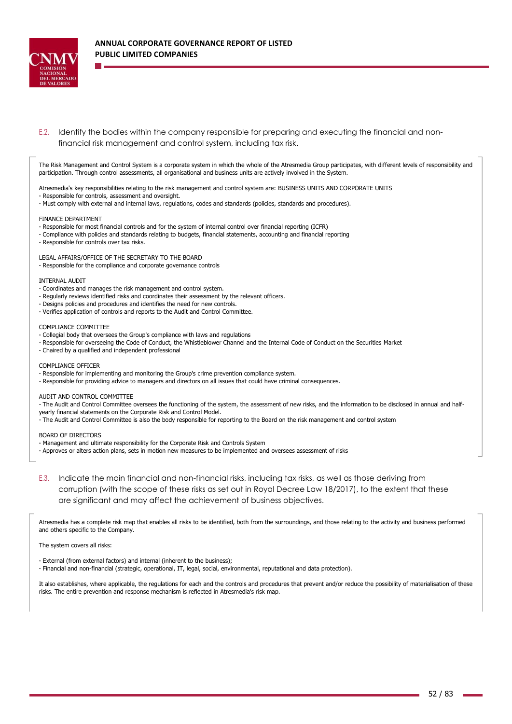

E.2. Identify the bodies within the company responsible for preparing and executing the financial and nonfinancial risk management and control system, including tax risk.

The Risk Management and Control System is a corporate system in which the whole of the Atresmedia Group participates, with different levels of responsibility and participation. Through control assessments, all organisational and business units are actively involved in the System.

Atresmedia's key responsibilities relating to the risk management and control system are: BUSINESS UNITS AND CORPORATE UNITS

- Responsible for controls, assessment and oversight.
- Must comply with external and internal laws, regulations, codes and standards (policies, standards and procedures).

#### FINANCE DEPARTMENT

- Responsible for most financial controls and for the system of internal control over financial reporting (ICFR)
- Compliance with policies and standards relating to budgets, financial statements, accounting and financial reporting
- Responsible for controls over tax risks.

LEGAL AFFAIRS/OFFICE OF THE SECRETARY TO THE BOARD

#### - Responsible for the compliance and corporate governance controls

#### INTERNAL AUDIT

- Coordinates and manages the risk management and control system.
- Regularly reviews identified risks and coordinates their assessment by the relevant officers.
- Designs policies and procedures and identifies the need for new controls.
- Verifies application of controls and reports to the Audit and Control Committee.

#### COMPLIANCE COMMITTEE

- Collegial body that oversees the Group's compliance with laws and regulations
- Responsible for overseeing the Code of Conduct, the Whistleblower Channel and the Internal Code of Conduct on the Securities Market
- Chaired by a qualified and independent professional

#### COMPLIANCE OFFICER

- Responsible for implementing and monitoring the Group's crime prevention compliance system.
- Responsible for providing advice to managers and directors on all issues that could have criminal consequences.

#### AUDIT AND CONTROL COMMITTEE

- The Audit and Control Committee oversees the functioning of the system, the assessment of new risks, and the information to be disclosed in annual and halfyearly financial statements on the Corporate Risk and Control Model.

- The Audit and Control Committee is also the body responsible for reporting to the Board on the risk management and control system

BOARD OF DIRECTORS

- Management and ultimate responsibility for the Corporate Risk and Controls System

- Approves or alters action plans, sets in motion new measures to be implemented and oversees assessment of risks
- E.3. Indicate the main financial and non-financial risks, including tax risks, as well as those deriving from corruption (with the scope of these risks as set out in Royal Decree Law 18/2017), to the extent that these are significant and may affect the achievement of business objectives.

Atresmedia has a complete risk map that enables all risks to be identified, both from the surroundings, and those relating to the activity and business performed and others specific to the Company.

The system covers all risks:

- External (from external factors) and internal (inherent to the business);

- Financial and non-financial (strategic, operational, IT, legal, social, environmental, reputational and data protection).

It also establishes, where applicable, the regulations for each and the controls and procedures that prevent and/or reduce the possibility of materialisation of these risks. The entire prevention and response mechanism is reflected in Atresmedia's risk map.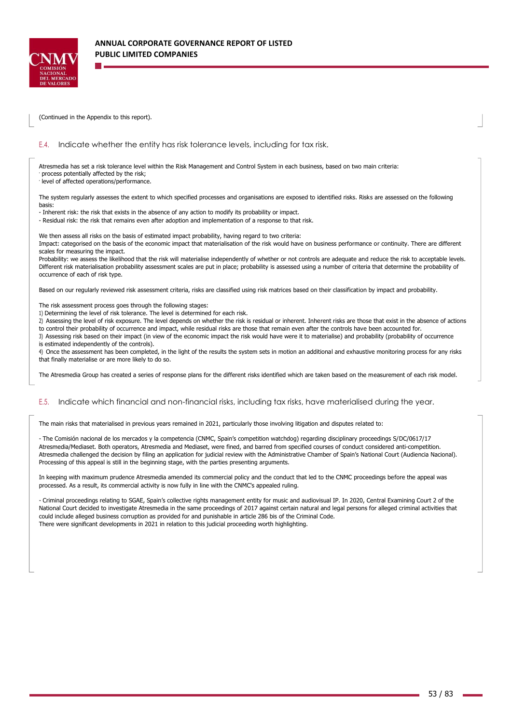

(Continued in the Appendix to this report).

### E.4. Indicate whether the entity has risk tolerance levels, including for tax risk.

Atresmedia has set a risk tolerance level within the Risk Management and Control System in each business, based on two main criteria: process potentially affected by the risk;

level of affected operations/performance.

The system regularly assesses the extent to which specified processes and organisations are exposed to identified risks. Risks are assessed on the following basis:

- Inherent risk: the risk that exists in the absence of any action to modify its probability or impact.

- Residual risk: the risk that remains even after adoption and implementation of a response to that risk.

We then assess all risks on the basis of estimated impact probability, having regard to two criteria:

Impact: categorised on the basis of the economic impact that materialisation of the risk would have on business performance or continuity. There are different scales for measuring the impact.

Probability: we assess the likelihood that the risk will materialise independently of whether or not controls are adequate and reduce the risk to acceptable levels. Different risk materialisation probability assessment scales are put in place; probability is assessed using a number of criteria that determine the probability of occurrence of each of risk type.

Based on our regularly reviewed risk assessment criteria, risks are classified using risk matrices based on their classification by impact and probability.

The risk assessment process goes through the following stages:

- 1) Determining the level of risk tolerance. The level is determined for each risk.
- 2) Assessing the level of risk exposure. The level depends on whether the risk is residual or inherent. Inherent risks are those that exist in the absence of actions

to control their probability of occurrence and impact, while residual risks are those that remain even after the controls have been accounted for.

3) Assessing risk based on their impact (in view of the economic impact the risk would have were it to materialise) and probability (probability of occurrence is estimated independently of the controls).

4) Once the assessment has been completed, in the light of the results the system sets in motion an additional and exhaustive monitoring process for any risks that finally materialise or are more likely to do so.

The Atresmedia Group has created a series of response plans for the different risks identified which are taken based on the measurement of each risk model.

### E.5. Indicate which financial and non-financial risks, including tax risks, have materialised during the year.

The main risks that materialised in previous years remained in 2021, particularly those involving litigation and disputes related to:

- The Comisión nacional de los mercados y la competencia (CNMC, Spain's competition watchdog) regarding disciplinary proceedings S/DC/0617/17 Atresmedia/Mediaset. Both operators, Atresmedia and Mediaset, were fined, and barred from specified courses of conduct considered anti-competition. Atresmedia challenged the decision by filing an application for judicial review with the Administrative Chamber of Spain's National Court (Audiencia Nacional). Processing of this appeal is still in the beginning stage, with the parties presenting arguments.

In keeping with maximum prudence Atresmedia amended its commercial policy and the conduct that led to the CNMC proceedings before the appeal was processed. As a result, its commercial activity is now fully in line with the CNMC's appealed ruling.

- Criminal proceedings relating to SGAE, Spain's collective rights management entity for music and audiovisual IP. In 2020, Central Examining Court 2 of the National Court decided to investigate Atresmedia in the same proceedings of 2017 against certain natural and legal persons for alleged criminal activities that could include alleged business corruption as provided for and punishable in article 286 bis of the Criminal Code. There were significant developments in 2021 in relation to this judicial proceeding worth highlighting.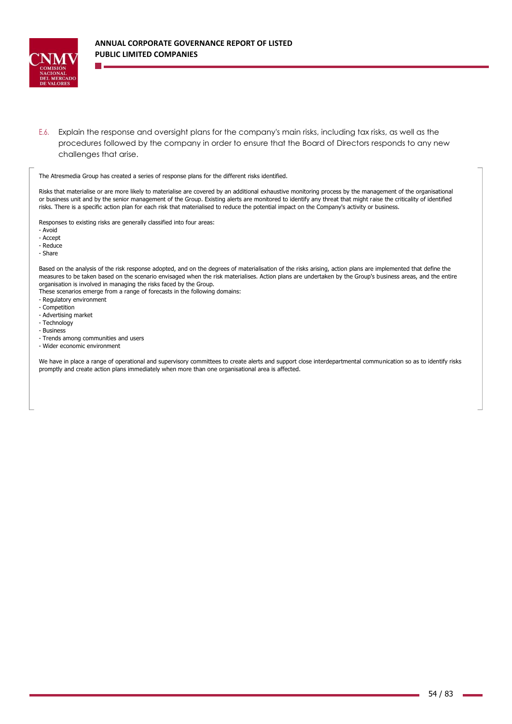

E.6. Explain the response and oversight plans for the company's main risks, including tax risks, as well as the procedures followed by the company in order to ensure that the Board of Directors responds to any new challenges that arise.

The Atresmedia Group has created a series of response plans for the different risks identified.

Risks that materialise or are more likely to materialise are covered by an additional exhaustive monitoring process by the management of the organisational or business unit and by the senior management of the Group. Existing alerts are monitored to identify any threat that might raise the criticality of identified risks. There is a specific action plan for each risk that materialised to reduce the potential impact on the Company's activity or business.

Responses to existing risks are generally classified into four areas:

- Avoid

- Accept

- Reduce

- Share

Based on the analysis of the risk response adopted, and on the degrees of materialisation of the risks arising, action plans are implemented that define the measures to be taken based on the scenario envisaged when the risk materialises. Action plans are undertaken by the Group's business areas, and the entire organisation is involved in managing the risks faced by the Group.

These scenarios emerge from a range of forecasts in the following domains:

- Regulatory environment
- Competition
- Advertising market
- Technology
- Business
- Trends among communities and users

- Wider economic environment

We have in place a range of operational and supervisory committees to create alerts and support close interdepartmental communication so as to identify risks promptly and create action plans immediately when more than one organisational area is affected.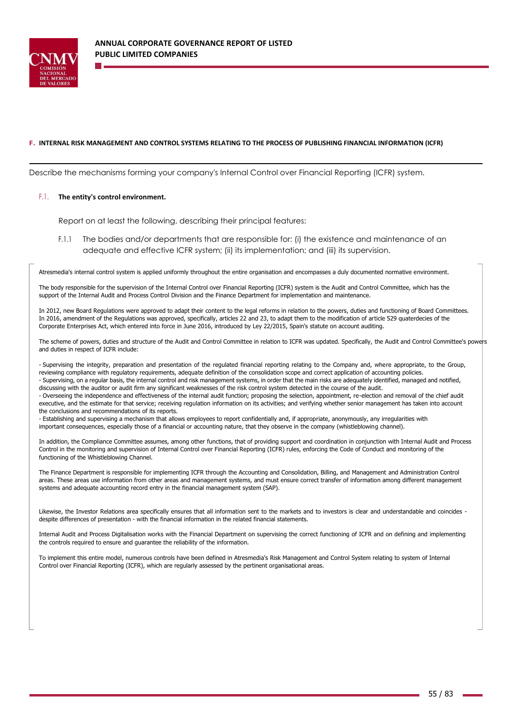

#### **F. INTERNAL RISK MANAGEMENT AND CONTROL SYSTEMS RELATING TO THE PROCESS OF PUBLISHING FINANCIAL INFORMATION (ICFR)**

Describe the mechanisms forming your company's Internal Control over Financial Reporting (ICFR) system.

#### F.1. **The entity's control environment.**

Report on at least the following, describing their principal features:

F.1.1 The bodies and/or departments that are responsible for: (i) the existence and maintenance of an adequate and effective ICFR system; (ii) its implementation; and (iii) its supervision.

Atresmedia's internal control system is applied uniformly throughout the entire organisation and encompasses a duly documented normative environment.

The body responsible for the supervision of the Internal Control over Financial Reporting (ICFR) system is the Audit and Control Committee, which has the support of the Internal Audit and Process Control Division and the Finance Department for implementation and maintenance.

In 2012, new Board Regulations were approved to adapt their content to the legal reforms in relation to the powers, duties and functioning of Board Committees. In 2016, amendment of the Regulations was approved, specifically, articles 22 and 23, to adapt them to the modification of article 529 quaterdecies of the Corporate Enterprises Act, which entered into force in June 2016, introduced by Ley 22/2015, Spain's statute on account auditing.

The scheme of powers, duties and structure of the Audit and Control Committee in relation to ICFR was updated. Specifically, the Audit and Control Committee's powers and duties in respect of ICFR include:

- Supervising the integrity, preparation and presentation of the regulated financial reporting relating to the Company and, where appropriate, to the Group, reviewing compliance with regulatory requirements, adequate definition of the consolidation scope and correct application of accounting policies. - Supervising, on a regular basis, the internal control and risk management systems, in order that the main risks are adequately identified, managed and notified, discussing with the auditor or audit firm any significant weaknesses of the risk control system detected in the course of the audit.

- Overseeing the independence and effectiveness of the internal audit function; proposing the selection, appointment, re-election and removal of the chief audit executive, and the estimate for that service; receiving regulation information on its activities; and verifying whether senior management has taken into account the conclusions and recommendations of its reports.

- Establishing and supervising a mechanism that allows employees to report confidentially and, if appropriate, anonymously, any irregularities with important consequences, especially those of a financial or accounting nature, that they observe in the company (whistleblowing channel).

In addition, the Compliance Committee assumes, among other functions, that of providing support and coordination in conjunction with Internal Audit and Process Control in the monitoring and supervision of Internal Control over Financial Reporting (ICFR) rules, enforcing the Code of Conduct and monitoring of the functioning of the Whistleblowing Channel.

The Finance Department is responsible for implementing ICFR through the Accounting and Consolidation, Billing, and Management and Administration Control areas. These areas use information from other areas and management systems, and must ensure correct transfer of information among different management systems and adequate accounting record entry in the financial management system (SAP).

Likewise, the Investor Relations area specifically ensures that all information sent to the markets and to investors is clear and understandable and coincides despite differences of presentation - with the financial information in the related financial statements.

Internal Audit and Process Digitalisation works with the Financial Department on supervising the correct functioning of ICFR and on defining and implementing the controls required to ensure and guarantee the reliability of the information.

To implement this entire model, numerous controls have been defined in Atresmedia's Risk Management and Control System relating to system of Internal Control over Financial Reporting (ICFR), which are regularly assessed by the pertinent organisational areas.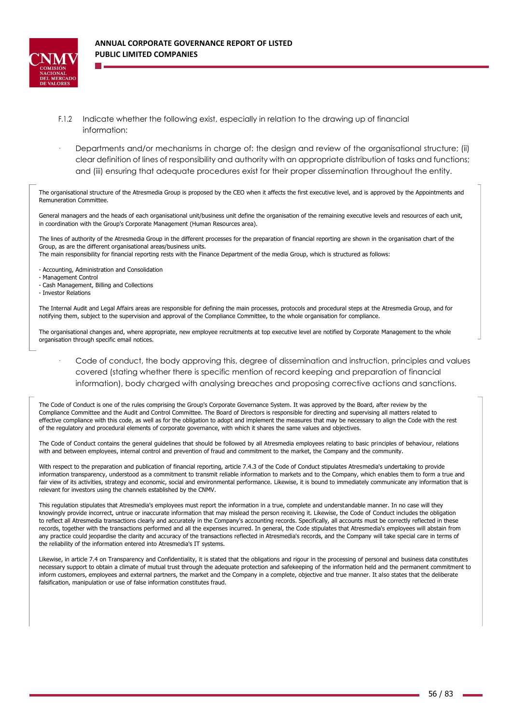

- F.1.2 Indicate whether the following exist, especially in relation to the drawing up of financial information:
- · Departments and/or mechanisms in charge of: the design and review of the organisational structure; (ii) clear definition of lines of responsibility and authority with an appropriate distribution of tasks and functions; and (iii) ensuring that adequate procedures exist for their proper dissemination throughout the entity.

The organisational structure of the Atresmedia Group is proposed by the CEO when it affects the first executive level, and is approved by the Appointments and Remuneration Committee.

General managers and the heads of each organisational unit/business unit define the organisation of the remaining executive levels and resources of each unit, in coordination with the Group's Corporate Management (Human Resources area).

The lines of authority of the Atresmedia Group in the different processes for the preparation of financial reporting are shown in the organisation chart of the Group, as are the different organisational areas/business units.

The main responsibility for financial reporting rests with the Finance Department of the media Group, which is structured as follows:

- Accounting, Administration and Consolidation
- Management Control
- Cash Management, Billing and Collections
- Investor Relations

The Internal Audit and Legal Affairs areas are responsible for defining the main processes, protocols and procedural steps at the Atresmedia Group, and for notifying them, subject to the supervision and approval of the Compliance Committee, to the whole organisation for compliance.

The organisational changes and, where appropriate, new employee recruitments at top executive level are notified by Corporate Management to the whole organisation through specific email notices.

Code of conduct, the body approving this, degree of dissemination and instruction, principles and values covered (stating whether there is specific mention of record keeping and preparation of financial information), body charged with analysing breaches and proposing corrective actions and sanctions.

The Code of Conduct is one of the rules comprising the Group's Corporate Governance System. It was approved by the Board, after review by the Compliance Committee and the Audit and Control Committee. The Board of Directors is responsible for directing and supervising all matters related to effective compliance with this code, as well as for the obligation to adopt and implement the measures that may be necessary to align the Code with the rest of the regulatory and procedural elements of corporate governance, with which it shares the same values and objectives.

The Code of Conduct contains the general guidelines that should be followed by all Atresmedia employees relating to basic principles of behaviour, relations with and between employees, internal control and prevention of fraud and commitment to the market, the Company and the community.

With respect to the preparation and publication of financial reporting, article 7.4.3 of the Code of Conduct stipulates Atresmedia's undertaking to provide information transparency, understood as a commitment to transmit reliable information to markets and to the Company, which enables them to form a true and fair view of its activities, strategy and economic, social and environmental performance. Likewise, it is bound to immediately communicate any information that is relevant for investors using the channels established by the CNMV.

This regulation stipulates that Atresmedia's employees must report the information in a true, complete and understandable manner. In no case will they knowingly provide incorrect, untrue or inaccurate information that may mislead the person receiving it. Likewise, the Code of Conduct includes the obligation to reflect all Atresmedia transactions clearly and accurately in the Company's accounting records. Specifically, all accounts must be correctly reflected in these records, together with the transactions performed and all the expenses incurred. In general, the Code stipulates that Atresmedia's employees will abstain from any practice could jeopardise the clarity and accuracy of the transactions reflected in Atresmedia's records, and the Company will take special care in terms of the reliability of the information entered into Atresmedia's IT systems.

Likewise, in article 7.4 on Transparency and Confidentiality, it is stated that the obligations and rigour in the processing of personal and business data constitutes necessary support to obtain a climate of mutual trust through the adequate protection and safekeeping of the information held and the permanent commitment to inform customers, employees and external partners, the market and the Company in a complete, objective and true manner. It also states that the deliberate falsification, manipulation or use of false information constitutes fraud.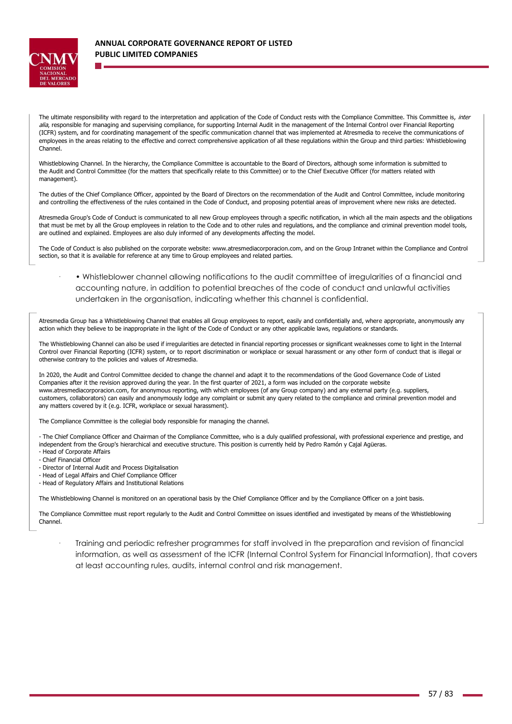

The ultimate responsibility with regard to the interpretation and application of the Code of Conduct rests with the Compliance Committee. This Committee is, inter alia, responsible for managing and supervising compliance, for supporting Internal Audit in the management of the Internal Control over Financial Reporting (ICFR) system, and for coordinating management of the specific communication channel that was implemented at Atresmedia to receive the communications of employees in the areas relating to the effective and correct comprehensive application of all these regulations within the Group and third parties: Whistleblowing Channel.

Whistleblowing Channel. In the hierarchy, the Compliance Committee is accountable to the Board of Directors, although some information is submitted to the Audit and Control Committee (for the matters that specifically relate to this Committee) or to the Chief Executive Officer (for matters related with management).

The duties of the Chief Compliance Officer, appointed by the Board of Directors on the recommendation of the Audit and Control Committee, include monitoring and controlling the effectiveness of the rules contained in the Code of Conduct, and proposing potential areas of improvement where new risks are detected.

Atresmedia Group's Code of Conduct is communicated to all new Group employees through a specific notification, in which all the main aspects and the obligations that must be met by all the Group employees in relation to the Code and to other rules and regulations, and the compliance and criminal prevention model tools, are outlined and explained. Employees are also duly informed of any developments affecting the model.

The Code of Conduct is also published on the corporate website: [www.atresmediacorporacion.com,](http://www.atresmediacorporacion.com/) and on the Group Intranet within the Compliance and Control section, so that it is available for reference at any time to Group employees and related parties.

· • Whistleblower channel allowing notifications to the audit committee of irregularities of a financial and accounting nature, in addition to potential breaches of the code of conduct and unlawful activities undertaken in the organisation, indicating whether this channel is confidential.

Atresmedia Group has a Whistleblowing Channel that enables all Group employees to report, easily and confidentially and, where appropriate, anonymously any action which they believe to be inappropriate in the light of the Code of Conduct or any other applicable laws, regulations or standards.

The Whistleblowing Channel can also be used if irregularities are detected in financial reporting processes or significant weaknesses come to light in the Internal Control over Financial Reporting (ICFR) system, or to report discrimination or workplace or sexual harassment or any other form of conduct that is illegal or otherwise contrary to the policies and values of Atresmedia.

In 2020, the Audit and Control Committee decided to change the channel and adapt it to the recommendations of the Good Governance Code of Listed Companies after it the revision approved during the year. In the first quarter of 2021, a form was included on the corporate website [www.atresmediacorporacion.com, fo](http://www.atresmediacorporacion.com/)r anonymous reporting, with which employees (of any Group company) and any external party (e.g. suppliers, customers, collaborators) can easily and anonymously lodge any complaint or submit any query related to the compliance and criminal prevention model and any matters covered by it (e.g. ICFR, workplace or sexual harassment).

The Compliance Committee is the collegial body responsible for managing the channel.

- The Chief Compliance Officer and Chairman of the Compliance Committee, who is a duly qualified professional, with professional experience and prestige, and independent from the Group's hierarchical and executive structure. This position is currently held by Pedro Ramón y Cajal Agüeras. - Head of Corporate Affairs

- Chief Financial Officer

- Director of Internal Audit and Process Digitalisation
- Head of Legal Affairs and Chief Compliance Officer

- Head of Regulatory Affairs and Institutional Relations

The Whistleblowing Channel is monitored on an operational basis by the Chief Compliance Officer and by the Compliance Officer on a joint basis.

The Compliance Committee must report regularly to the Audit and Control Committee on issues identified and investigated by means of the Whistleblowing Channel.

· Training and periodic refresher programmes for staff involved in the preparation and revision of financial information, as well as assessment of the ICFR (Internal Control System for Financial Information), that covers at least accounting rules, audits, internal control and risk management.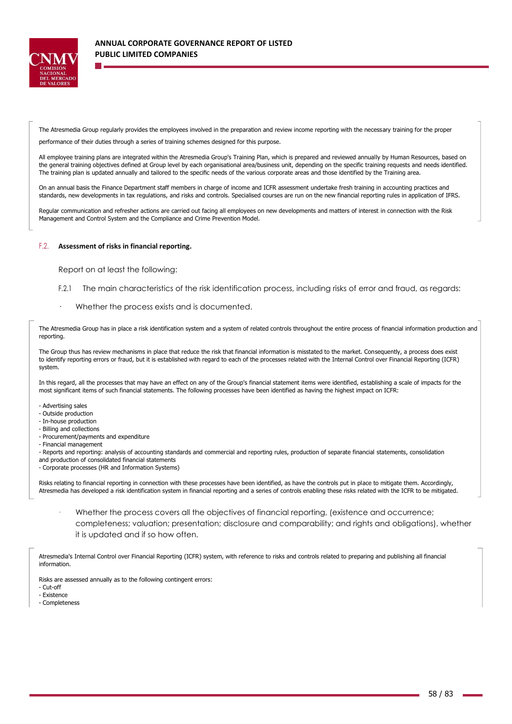

The Atresmedia Group regularly provides the employees involved in the preparation and review income reporting with the necessary training for the proper

performance of their duties through a series of training schemes designed for this purpose.

All employee training plans are integrated within the Atresmedia Group's Training Plan, which is prepared and reviewed annually by Human Resources, based on the general training objectives defined at Group level by each organisational area/business unit, depending on the specific training requests and needs identified. The training plan is updated annually and tailored to the specific needs of the various corporate areas and those identified by the Training area.

On an annual basis the Finance Department staff members in charge of income and ICFR assessment undertake fresh training in accounting practices and standards, new developments in tax regulations, and risks and controls. Specialised courses are run on the new financial reporting rules in application of IFRS.

Regular communication and refresher actions are carried out facing all employees on new developments and matters of interest in connection with the Risk Management and Control System and the Compliance and Crime Prevention Model.

#### F.2. **Assessment of risks in financial reporting.**

Report on at least the following:

- F.2.1 The main characteristics of the risk identification process, including risks of error and fraud, as regards:
- Whether the process exists and is documented.

The Atresmedia Group has in place a risk identification system and a system of related controls throughout the entire process of financial information production and reporting.

The Group thus has review mechanisms in place that reduce the risk that financial information is misstated to the market. Consequently, a process does exist to identify reporting errors or fraud, but it is established with regard to each of the processes related with the Internal Control over Financial Reporting (ICFR) system.

In this regard, all the processes that may have an effect on any of the Group's financial statement items were identified, establishing a scale of impacts for the most significant items of such financial statements. The following processes have been identified as having the highest impact on ICFR:

- Advertising sales
- Outside production
- In-house production
- Billing and collections
- Procurement/payments and expenditure
- Financial management

- Reports and reporting: analysis of accounting standards and commercial and reporting rules, production of separate financial statements, consolidation

and production of consolidated financial statements - Corporate processes (HR and Information Systems)

Risks relating to financial reporting in connection with these processes have been identified, as have the controls put in place to mitigate them. Accordingly, Atresmedia has developed a risk identification system in financial reporting and a series of controls enabling these risks related with the ICFR to be mitigated.

Whether the process covers all the objectives of financial reporting, (existence and occurrence; completeness; valuation; presentation; disclosure and comparability; and rights and obligations), whether it is updated and if so how often.

Atresmedia's Internal Control over Financial Reporting (ICFR) system, with reference to risks and controls related to preparing and publishing all financial information.

Risks are assessed annually as to the following contingent errors:

- Cut-off

- Existence

- Completeness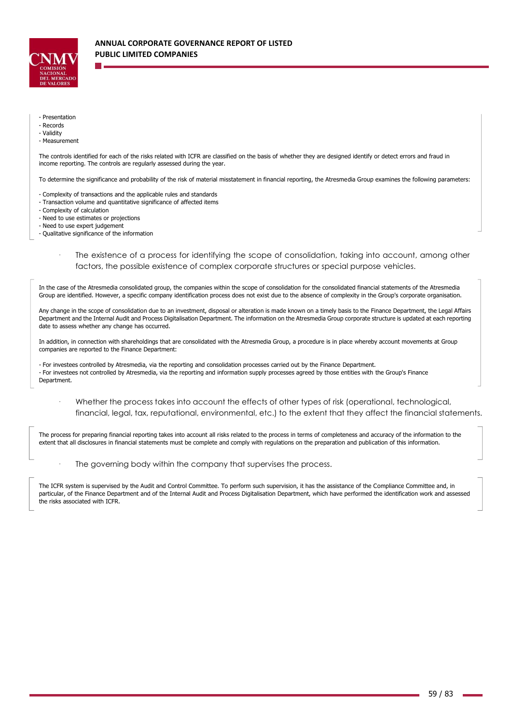

#### - Presentation

- Records

# - Validity

- Measurement

The controls identified for each of the risks related with ICFR are classified on the basis of whether they are designed identify or detect errors and fraud in income reporting. The controls are regularly assessed during the year.

To determine the significance and probability of the risk of material misstatement in financial reporting, the Atresmedia Group examines the following parameters:

- Complexity of transactions and the applicable rules and standards
- Transaction volume and quantitative significance of affected items
- Complexity of calculation

- Need to use estimates or projections

- Need to use expert judgement

- Qualitative significance of the information

The existence of a process for identifying the scope of consolidation, taking into account, among other factors, the possible existence of complex corporate structures or special purpose vehicles.

In the case of the Atresmedia consolidated group, the companies within the scope of consolidation for the consolidated financial statements of the Atresmedia Group are identified. However, a specific company identification process does not exist due to the absence of complexity in the Group's corporate organisation.

Any change in the scope of consolidation due to an investment, disposal or alteration is made known on a timely basis to the Finance Department, the Legal Affairs Department and the Internal Audit and Process Digitalisation Department. The information on the Atresmedia Group corporate structure is updated at each reporting date to assess whether any change has occurred.

In addition, in connection with shareholdings that are consolidated with the Atresmedia Group, a procedure is in place whereby account movements at Group companies are reported to the Finance Department:

- For investees controlled by Atresmedia, via the reporting and consolidation processes carried out by the Finance Department. - For investees not controlled by Atresmedia, via the reporting and information supply processes agreed by those entities with the Group's Finance Department.

· Whether the process takes into account the effects of other types of risk (operational, technological, financial, legal, tax, reputational, environmental, etc.) to the extent that they affect the financial statements.

The process for preparing financial reporting takes into account all risks related to the process in terms of completeness and accuracy of the information to the extent that all disclosures in financial statements must be complete and comply with regulations on the preparation and publication of this information.

The governing body within the company that supervises the process.

The ICFR system is supervised by the Audit and Control Committee. To perform such supervision, it has the assistance of the Compliance Committee and, in particular, of the Finance Department and of the Internal Audit and Process Digitalisation Department, which have performed the identification work and assessed the risks associated with ICFR.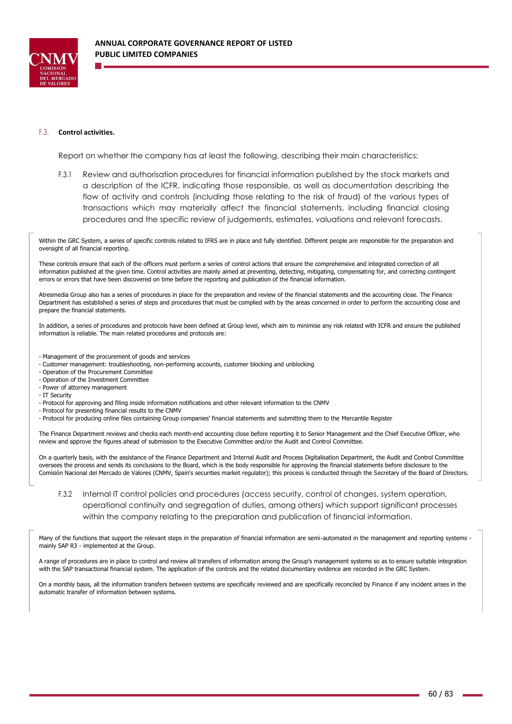

### F.3. **Control activities.**

Report on whether the company has at least the following, describing their main characteristics:

F.3.1 Review and authorisation procedures for financial information published by the stock markets and a description of the ICFR, indicating those responsible, as well as documentation describing the flow of activity and controls (including those relating to the risk of fraud) of the various types of transactions which may materially affect the financial statements, including financial closing procedures and the specific review of judgements, estimates, valuations and relevant forecasts.

Within the GRC System, a series of specific controls related to IFRS are in place and fully identified. Different people are responsible for the preparation and oversight of all financial reporting.

These controls ensure that each of the officers must perform a series of control actions that ensure the comprehensive and integrated correction of all information published at the given time. Control activities are mainly aimed at preventing, detecting, mitigating, compensating for, and correcting contingent errors or errors that have been discovered on time before the reporting and publication of the financial information.

Atresmedia Group also has a series of procedures in place for the preparation and review of the financial statements and the accounting close. The Finance Department has established a series of steps and procedures that must be complied with by the areas concerned in order to perform the accounting close and prepare the financial statements.

In addition, a series of procedures and protocols have been defined at Group level, which aim to minimise any risk related with ICFR and ensure the published information is reliable. The main related procedures and protocols are:

- Management of the procurement of goods and services
- Customer management: troubleshooting, non-performing accounts, customer blocking and unblocking
- Operation of the Procurement Committee
- Operation of the Investment Committee
- Power of attorney management
- IT Security
- Protocol for approving and filing inside information notifications and other relevant information to the CNMV
- Protocol for presenting financial results to the CNMV
- Protocol for producing online files containing Group companies' financial statements and submitting them to the Mercantile Register

The Finance Department reviews and checks each month-end accounting close before reporting it to Senior Management and the Chief Executive Officer, who review and approve the figures ahead of submission to the Executive Committee and/or the Audit and Control Committee.

On a quarterly basis, with the assistance of the Finance Department and Internal Audit and Process Digitalisation Department, the Audit and Control Committee oversees the process and sends its conclusions to the Board, which is the body responsible for approving the financial statements before disclosure to the Comisión Nacional del Mercado de Valores (CNMV, Spain's securities market regulator); this process is conducted through the Secretary of the Board of Directors.

F.3.2 Internal IT control policies and procedures (access security, control of changes, system operation, operational continuity and segregation of duties, among others) which support significant processes within the company relating to the preparation and publication of financial information.

Many of the functions that support the relevant steps in the preparation of financial information are semi-automated in the management and reporting systems mainly SAP R3 - implemented at the Group.

A range of procedures are in place to control and review all transfers of information among the Group's management systems so as to ensure suitable integration with the SAP transactional financial system. The application of the controls and the related documentary evidence are recorded in the GRC System.

On a monthly basis, all the information transfers between systems are specifically reviewed and are specifically reconciled by Finance if any incident arises in the automatic transfer of information between systems.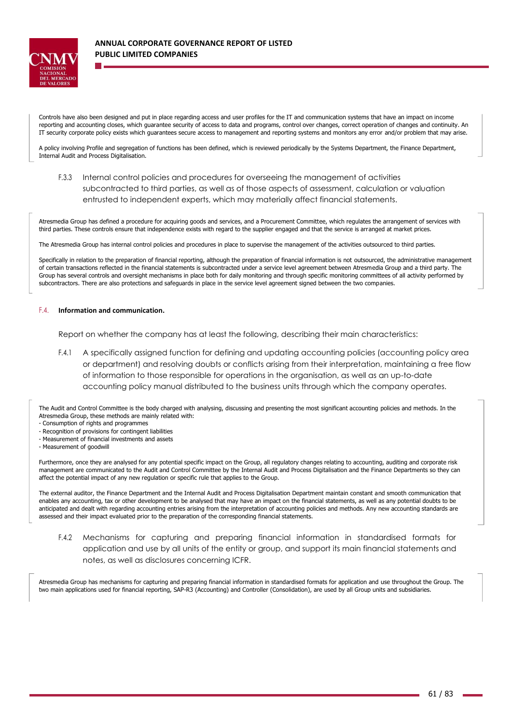

Controls have also been designed and put in place regarding access and user profiles for the IT and communication systems that have an impact on income reporting and accounting closes, which guarantee security of access to data and programs, control over changes, correct operation of changes and continuity. An IT security corporate policy exists which guarantees secure access to management and reporting systems and monitors any error and/or problem that may arise.

A policy involving Profile and segregation of functions has been defined, which is reviewed periodically by the Systems Department, the Finance Department, Internal Audit and Process Digitalisation.

F.3.3 Internal control policies and procedures for overseeing the management of activities subcontracted to third parties, as well as of those aspects of assessment, calculation or valuation entrusted to independent experts, which may materially affect financial statements.

Atresmedia Group has defined a procedure for acquiring goods and services, and a Procurement Committee, which regulates the arrangement of services with third parties. These controls ensure that independence exists with regard to the supplier engaged and that the service is arranged at market prices.

The Atresmedia Group has internal control policies and procedures in place to supervise the management of the activities outsourced to third parties.

Specifically in relation to the preparation of financial reporting, although the preparation of financial information is not outsourced, the administrative management of certain transactions reflected in the financial statements is subcontracted under a service level agreement between Atresmedia Group and a third party. The Group has several controls and oversight mechanisms in place both for daily monitoring and through specific monitoring committees of all activity performed by subcontractors. There are also protections and safeguards in place in the service level agreement signed between the two companies.

#### F.4. **Information and communication.**

Report on whether the company has at least the following, describing their main characteristics:

F.4.1 A specifically assigned function for defining and updating accounting policies (accounting policy area or department) and resolving doubts or conflicts arising from their interpretation, maintaining a free flow of information to those responsible for operations in the organisation, as well as an up-to-date accounting policy manual distributed to the business units through which the company operates.

The Audit and Control Committee is the body charged with analysing, discussing and presenting the most significant accounting policies and methods. In the Atresmedia Group, these methods are mainly related with:

- Consumption of rights and programmes
- Recognition of provisions for contingent liabilities
- Measurement of financial investments and assets
- Measurement of goodwill

Furthermore, once they are analysed for any potential specific impact on the Group, all regulatory changes relating to accounting, auditing and corporate risk management are communicated to the Audit and Control Committee by the Internal Audit and Process Digitalisation and the Finance Departments so they can affect the potential impact of any new regulation or specific rule that applies to the Group.

The external auditor, the Finance Department and the Internal Audit and Process Digitalisation Department maintain constant and smooth communication that enables any accounting, tax or other development to be analysed that may have an impact on the financial statements, as well as any potential doubts to be anticipated and dealt with regarding accounting entries arising from the interpretation of accounting policies and methods. Any new accounting standards are assessed and their impact evaluated prior to the preparation of the corresponding financial statements.

F.4.2 Mechanisms for capturing and preparing financial information in standardised formats for application and use by all units of the entity or group, and support its main financial statements and notes, as well as disclosures concerning ICFR.

Atresmedia Group has mechanisms for capturing and preparing financial information in standardised formats for application and use throughout the Group. The two main applications used for financial reporting, SAP-R3 (Accounting) and Controller (Consolidation), are used by all Group units and subsidiaries.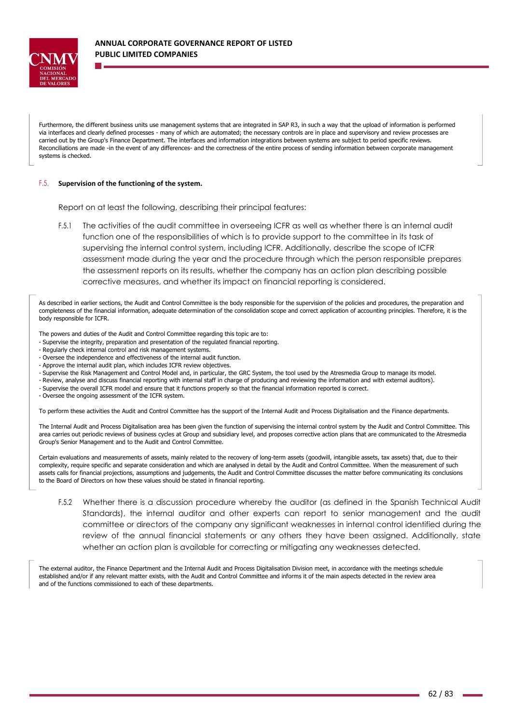

Furthermore, the different business units use management systems that are integrated in SAP R3, in such a way that the upload of information is performed via interfaces and clearly defined processes - many of which are automated; the necessary controls are in place and supervisory and review processes are carried out by the Group's Finance Department. The interfaces and information integrations between systems are subject to period specific reviews. Reconciliations are made -in the event of any differences- and the correctness of the entire process of sending information between corporate management systems is checked.

### F.5. **Supervision of the functioning of the system.**

Report on at least the following, describing their principal features:

F.5.1 The activities of the audit committee in overseeing ICFR as well as whether there is an internal audit function one of the responsibilities of which is to provide support to the committee in its task of supervising the internal control system, including ICFR. Additionally, describe the scope of ICFR assessment made during the year and the procedure through which the person responsible prepares the assessment reports on its results, whether the company has an action plan describing possible corrective measures, and whether its impact on financial reporting is considered.

As described in earlier sections, the Audit and Control Committee is the body responsible for the supervision of the policies and procedures, the preparation and completeness of the financial information, adequate determination of the consolidation scope and correct application of accounting principles. Therefore, it is the body responsible for ICFR.

The powers and duties of the Audit and Control Committee regarding this topic are to:

- Supervise the integrity, preparation and presentation of the regulated financial reporting.
- Regularly check internal control and risk management systems.
- Oversee the independence and effectiveness of the internal audit function.
- Approve the internal audit plan, which includes ICFR review objectives.
- Supervise the Risk Management and Control Model and, in particular, the GRC System, the tool used by the Atresmedia Group to manage its model.
- Review, analyse and discuss financial reporting with internal staff in charge of producing and reviewing the information and with external auditors).
- Supervise the overall ICFR model and ensure that it functions properly so that the financial information reported is correct.

- Oversee the ongoing assessment of the ICFR system.

To perform these activities the Audit and Control Committee has the support of the Internal Audit and Process Digitalisation and the Finance departments.

The Internal Audit and Process Digitalisation area has been given the function of supervising the internal control system by the Audit and Control Committee. This area carries out periodic reviews of business cycles at Group and subsidiary level, and proposes corrective action plans that are communicated to the Atresmedia Group's Senior Management and to the Audit and Control Committee.

Certain evaluations and measurements of assets, mainly related to the recovery of long-term assets (goodwill, intangible assets, tax assets) that, due to their complexity, require specific and separate consideration and which are analysed in detail by the Audit and Control Committee. When the measurement of such assets calls for financial projections, assumptions and judgements, the Audit and Control Committee discusses the matter before communicating its conclusions to the Board of Directors on how these values should be stated in financial reporting.

F.5.2 Whether there is a discussion procedure whereby the auditor (as defined in the Spanish Technical Audit Standards), the internal auditor and other experts can report to senior management and the audit committee or directors of the company any significant weaknesses in internal control identified during the review of the annual financial statements or any others they have been assigned. Additionally, state whether an action plan is available for correcting or mitigating any weaknesses detected.

The external auditor, the Finance Department and the Internal Audit and Process Digitalisation Division meet, in accordance with the meetings schedule established and/or if any relevant matter exists, with the Audit and Control Committee and informs it of the main aspects detected in the review area and of the functions commissioned to each of these departments.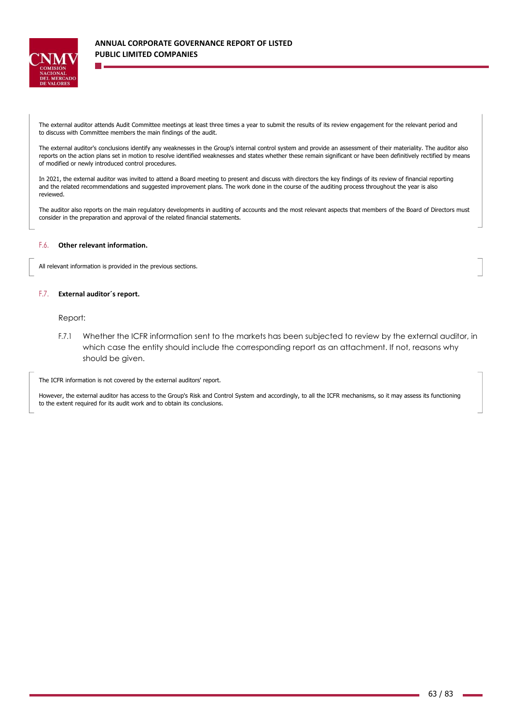

The external auditor attends Audit Committee meetings at least three times a year to submit the results of its review engagement for the relevant period and to discuss with Committee members the main findings of the audit.

The external auditor's conclusions identify any weaknesses in the Group's internal control system and provide an assessment of their materiality. The auditor also reports on the action plans set in motion to resolve identified weaknesses and states whether these remain significant or have been definitively rectified by means of modified or newly introduced control procedures.

In 2021, the external auditor was invited to attend a Board meeting to present and discuss with directors the key findings of its review of financial reporting and the related recommendations and suggested improvement plans. The work done in the course of the auditing process throughout the year is also reviewed.

The auditor also reports on the main regulatory developments in auditing of accounts and the most relevant aspects that members of the Board of Directors must consider in the preparation and approval of the related financial statements.

## F.6. **Other relevant information.**

All relevant information is provided in the previous sections.

#### F.7. **External auditor´s report.**

# Report:

F.7.1 Whether the ICFR information sent to the markets has been subjected to review by the external auditor, in which case the entity should include the corresponding report as an attachment. If not, reasons why should be given.

The ICFR information is not covered by the external auditors' report.

However, the external auditor has access to the Group's Risk and Control System and accordingly, to all the ICFR mechanisms, so it may assess its functioning to the extent required for its audit work and to obtain its conclusions.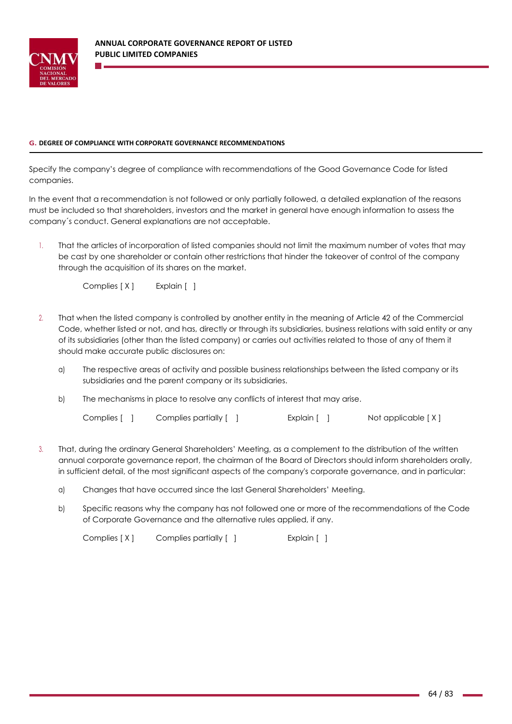

# **G. DEGREE OF COMPLIANCE WITH CORPORATE GOVERNANCE RECOMMENDATIONS**

Specify the company's degree of compliance with recommendations of the Good Governance Code for listed companies.

In the event that a recommendation is not followed or only partially followed, a detailed explanation of the reasons must be included so that shareholders, investors and the market in general have enough information to assess the company´s conduct. General explanations are not acceptable.

1. That the articles of incorporation of listed companies should not limit the maximum number of votes that may be cast by one shareholder or contain other restrictions that hinder the takeover of control of the company through the acquisition of its shares on the market.

Complies [ X ] Explain [ ]

- 2. That when the listed company is controlled by another entity in the meaning of Article 42 of the Commercial Code, whether listed or not, and has, directly or through its subsidiaries, business relations with said entity or any of its subsidiaries (other than the listed company) or carries out activities related to those of any of them it should make accurate public disclosures on:
	- a) The respective areas of activity and possible business relationships between the listed company or its subsidiaries and the parent company or its subsidiaries.
	- b) The mechanisms in place to resolve any conflicts of interest that may arise.

Complies [ ] Complies partially [ ] Explain [ ] Not applicable [ X ]

- 3. That, during the ordinary General Shareholders' Meeting, as a complement to the distribution of the written annual corporate governance report, the chairman of the Board of Directors should inform shareholders orally, in sufficient detail, of the most significant aspects of the company's corporate governance, and in particular:
	- a) Changes that have occurred since the last General Shareholders' Meeting.
	- b) Specific reasons why the company has not followed one or more of the recommendations of the Code of Corporate Governance and the alternative rules applied, if any.

Complies [X] Complies partially [ ] [ [ ] Explain [ ]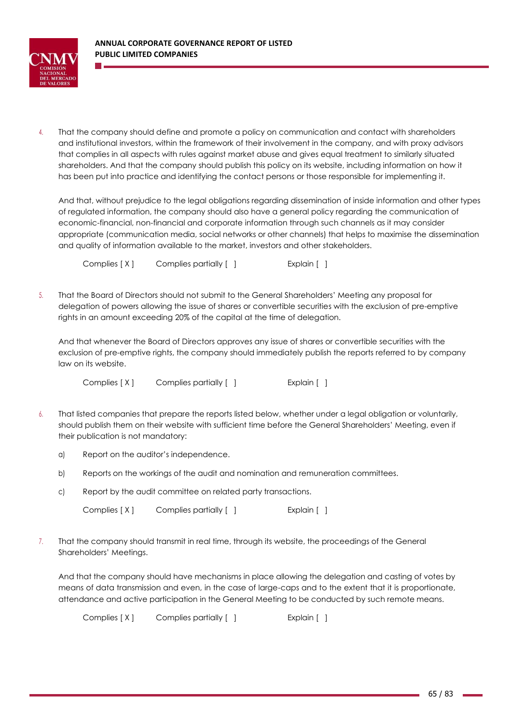

4. That the company should define and promote a policy on communication and contact with shareholders and institutional investors, within the framework of their involvement in the company, and with proxy advisors that complies in all aspects with rules against market abuse and gives equal treatment to similarly situated shareholders. And that the company should publish this policy on its website, including information on how it has been put into practice and identifying the contact persons or those responsible for implementing it.

And that, without prejudice to the legal obligations regarding dissemination of inside information and other types of regulated information, the company should also have a general policy regarding the communication of economic-financial, non-financial and corporate information through such channels as it may consider appropriate (communication media, social networks or other channels) that helps to maximise the dissemination and quality of information available to the market, investors and other stakeholders.

Complies [ X ] Complies partially [ ] [ [ ] Explain [ ]

5. That the Board of Directors should not submit to the General Shareholders' Meeting any proposal for delegation of powers allowing the issue of shares or convertible securities with the exclusion of pre-emptive rights in an amount exceeding 20% of the capital at the time of delegation.

And that whenever the Board of Directors approves any issue of shares or convertible securities with the exclusion of pre-emptive rights, the company should immediately publish the reports referred to by company law on its website.

Complies [ X ] Complies partially [ ] [ [ ] Explain [ ]

- 6. That listed companies that prepare the reports listed below, whether under a legal obligation or voluntarily, should publish them on their website with sufficient time before the General Shareholders' Meeting, even if their publication is not mandatory:
	- a) Report on the auditor's independence.
	- b) Reports on the workings of the audit and nomination and remuneration committees.
	- c) Report by the audit committee on related party transactions.

Complies [X] Complies partially [ ] [ [ ] Explain [ ]

7. That the company should transmit in real time, through its website, the proceedings of the General Shareholders' Meetings.

And that the company should have mechanisms in place allowing the delegation and casting of votes by means of data transmission and even, in the case of large-caps and to the extent that it is proportionate, attendance and active participation in the General Meeting to be conducted by such remote means.

Complies [ X ] Complies partially [ ] [ [ ] Explain [ ]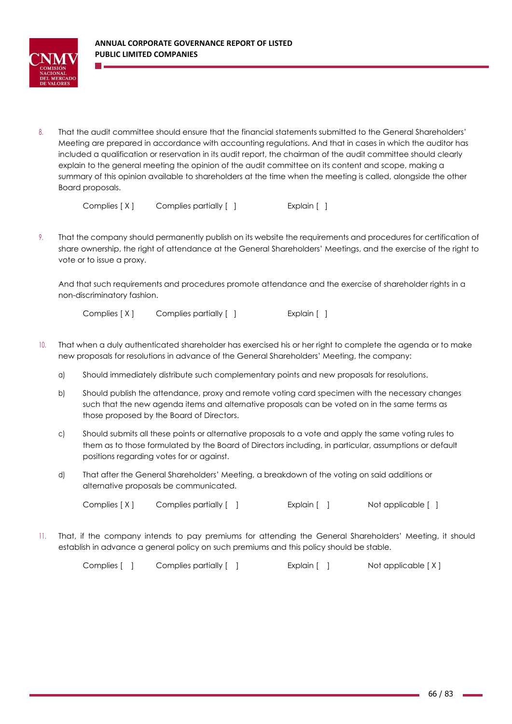

8. That the audit committee should ensure that the financial statements submitted to the General Shareholders' Meeting are prepared in accordance with accounting regulations. And that in cases in which the auditor has included a qualification or reservation in its audit report, the chairman of the audit committee should clearly explain to the general meeting the opinion of the audit committee on its content and scope, making a summary of this opinion available to shareholders at the time when the meeting is called, alongside the other Board proposals.

Complies [ X ] Complies partially [ ] [ ] [ Explain [ ]

9. That the company should permanently publish on its website the requirements and procedures for certification of share ownership, the right of attendance at the General Shareholders' Meetings, and the exercise of the right to vote or to issue a proxy.

And that such requirements and procedures promote attendance and the exercise of shareholder rights in a non-discriminatory fashion.

Complies [ X ] Complies partially [ ] [ ] [ Explain [ ]

- 10. That when a duly authenticated shareholder has exercised his or her right to complete the agenda or to make new proposals for resolutions in advance of the General Shareholders' Meeting, the company:
	- a) Should immediately distribute such complementary points and new proposals for resolutions.
	- b) Should publish the attendance, proxy and remote voting card specimen with the necessary changes such that the new agenda items and alternative proposals can be voted on in the same terms as those proposed by the Board of Directors.
	- c) Should submits all these points or alternative proposals to a vote and apply the same voting rules to them as to those formulated by the Board of Directors including, in particular, assumptions or default positions regarding votes for or against.
	- d) That after the General Shareholders' Meeting, a breakdown of the voting on said additions or alternative proposals be communicated.

Complies [ X ] Complies partially [ ] [ [ ] Explain [ ] Not applicable [ ]

11. That, if the company intends to pay premiums for attending the General Shareholders' Meeting, it should establish in advance a general policy on such premiums and this policy should be stable.

Complies [ ] Complies partially [ ] Explain [ ] Not applicable [X]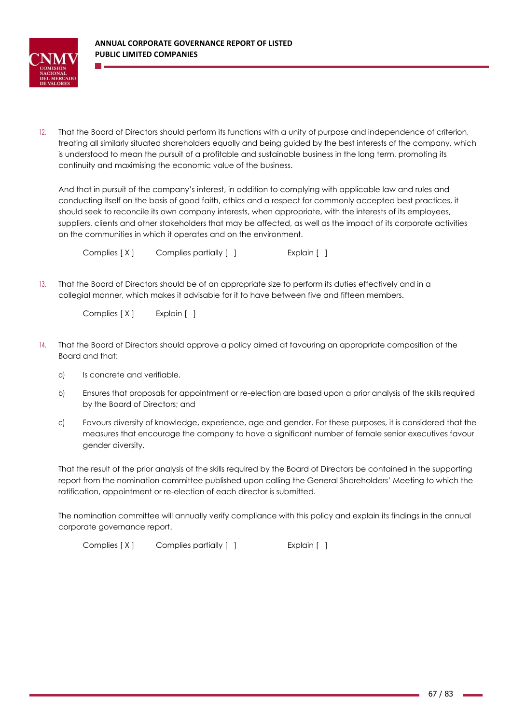

12. That the Board of Directors should perform its functions with a unity of purpose and independence of criterion, treating all similarly situated shareholders equally and being guided by the best interests of the company, which is understood to mean the pursuit of a profitable and sustainable business in the long term, promoting its continuity and maximising the economic value of the business.

And that in pursuit of the company's interest, in addition to complying with applicable law and rules and conducting itself on the basis of good faith, ethics and a respect for commonly accepted best practices, it should seek to reconcile its own company interests, when appropriate, with the interests of its employees, suppliers, clients and other stakeholders that may be affected, as well as the impact of its corporate activities on the communities in which it operates and on the environment.

Complies [ X ] Complies partially [ ] [ [ ] Explain [ ]

13. That the Board of Directors should be of an appropriate size to perform its duties effectively and in a collegial manner, which makes it advisable for it to have between five and fifteen members.

Complies [ X ] Explain [ ]

- 14. That the Board of Directors should approve a policy aimed at favouring an appropriate composition of the Board and that:
	- a) Is concrete and verifiable.
	- b) Ensures that proposals for appointment or re-election are based upon a prior analysis of the skills required by the Board of Directors; and
	- c) Favours diversity of knowledge, experience, age and gender. For these purposes, it is considered that the measures that encourage the company to have a significant number of female senior executives favour gender diversity.

That the result of the prior analysis of the skills required by the Board of Directors be contained in the supporting report from the nomination committee published upon calling the General Shareholders' Meeting to which the ratification, appointment or re-election of each director is submitted.

The nomination committee will annually verify compliance with this policy and explain its findings in the annual corporate governance report.

Complies [ X ] Complies partially [ ] [ [ ] Explain [ ]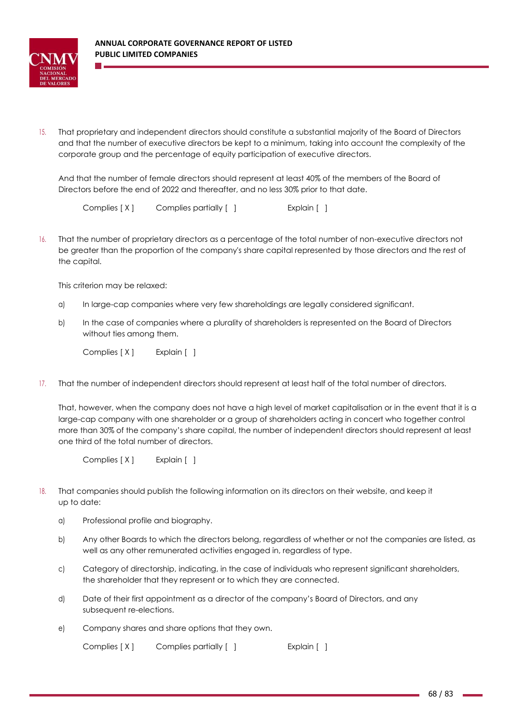

15. That proprietary and independent directors should constitute a substantial majority of the Board of Directors and that the number of executive directors be kept to a minimum, taking into account the complexity of the corporate group and the percentage of equity participation of executive directors.

And that the number of female directors should represent at least 40% of the members of the Board of Directors before the end of 2022 and thereafter, and no less 30% prior to that date.

Complies [ X ] Complies partially [ ] [ [ ] Explain [ ]

16. That the number of proprietary directors as a percentage of the total number of non-executive directors not be greater than the proportion of the company's share capital represented by those directors and the rest of the capital.

This criterion may be relaxed:

- a) In large-cap companies where very few shareholdings are legally considered significant.
- b) In the case of companies where a plurality of shareholders is represented on the Board of Directors without ties among them.

Complies [ X ] Explain [ ]

17. That the number of independent directors should represent at least half of the total number of directors.

That, however, when the company does not have a high level of market capitalisation or in the event that it is a large-cap company with one shareholder or a group of shareholders acting in concert who together control more than 30% of the company's share capital, the number of independent directors should represent at least one third of the total number of directors.

Complies [ X ] Explain [ ]

- 18. That companies should publish the following information on its directors on their website, and keep it up to date:
	- a) Professional profile and biography.
	- b) Any other Boards to which the directors belong, regardless of whether or not the companies are listed, as well as any other remunerated activities engaged in, regardless of type.
	- c) Category of directorship, indicating, in the case of individuals who represent significant shareholders, the shareholder that they represent or to which they are connected.
	- d) Date of their first appointment as a director of the company's Board of Directors, and any subsequent re-elections.
	- e) Company shares and share options that they own.

Complies [ X ] Complies partially [ ] [ [ ] Explain [ ]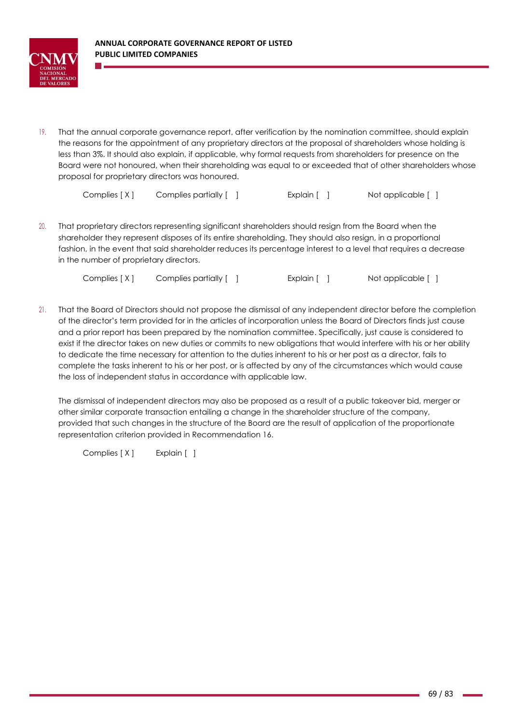

19. That the annual corporate governance report, after verification by the nomination committee, should explain the reasons for the appointment of any proprietary directors at the proposal of shareholders whose holding is less than 3%. It should also explain, if applicable, why formal requests from shareholders for presence on the Board were not honoured, when their shareholding was equal to or exceeded that of other shareholders whose proposal for proprietary directors was honoured.

Complies [ X ] Complies partially [ ] [ [ ] Explain [ ] Not applicable [ ]

20. That proprietary directors representing significant shareholders should resign from the Board when the shareholder they represent disposes of its entire shareholding. They should also resign, in a proportional fashion, in the event that said shareholder reduces its percentage interest to a level that requires a decrease in the number of proprietary directors.

| Complies [X] | Complies partially [ ] | Explain [ ] | Not applicable [ ] |
|--------------|------------------------|-------------|--------------------|
|--------------|------------------------|-------------|--------------------|

21. That the Board of Directors should not propose the dismissal of any independent director before the completion of the director's term provided for in the articles of incorporation unless the Board of Directors finds just cause and a prior report has been prepared by the nomination committee. Specifically, just cause is considered to exist if the director takes on new duties or commits to new obligations that would interfere with his or her ability to dedicate the time necessary for attention to the duties inherent to his or her post as a director, fails to complete the tasks inherent to his or her post, or is affected by any of the circumstances which would cause the loss of independent status in accordance with applicable law.

The dismissal of independent directors may also be proposed as a result of a public takeover bid, merger or other similar corporate transaction entailing a change in the shareholder structure of the company, provided that such changes in the structure of the Board are the result of application of the proportionate representation criterion provided in Recommendation 16.

Complies [X] Explain []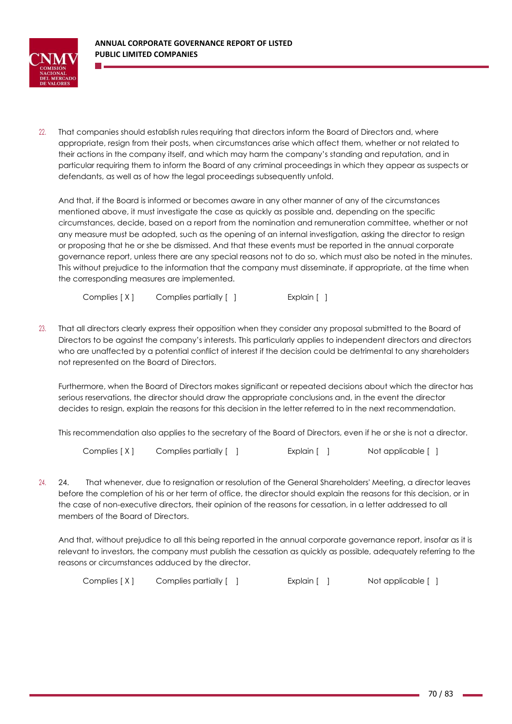

22. That companies should establish rules requiring that directors inform the Board of Directors and, where appropriate, resign from their posts, when circumstances arise which affect them, whether or not related to their actions in the company itself, and which may harm the company's standing and reputation, and in particular requiring them to inform the Board of any criminal proceedings in which they appear as suspects or defendants, as well as of how the legal proceedings subsequently unfold.

And that, if the Board is informed or becomes aware in any other manner of any of the circumstances mentioned above, it must investigate the case as quickly as possible and, depending on the specific circumstances, decide, based on a report from the nomination and remuneration committee, whether or not any measure must be adopted, such as the opening of an internal investigation, asking the director to resign or proposing that he or she be dismissed. And that these events must be reported in the annual corporate governance report, unless there are any special reasons not to do so, which must also be noted in the minutes. This without prejudice to the information that the company must disseminate, if appropriate, at the time when the corresponding measures are implemented.

Complies [ X ] Complies partially [ ] [ [ ] Explain [ ]

23. That all directors clearly express their opposition when they consider any proposal submitted to the Board of Directors to be against the company's interests. This particularly applies to independent directors and directors who are unaffected by a potential conflict of interest if the decision could be detrimental to any shareholders not represented on the Board of Directors.

Furthermore, when the Board of Directors makes significant or repeated decisions about which the director has serious reservations, the director should draw the appropriate conclusions and, in the event the director decides to resign, explain the reasons for this decision in the letter referred to in the next recommendation.

This recommendation also applies to the secretary of the Board of Directors, even if he or she is not a director.

Complies [ X ] Complies partially [ ] [ [ ] Explain [ ] Not applicable [ ]

24. 24. That whenever, due to resignation or resolution of the General Shareholders' Meeting, a director leaves before the completion of his or her term of office, the director should explain the reasons for this decision, or in the case of non-executive directors, their opinion of the reasons for cessation, in a letter addressed to all members of the Board of Directors.

And that, without prejudice to all this being reported in the annual corporate governance report, insofar as it is relevant to investors, the company must publish the cessation as quickly as possible, adequately referring to the reasons or circumstances adduced by the director.

Complies  $[X]$  Complies partially [ ] Explain [ ] Not applicable [ ]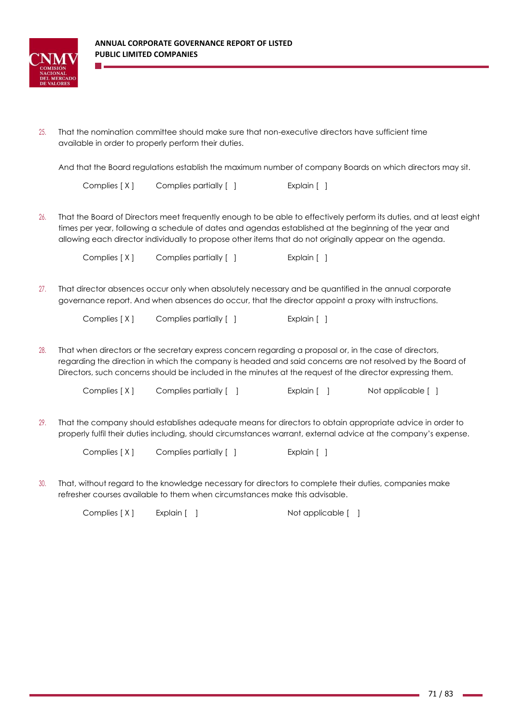

25. That the nomination committee should make sure that non-executive directors have sufficient time available in order to properly perform their duties.

And that the Board regulations establish the maximum number of company Boards on which directors may sit.

Complies [ X ] Complies partially [ ] [ [ ] Explain [ ]

26. That the Board of Directors meet frequently enough to be able to effectively perform its duties, and at least eight times per year, following a schedule of dates and agendas established at the beginning of the year and allowing each director individually to propose other items that do not originally appear on the agenda.

Complies [X] Complies partially [ ] [ [ ] Explain [ ]

27. That director absences occur only when absolutely necessary and be quantified in the annual corporate governance report. And when absences do occur, that the director appoint a proxy with instructions.

Complies [ X ] Complies partially [ ] [ [ ] Explain [ ]

28. That when directors or the secretary express concern regarding a proposal or, in the case of directors, regarding the direction in which the company is headed and said concerns are not resolved by the Board of Directors, such concerns should be included in the minutes at the request of the director expressing them.

Complies [ X ] Complies partially [ ] [ [ ] Explain [ ] Not applicable [ ]

29. That the company should establishes adequate means for directors to obtain appropriate advice in order to properly fulfil their duties including, should circumstances warrant, external advice at the company's expense.

Complies [ X ] Complies partially [ ] [ ] [ Explain [ ]

30. That, without regard to the knowledge necessary for directors to complete their duties, companies make refresher courses available to them when circumstances make this advisable.

Complies [ X ] Explain [ ] Not applicable [ ]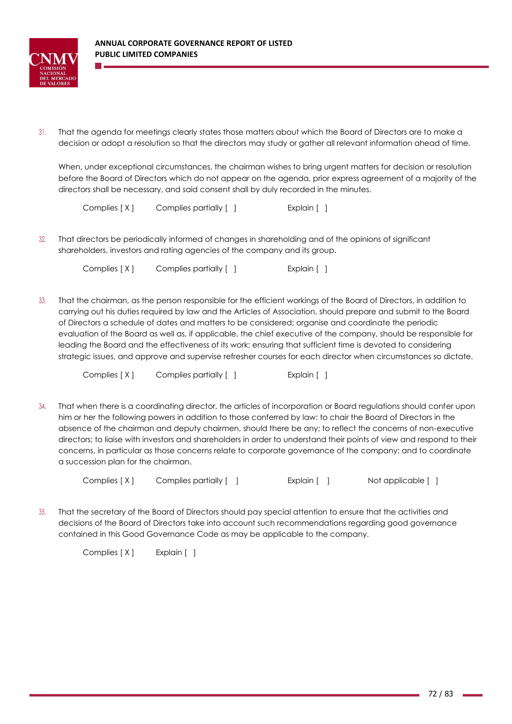

31. That the agenda for meetings clearly states those matters about which the Board of Directors are to make a decision or adopt a resolution so that the directors may study or gather all relevant information ahead of time.

When, under exceptional circumstances, the chairman wishes to bring urgent matters for decision or resolution before the Board of Directors which do not appear on the agenda, prior express agreement of a majority of the directors shall be necessary, and said consent shall by duly recorded in the minutes.

Complies [ X ] Complies partially [ ] [ [ ] Explain [ ]

32. That directors be periodically informed of changes in shareholding and of the opinions of significant shareholders, investors and rating agencies of the company and its group.

Complies [ X ] Complies partially [ ] [ [ ] Explain [ ]

33. That the chairman, as the person responsible for the efficient workings of the Board of Directors, in addition to carrying out his duties required by law and the Articles of Association, should prepare and submit to the Board of Directors a schedule of dates and matters to be considered; organise and coordinate the periodic evaluation of the Board as well as, if applicable, the chief executive of the company, should be responsible for leading the Board and the effectiveness of its work; ensuring that sufficient time is devoted to considering strategic issues, and approve and supervise refresher courses for each director when circumstances so dictate.

Complies [ X ] Complies partially [ ] [ ] [ Explain [ ]

34. That when there is a coordinating director, the articles of incorporation or Board regulations should confer upon him or her the following powers in addition to those conferred by law: to chair the Board of Directors in the absence of the chairman and deputy chairmen, should there be any; to reflect the concerns of non-executive directors; to liaise with investors and shareholders in order to understand their points of view and respond to their concerns, in particular as those concerns relate to corporate governance of the company; and to coordinate a succession plan for the chairman.

Complies [X] Complies partially [ ] [ [ ] Explain [ ] Not applicable [ ]

35. That the secretary of the Board of Directors should pay special attention to ensure that the activities and decisions of the Board of Directors take into account such recommendations regarding good governance contained in this Good Governance Code as may be applicable to the company.

Complies [ X ] Explain [ ]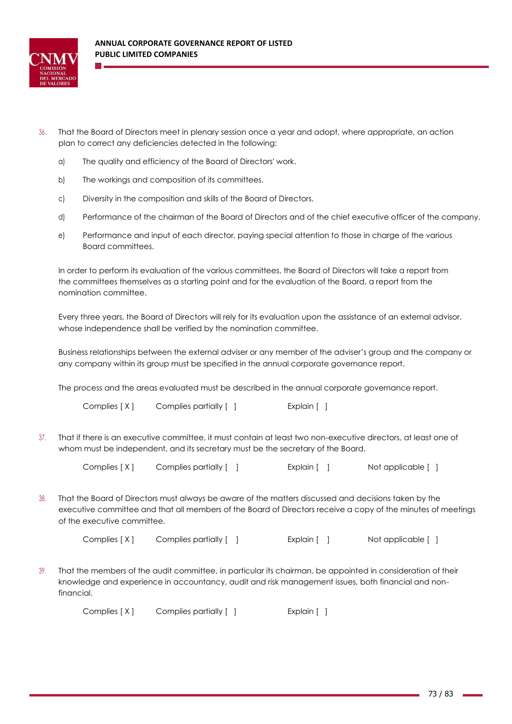

- 36. That the Board of Directors meet in plenary session once a year and adopt, where appropriate, an action plan to correct any deficiencies detected in the following:
	- a) The quality and efficiency of the Board of Directors' work.
	- b) The workings and composition of its committees.
	- c) Diversity in the composition and skills of the Board of Directors.
	- d) Performance of the chairman of the Board of Directors and of the chief executive officer of the company.
	- e) Performance and input of each director, paying special attention to those in charge of the various Board committees.

In order to perform its evaluation of the various committees, the Board of Directors will take a report from the committees themselves as a starting point and for the evaluation of the Board, a report from the nomination committee.

Every three years, the Board of Directors will rely for its evaluation upon the assistance of an external advisor, whose independence shall be verified by the nomination committee.

Business relationships between the external adviser or any member of the adviser's group and the company or any company within its group must be specified in the annual corporate governance report.

The process and the areas evaluated must be described in the annual corporate governance report.

Complies [ X ] Complies partially [ ] [ [ ] Explain [ ]

37. That if there is an executive committee, it must contain at least two non-executive directors, at least one of whom must be independent, and its secretary must be the secretary of the Board.

Complies  $[X]$  Complies partially [ ] Explain [ ] Not applicable [ ]

38. That the Board of Directors must always be aware of the matters discussed and decisions taken by the executive committee and that all members of the Board of Directors receive a copy of the minutes of meetings of the executive committee.

Complies [ X ] Complies partially [ ] [ ] Explain [ ] Not applicable [ ]

39. That the members of the audit committee, in particular its chairman, be appointed in consideration of their knowledge and experience in accountancy, audit and risk management issues, both financial and nonfinancial.

Complies [ X ] Complies partially [ ] [ ] [ Explain [ ]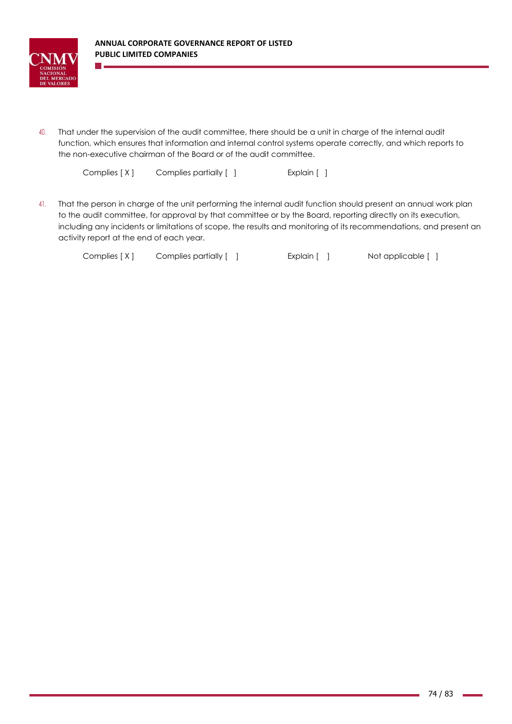

40. That under the supervision of the audit committee, there should be a unit in charge of the internal audit function, which ensures that information and internal control systems operate correctly, and which reports to the non-executive chairman of the Board or of the audit committee.

Complies [ X ] Complies partially [ ] [ ] [ Explain [ ]

41. That the person in charge of the unit performing the internal audit function should present an annual work plan to the audit committee, for approval by that committee or by the Board, reporting directly on its execution, including any incidents or limitations of scope, the results and monitoring of its recommendations, and present an activity report at the end of each year.

Complies [X] Complies partially [ ] Explain [ ] Not applicable [ ]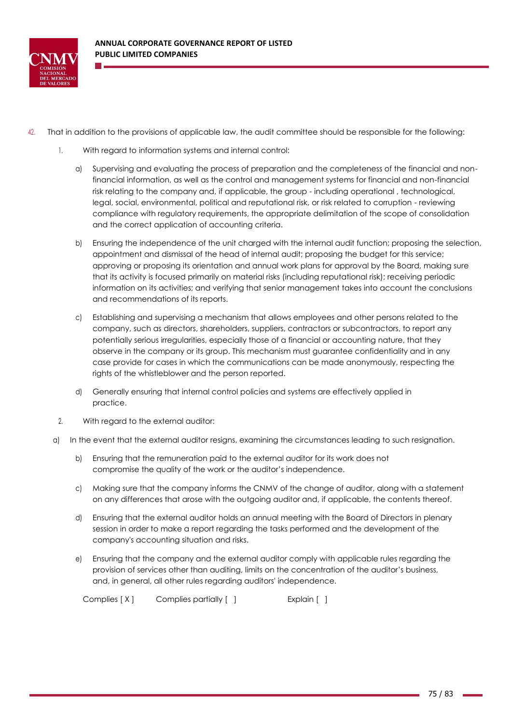

- 42. That in addition to the provisions of applicable law, the audit committee should be responsible for the following:
	- 1. With regard to information systems and internal control:
		- a) Supervising and evaluating the process of preparation and the completeness of the financial and nonfinancial information, as well as the control and management systems for financial and non-financial risk relating to the company and, if applicable, the group - including operational , technological, legal, social, environmental, political and reputational risk, or risk related to corruption - reviewing compliance with regulatory requirements, the appropriate delimitation of the scope of consolidation and the correct application of accounting criteria.
		- b) Ensuring the independence of the unit charged with the internal audit function; proposing the selection, appointment and dismissal of the head of internal audit; proposing the budget for this service; approving or proposing its orientation and annual work plans for approval by the Board, making sure that its activity is focused primarily on material risks (including reputational risk); receiving periodic information on its activities; and verifying that senior management takes into account the conclusions and recommendations of its reports.
		- c) Establishing and supervising a mechanism that allows employees and other persons related to the company, such as directors, shareholders, suppliers, contractors or subcontractors, to report any potentially serious irregularities, especially those of a financial or accounting nature, that they observe in the company or its group. This mechanism must guarantee confidentiality and in any case provide for cases in which the communications can be made anonymously, respecting the rights of the whistleblower and the person reported.
		- d) Generally ensuring that internal control policies and systems are effectively applied in practice.
	- 2. With regard to the external auditor:
	- a) In the event that the external auditor resigns, examining the circumstances leading to such resignation.
		- b) Ensuring that the remuneration paid to the external auditor for its work does not compromise the quality of the work or the auditor's independence.
		- c) Making sure that the company informs the CNMV of the change of auditor, along with a statement on any differences that arose with the outgoing auditor and, if applicable, the contents thereof.
		- d) Ensuring that the external auditor holds an annual meeting with the Board of Directors in plenary session in order to make a report regarding the tasks performed and the development of the company's accounting situation and risks.
		- e) Ensuring that the company and the external auditor comply with applicable rules regarding the provision of services other than auditing, limits on the concentration of the auditor's business, and, in general, all other rules regarding auditors' independence.

Complies [ X ] Complies partially [ ] [ [ ] Explain [ ]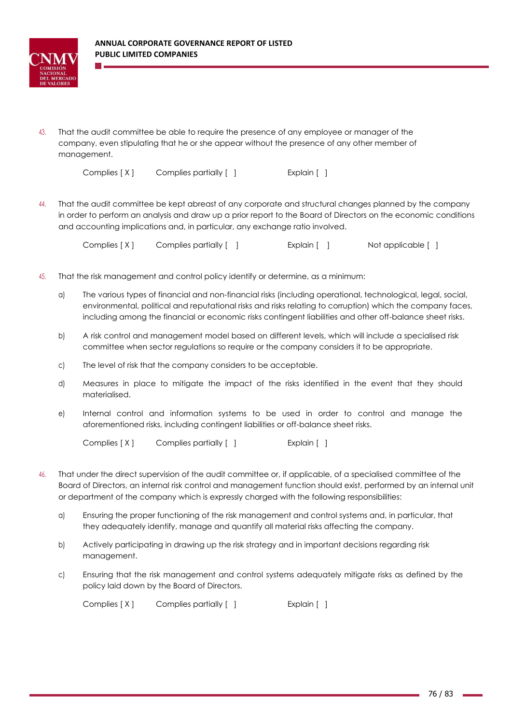

43. That the audit committee be able to require the presence of any employee or manager of the company, even stipulating that he or she appear without the presence of any other member of management.

Complies [ X ] Complies partially [ ] [ [ ] Explain [ ]

44. That the audit committee be kept abreast of any corporate and structural changes planned by the company in order to perform an analysis and draw up a prior report to the Board of Directors on the economic conditions and accounting implications and, in particular, any exchange ratio involved.

Complies  $[X]$  Complies partially [ ] Explain [ ] Not applicable [ ]

- 45. That the risk management and control policy identify or determine, as a minimum:
	- a) The various types of financial and non-financial risks (including operational, technological, legal, social, environmental, political and reputational risks and risks relating to corruption) which the company faces, including among the financial or economic risks contingent liabilities and other off-balance sheet risks.
	- b) A risk control and management model based on different levels, which will include a specialised risk committee when sector regulations so require or the company considers it to be appropriate.
	- c) The level of risk that the company considers to be acceptable.
	- d) Measures in place to mitigate the impact of the risks identified in the event that they should materialised.
	- e) Internal control and information systems to be used in order to control and manage the aforementioned risks, including contingent liabilities or off-balance sheet risks.

Complies [ X ] Complies partially [ ] [ [ ] Explain [ ]

- 46. That under the direct supervision of the audit committee or, if applicable, of a specialised committee of the Board of Directors, an internal risk control and management function should exist, performed by an internal unit or department of the company which is expressly charged with the following responsibilities:
	- a) Ensuring the proper functioning of the risk management and control systems and, in particular, that they adequately identify, manage and quantify all material risks affecting the company.
	- b) Actively participating in drawing up the risk strategy and in important decisions regarding risk management.
	- c) Ensuring that the risk management and control systems adequately mitigate risks as defined by the policy laid down by the Board of Directors.

Complies [ X ] Complies partially [ ] [ ] [ Explain [ ]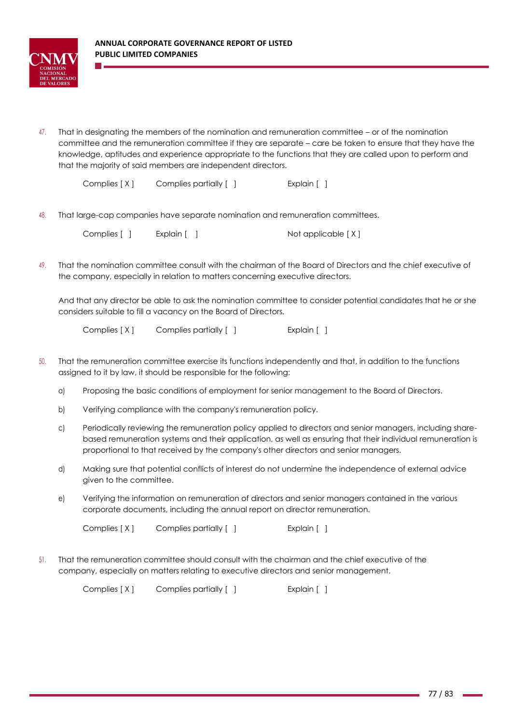

47. That in designating the members of the nomination and remuneration committee – or of the nomination committee and the remuneration committee if they are separate – care be taken to ensure that they have the knowledge, aptitudes and experience appropriate to the functions that they are called upon to perform and that the majority of said members are independent directors.

Complies [ X ] Complies partially [ ] [ [ ] Explain [ ]

48. That large-cap companies have separate nomination and remuneration committees.

| Complies [ ] | Explain [ | Not applicable [X] |
|--------------|-----------|--------------------|
|--------------|-----------|--------------------|

49. That the nomination committee consult with the chairman of the Board of Directors and the chief executive of the company, especially in relation to matters concerning executive directors.

And that any director be able to ask the nomination committee to consider potential candidates that he or she considers suitable to fill a vacancy on the Board of Directors.

Complies [ X ] Complies partially [ ] [ ] [ Explain [ ]

- 50. That the remuneration committee exercise its functions independently and that, in addition to the functions assigned to it by law, it should be responsible for the following:
	- a) Proposing the basic conditions of employment for senior management to the Board of Directors.
	- b) Verifying compliance with the company's remuneration policy.
	- c) Periodically reviewing the remuneration policy applied to directors and senior managers, including sharebased remuneration systems and their application, as well as ensuring that their individual remuneration is proportional to that received by the company's other directors and senior managers.
	- d) Making sure that potential conflicts of interest do not undermine the independence of external advice given to the committee.
	- e) Verifying the information on remuneration of directors and senior managers contained in the various corporate documents, including the annual report on director remuneration.

Complies [ X ] Complies partially [ ] [ ] [ Explain [ ]

51. That the remuneration committee should consult with the chairman and the chief executive of the company, especially on matters relating to executive directors and senior management.

Complies [ X ] Complies partially [ ] [ [ ] Explain [ ]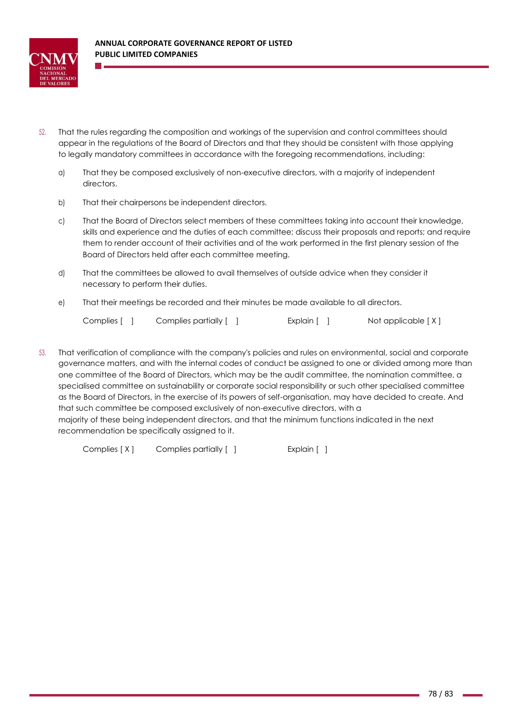

- 52. That the rules regarding the composition and workings of the supervision and control committees should appear in the regulations of the Board of Directors and that they should be consistent with those applying to legally mandatory committees in accordance with the foregoing recommendations, including:
	- a) That they be composed exclusively of non-executive directors, with a majority of independent directors.
	- b) That their chairpersons be independent directors.
	- c) That the Board of Directors select members of these committees taking into account their knowledge, skills and experience and the duties of each committee; discuss their proposals and reports; and require them to render account of their activities and of the work performed in the first plenary session of the Board of Directors held after each committee meeting.
	- d) That the committees be allowed to avail themselves of outside advice when they consider it necessary to perform their duties.
	- e) That their meetings be recorded and their minutes be made available to all directors.

Complies [ ] Complies partially [ ] Explain [ ] Not applicable [X]

53. That verification of compliance with the company's policies and rules on environmental, social and corporate governance matters, and with the internal codes of conduct be assigned to one or divided among more than one committee of the Board of Directors, which may be the audit committee, the nomination committee, a specialised committee on sustainability or corporate social responsibility or such other specialised committee as the Board of Directors, in the exercise of its powers of self-organisation, may have decided to create. And that such committee be composed exclusively of non-executive directors, with a majority of these being independent directors, and that the minimum functions indicated in the next recommendation be specifically assigned to it.

Complies [ X ] Complies partially [ ] [ [ ] Explain [ ]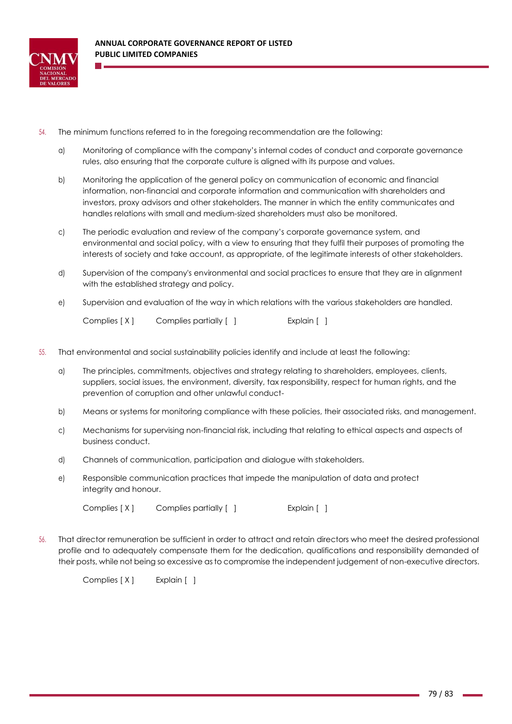

- 54. The minimum functions referred to in the foregoing recommendation are the following:
	- a) Monitoring of compliance with the company's internal codes of conduct and corporate governance rules, also ensuring that the corporate culture is aligned with its purpose and values.
	- b) Monitoring the application of the general policy on communication of economic and financial information, non-financial and corporate information and communication with shareholders and investors, proxy advisors and other stakeholders. The manner in which the entity communicates and handles relations with small and medium-sized shareholders must also be monitored.
	- c) The periodic evaluation and review of the company's corporate governance system, and environmental and social policy, with a view to ensuring that they fulfil their purposes of promoting the interests of society and take account, as appropriate, of the legitimate interests of other stakeholders.
	- d) Supervision of the company's environmental and social practices to ensure that they are in alignment with the established strategy and policy.
	- e) Supervision and evaluation of the way in which relations with the various stakeholders are handled.

- 55. That environmental and social sustainability policies identify and include at least the following:
	- a) The principles, commitments, objectives and strategy relating to shareholders, employees, clients, suppliers, social issues, the environment, diversity, tax responsibility, respect for human rights, and the prevention of corruption and other unlawful conduct-
	- b) Means or systems for monitoring compliance with these policies, their associated risks, and management.
	- c) Mechanisms for supervising non-financial risk, including that relating to ethical aspects and aspects of business conduct.
	- d) Channels of communication, participation and dialogue with stakeholders.
	- e) Responsible communication practices that impede the manipulation of data and protect integrity and honour.

Complies [X] Complies partially [ ] [ [ ] Explain [ ]

56. That director remuneration be sufficient in order to attract and retain directors who meet the desired professional profile and to adequately compensate them for the dedication, qualifications and responsibility demanded of their posts, while not being so excessive as to compromise the independent judgement of non-executive directors.

Complies [ X ] Explain [ ]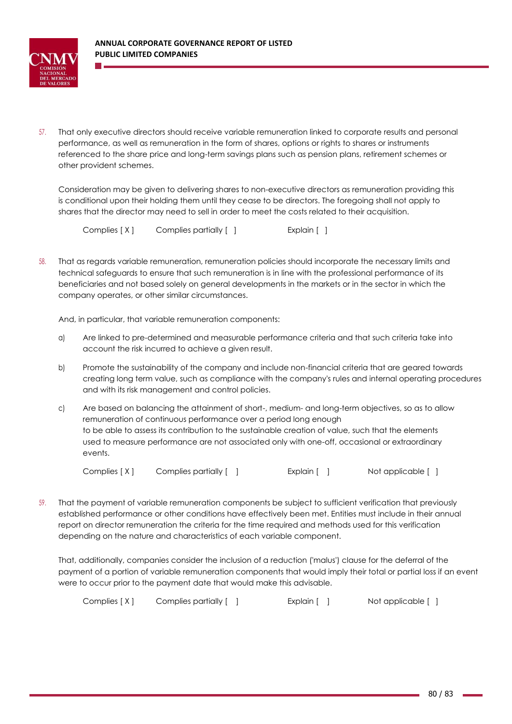

57. That only executive directors should receive variable remuneration linked to corporate results and personal performance, as well as remuneration in the form of shares, options or rights to shares or instruments referenced to the share price and long-term savings plans such as pension plans, retirement schemes or other provident schemes.

Consideration may be given to delivering shares to non-executive directors as remuneration providing this is conditional upon their holding them until they cease to be directors. The foregoing shall not apply to shares that the director may need to sell in order to meet the costs related to their acquisition.

Complies [ X ] Complies partially [ ] [ ] [ Explain [ ]

58. That as regards variable remuneration, remuneration policies should incorporate the necessary limits and technical safeguards to ensure that such remuneration is in line with the professional performance of its beneficiaries and not based solely on general developments in the markets or in the sector in which the company operates, or other similar circumstances.

And, in particular, that variable remuneration components:

- a) Are linked to pre-determined and measurable performance criteria and that such criteria take into account the risk incurred to achieve a given result.
- b) Promote the sustainability of the company and include non-financial criteria that are geared towards creating long term value, such as compliance with the company's rules and internal operating procedures and with its risk management and control policies.
- c) Are based on balancing the attainment of short-, medium- and long-term objectives, so as to allow remuneration of continuous performance over a period long enough to be able to assess its contribution to the sustainable creation of value, such that the elements used to measure performance are not associated only with one-off, occasional or extraordinary events.

Complies [X] Complies partially [ ] Explain [ ] Not applicable [ ]

59. That the payment of variable remuneration components be subject to sufficient verification that previously established performance or other conditions have effectively been met. Entities must include in their annual report on director remuneration the criteria for the time required and methods used for this verification depending on the nature and characteristics of each variable component.

That, additionally, companies consider the inclusion of a reduction ('malus') clause for the deferral of the payment of a portion of variable remuneration components that would imply their total or partial loss if an event were to occur prior to the payment date that would make this advisable.

Complies [ X ] Complies partially [ ] [ [ ] Explain [ ] Not applicable [ ]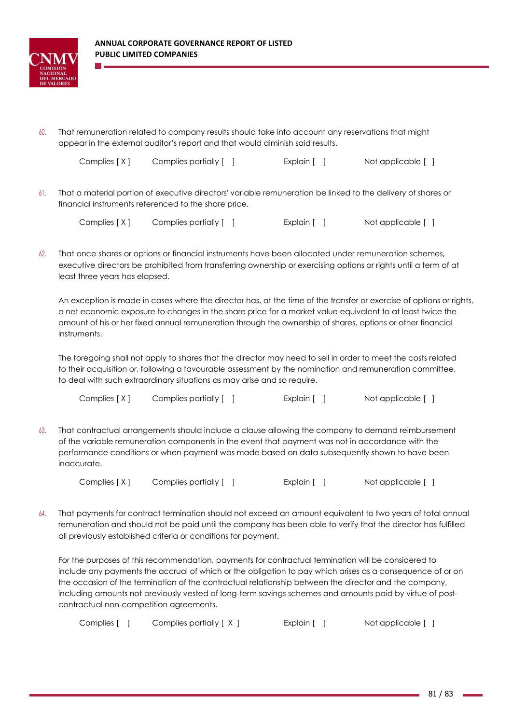

60. That remuneration related to company results should take into account any reservations that might appear in the external auditor's report and that would diminish said results.

Complies [ X ] Complies partially [ ] [ ] Explain [ ] Not applicable [ ]

61. That a material portion of executive directors' variable remuneration be linked to the delivery of shares or financial instruments referenced to the share price.

| Complies [X]<br>Complies partially [ ] |  | Explain $\lceil \quad \rceil$ | Not applicable [ ] |
|----------------------------------------|--|-------------------------------|--------------------|
|----------------------------------------|--|-------------------------------|--------------------|

62. That once shares or options or financial instruments have been allocated under remuneration schemes, executive directors be prohibited from transferring ownership or exercising options or rights until a term of at least three years has elapsed.

An exception is made in cases where the director has, at the time of the transfer or exercise of options or rights, a net economic exposure to changes in the share price for a market value equivalent to at least twice the amount of his or her fixed annual remuneration through the ownership of shares, options or other financial instruments.

The foregoing shall not apply to shares that the director may need to sell in order to meet the costs related to their acquisition or, following a favourable assessment by the nomination and remuneration committee, to deal with such extraordinary situations as may arise and so require.

63. That contractual arrangements should include a clause allowing the company to demand reimbursement of the variable remuneration components in the event that payment was not in accordance with the performance conditions or when payment was made based on data subsequently shown to have been inaccurate.

Complies [X] Complies partially [ ] Explain [ ] Not applicable [ ]

64. That payments for contract termination should not exceed an amount equivalent to two years of total annual remuneration and should not be paid until the company has been able to verify that the director has fulfilled all previously established criteria or conditions for payment.

For the purposes of this recommendation, payments for contractual termination will be considered to include any payments the accrual of which or the obligation to pay which arises as a consequence of or on the occasion of the termination of the contractual relationship between the director and the company, including amounts not previously vested of long-term savings schemes and amounts paid by virtue of postcontractual non-competition agreements.

| Complies [<br>Complies partially $[ X ]$<br>Explain [ | Not applicable [ |
|-------------------------------------------------------|------------------|
|-------------------------------------------------------|------------------|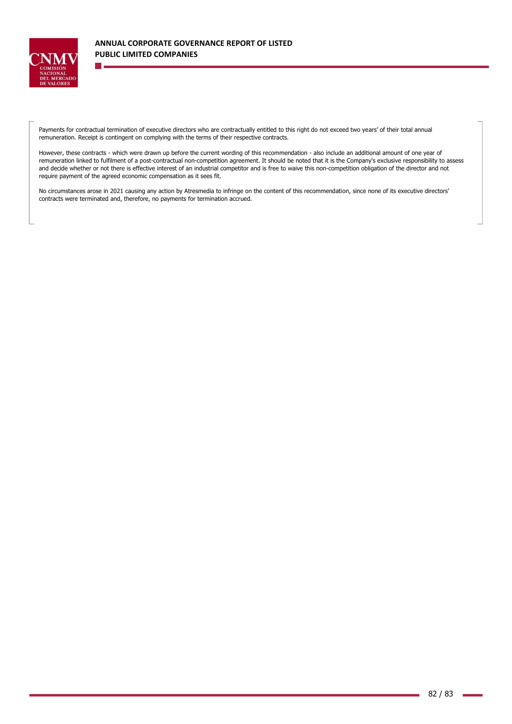

Payments for contractual termination of executive directors who are contractually entitled to this right do not exceed two years' of their total annual remuneration. Receipt is contingent on complying with the terms of their respective contracts.

However, these contracts - which were drawn up before the current wording of this recommendation - also include an additional amount of one year of remuneration linked to fulfilment of a post-contractual non-competition agreement. It should be noted that it is the Company's exclusive responsibility to assess and decide whether or not there is effective interest of an industrial competitor and is free to waive this non-competition obligation of the director and not require payment of the agreed economic compensation as it sees fit.

No circumstances arose in 2021 causing any action by Atresmedia to infringe on the content of this recommendation, since none of its executive directors' contracts were terminated and, therefore, no payments for termination accrued.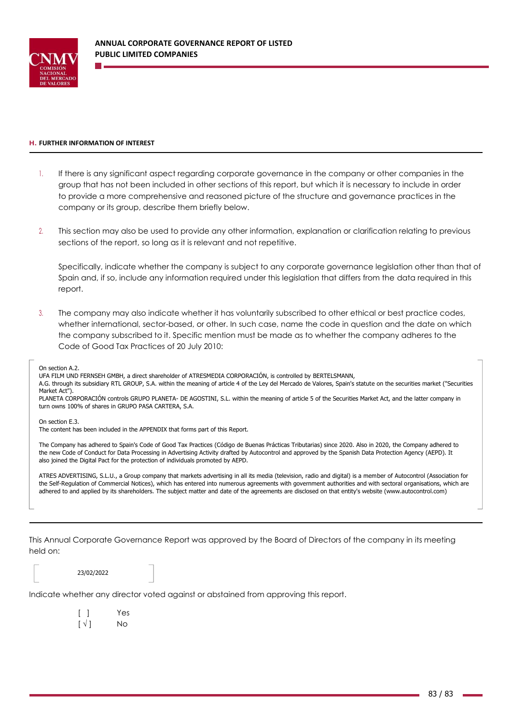

## **H. FURTHER INFORMATION OF INTEREST**

- 1. If there is any significant aspect regarding corporate governance in the company or other companies in the group that has not been included in other sections of this report, but which it is necessary to include in order to provide a more comprehensive and reasoned picture of the structure and governance practices in the company or its group, describe them briefly below.
- 2. This section may also be used to provide any other information, explanation or clarification relating to previous sections of the report, so long as it is relevant and not repetitive.

Specifically, indicate whether the company is subject to any corporate governance legislation other than that of Spain and, if so, include any information required under this legislation that differs from the data required in this report.

3. The company may also indicate whether it has voluntarily subscribed to other ethical or best practice codes, whether international, sector-based, or other. In such case, name the code in question and the date on which the company subscribed to it. Specific mention must be made as to whether the company adheres to the Code of Good Tax Practices of 20 July 2010:

On section A.<sub>2</sub>

UFA FILM UND FERNSEH GMBH, a direct shareholder of ATRESMEDIA CORPORACIÓN, is controlled by BERTELSMANN,

A.G. through its subsidiary RTL GROUP, S.A. within the meaning of article 4 of the Ley del Mercado de Valores, Spain's statute on the securities market ("Securities Market Act").

PLANETA CORPORACIÓN controls GRUPO PLANETA- DE AGOSTINI, S.L. within the meaning of article 5 of the Securities Market Act, and the latter company in turn owns 100% of shares in GRUPO PASA CARTERA, S.A.

On section E.3.

The content has been included in the APPENDIX that forms part of this Report.

The Company has adhered to Spain's Code of Good Tax Practices (Código de Buenas Prácticas Tributarias) since 2020. Also in 2020, the Company adhered to the new Code of Conduct for Data Processing in Advertising Activity drafted by Autocontrol and approved by the Spanish Data Protection Agency (AEPD). It also joined the Digital Pact for the protection of individuals promoted by AEPD.

ATRES ADVERTISING, S.L.U., a Group company that markets advertising in all its media (television, radio and digital) is a member of Autocontrol (Association for the Self-Regulation of Commercial Notices), which has entered into numerous agreements with government authorities and with sectoral organisations, which are adhered to and applied by its shareholders. The subject matter and date of the agreements are disclosed on that entity's website (www.autocontrol.com)

This Annual Corporate Governance Report was approved by the Board of Directors of the company in its meeting held on:

23/02/2022

Indicate whether any director voted against or abstained from approving this report.

[ ] Yes  $\lceil \sqrt{ } \rceil$  No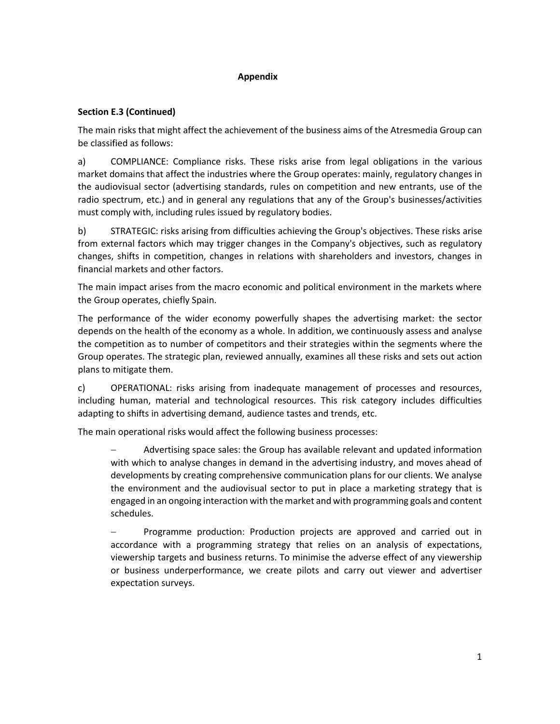## **Appendix**

## **Section E.3 (Continued)**

The main risks that might affect the achievement of the business aims of the Atresmedia Group can be classified as follows:

a) COMPLIANCE: Compliance risks. These risks arise from legal obligations in the various market domains that affect the industries where the Group operates: mainly, regulatory changes in the audiovisual sector (advertising standards, rules on competition and new entrants, use of the radio spectrum, etc.) and in general any regulations that any of the Group's businesses/activities must comply with, including rules issued by regulatory bodies.

b) STRATEGIC: risks arising from difficulties achieving the Group's objectives. These risks arise from external factors which may trigger changes in the Company's objectives, such as regulatory changes, shifts in competition, changes in relations with shareholders and investors, changes in financial markets and other factors.

The main impact arises from the macro economic and political environment in the markets where the Group operates, chiefly Spain.

The performance of the wider economy powerfully shapes the advertising market: the sector depends on the health of the economy as a whole. In addition, we continuously assess and analyse the competition as to number of competitors and their strategies within the segments where the Group operates. The strategic plan, reviewed annually, examines all these risks and sets out action plans to mitigate them.

c) OPERATIONAL: risks arising from inadequate management of processes and resources, including human, material and technological resources. This risk category includes difficulties adapting to shifts in advertising demand, audience tastes and trends, etc.

The main operational risks would affect the following business processes:

− Advertising space sales: the Group has available relevant and updated information with which to analyse changes in demand in the advertising industry, and moves ahead of developments by creating comprehensive communication plans for our clients. We analyse the environment and the audiovisual sector to put in place a marketing strategy that is engaged in an ongoing interaction with the market and with programming goals and content schedules.

Programme production: Production projects are approved and carried out in accordance with a programming strategy that relies on an analysis of expectations, viewership targets and business returns. To minimise the adverse effect of any viewership or business underperformance, we create pilots and carry out viewer and advertiser expectation surveys.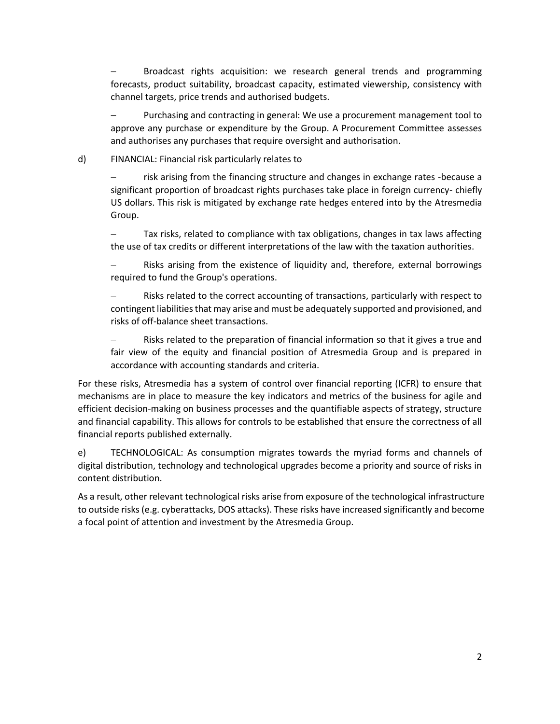Broadcast rights acquisition: we research general trends and programming forecasts, product suitability, broadcast capacity, estimated viewership, consistency with channel targets, price trends and authorised budgets.

Purchasing and contracting in general: We use a procurement management tool to approve any purchase or expenditure by the Group. A Procurement Committee assesses and authorises any purchases that require oversight and authorisation.

## d) FINANCIAL: Financial risk particularly relates to

risk arising from the financing structure and changes in exchange rates -because a significant proportion of broadcast rights purchases take place in foreign currency- chiefly US dollars. This risk is mitigated by exchange rate hedges entered into by the Atresmedia Group.

Tax risks, related to compliance with tax obligations, changes in tax laws affecting the use of tax credits or different interpretations of the law with the taxation authorities.

Risks arising from the existence of liquidity and, therefore, external borrowings required to fund the Group's operations.

Risks related to the correct accounting of transactions, particularly with respect to contingent liabilities that may arise and must be adequately supported and provisioned, and risks of off-balance sheet transactions.

− Risks related to the preparation of financial information so that it gives a true and fair view of the equity and financial position of Atresmedia Group and is prepared in accordance with accounting standards and criteria.

For these risks, Atresmedia has a system of control over financial reporting (ICFR) to ensure that mechanisms are in place to measure the key indicators and metrics of the business for agile and efficient decision-making on business processes and the quantifiable aspects of strategy, structure and financial capability. This allows for controls to be established that ensure the correctness of all financial reports published externally.

e) TECHNOLOGICAL: As consumption migrates towards the myriad forms and channels of digital distribution, technology and technological upgrades become a priority and source of risks in content distribution.

As a result, other relevant technological risks arise from exposure of the technological infrastructure to outside risks (e.g. cyberattacks, DOS attacks). These risks have increased significantly and become a focal point of attention and investment by the Atresmedia Group.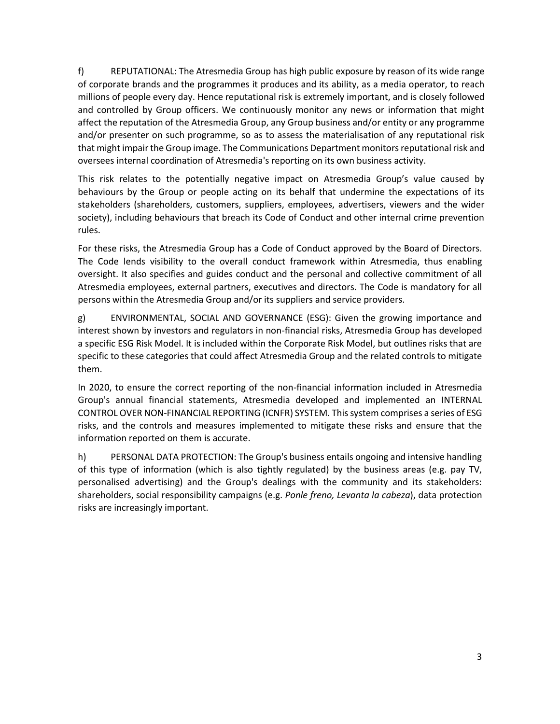f) REPUTATIONAL: The Atresmedia Group has high public exposure by reason of its wide range of corporate brands and the programmes it produces and its ability, as a media operator, to reach millions of people every day. Hence reputational risk is extremely important, and is closely followed and controlled by Group officers. We continuously monitor any news or information that might affect the reputation of the Atresmedia Group, any Group business and/or entity or any programme and/or presenter on such programme, so as to assess the materialisation of any reputational risk that might impair the Group image. The Communications Department monitors reputational risk and oversees internal coordination of Atresmedia's reporting on its own business activity.

This risk relates to the potentially negative impact on Atresmedia Group's value caused by behaviours by the Group or people acting on its behalf that undermine the expectations of its stakeholders (shareholders, customers, suppliers, employees, advertisers, viewers and the wider society), including behaviours that breach its Code of Conduct and other internal crime prevention rules.

For these risks, the Atresmedia Group has a Code of Conduct approved by the Board of Directors. The Code lends visibility to the overall conduct framework within Atresmedia, thus enabling oversight. It also specifies and guides conduct and the personal and collective commitment of all Atresmedia employees, external partners, executives and directors. The Code is mandatory for all persons within the Atresmedia Group and/or its suppliers and service providers.

g) ENVIRONMENTAL, SOCIAL AND GOVERNANCE (ESG): Given the growing importance and interest shown by investors and regulators in non-financial risks, Atresmedia Group has developed a specific ESG Risk Model. It is included within the Corporate Risk Model, but outlines risks that are specific to these categories that could affect Atresmedia Group and the related controls to mitigate them.

In 2020, to ensure the correct reporting of the non-financial information included in Atresmedia Group's annual financial statements, Atresmedia developed and implemented an INTERNAL CONTROL OVER NON-FINANCIAL REPORTING (ICNFR) SYSTEM. This system comprises a series of ESG risks, and the controls and measures implemented to mitigate these risks and ensure that the information reported on them is accurate.

h) PERSONAL DATA PROTECTION: The Group's business entails ongoing and intensive handling of this type of information (which is also tightly regulated) by the business areas (e.g. pay TV, personalised advertising) and the Group's dealings with the community and its stakeholders: shareholders, social responsibility campaigns (e.g. *Ponle freno, Levanta la cabeza*), data protection risks are increasingly important.